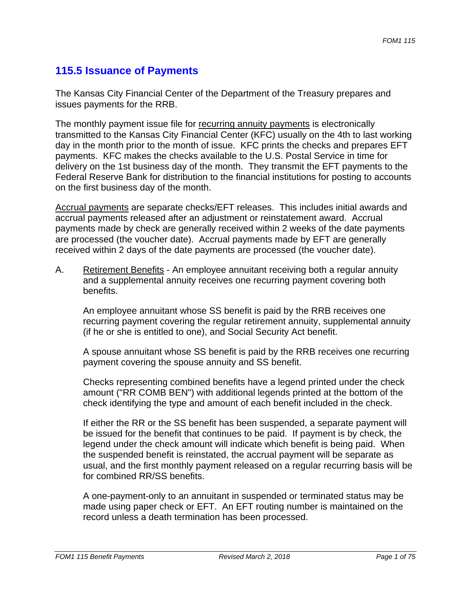# **115.5 Issuance of Payments**

The Kansas City Financial Center of the Department of the Treasury prepares and issues payments for the RRB.

The monthly payment issue file for recurring annuity payments is electronically transmitted to the Kansas City Financial Center (KFC) usually on the 4th to last working day in the month prior to the month of issue. KFC prints the checks and prepares EFT payments. KFC makes the checks available to the U.S. Postal Service in time for delivery on the 1st business day of the month. They transmit the EFT payments to the Federal Reserve Bank for distribution to the financial institutions for posting to accounts on the first business day of the month.

Accrual payments are separate checks/EFT releases. This includes initial awards and accrual payments released after an adjustment or reinstatement award. Accrual payments made by check are generally received within 2 weeks of the date payments are processed (the voucher date). Accrual payments made by EFT are generally received within 2 days of the date payments are processed (the voucher date).

A. Retirement Benefits - An employee annuitant receiving both a regular annuity and a supplemental annuity receives one recurring payment covering both benefits.

An employee annuitant whose SS benefit is paid by the RRB receives one recurring payment covering the regular retirement annuity, supplemental annuity (if he or she is entitled to one), and Social Security Act benefit.

A spouse annuitant whose SS benefit is paid by the RRB receives one recurring payment covering the spouse annuity and SS benefit.

Checks representing combined benefits have a legend printed under the check amount ("RR COMB BEN") with additional legends printed at the bottom of the check identifying the type and amount of each benefit included in the check.

If either the RR or the SS benefit has been suspended, a separate payment will be issued for the benefit that continues to be paid. If payment is by check, the legend under the check amount will indicate which benefit is being paid. When the suspended benefit is reinstated, the accrual payment will be separate as usual, and the first monthly payment released on a regular recurring basis will be for combined RR/SS benefits.

A one-payment-only to an annuitant in suspended or terminated status may be made using paper check or EFT. An EFT routing number is maintained on the record unless a death termination has been processed.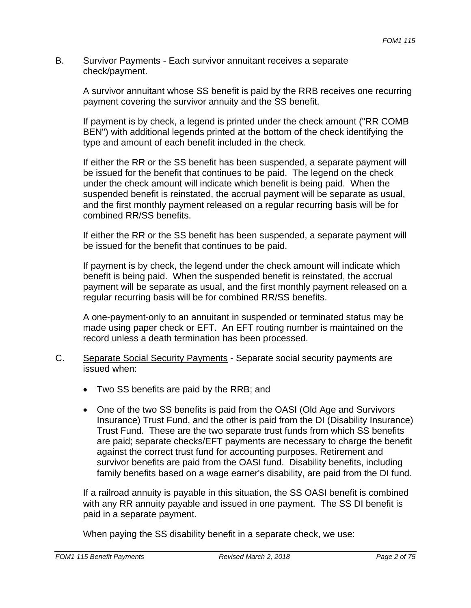#### B. Survivor Payments - Each survivor annuitant receives a separate check/payment.

A survivor annuitant whose SS benefit is paid by the RRB receives one recurring payment covering the survivor annuity and the SS benefit.

If payment is by check, a legend is printed under the check amount ("RR COMB BEN") with additional legends printed at the bottom of the check identifying the type and amount of each benefit included in the check.

If either the RR or the SS benefit has been suspended, a separate payment will be issued for the benefit that continues to be paid. The legend on the check under the check amount will indicate which benefit is being paid. When the suspended benefit is reinstated, the accrual payment will be separate as usual, and the first monthly payment released on a regular recurring basis will be for combined RR/SS benefits.

If either the RR or the SS benefit has been suspended, a separate payment will be issued for the benefit that continues to be paid.

If payment is by check, the legend under the check amount will indicate which benefit is being paid. When the suspended benefit is reinstated, the accrual payment will be separate as usual, and the first monthly payment released on a regular recurring basis will be for combined RR/SS benefits.

A one-payment-only to an annuitant in suspended or terminated status may be made using paper check or EFT. An EFT routing number is maintained on the record unless a death termination has been processed.

- C. Separate Social Security Payments Separate social security payments are issued when:
	- Two SS benefits are paid by the RRB; and
	- One of the two SS benefits is paid from the OASI (Old Age and Survivors Insurance) Trust Fund, and the other is paid from the DI (Disability Insurance) Trust Fund. These are the two separate trust funds from which SS benefits are paid; separate checks/EFT payments are necessary to charge the benefit against the correct trust fund for accounting purposes. Retirement and survivor benefits are paid from the OASI fund. Disability benefits, including family benefits based on a wage earner's disability, are paid from the DI fund.

If a railroad annuity is payable in this situation, the SS OASI benefit is combined with any RR annuity payable and issued in one payment. The SS DI benefit is paid in a separate payment.

When paying the SS disability benefit in a separate check, we use: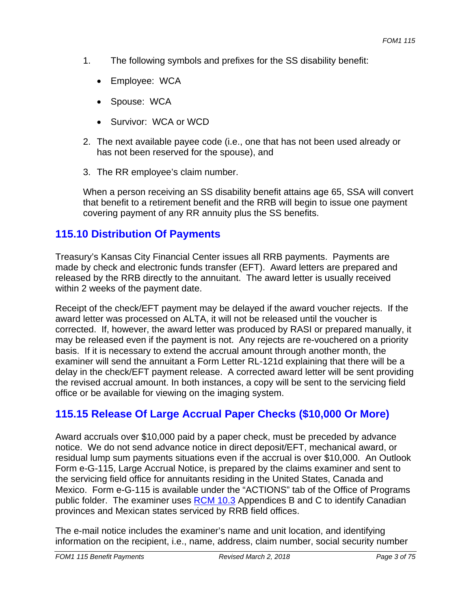- 1. The following symbols and prefixes for the SS disability benefit:
	- Employee: WCA
	- Spouse: WCA
	- Survivor: WCA or WCD
- 2. The next available payee code (i.e., one that has not been used already or has not been reserved for the spouse), and
- 3. The RR employee's claim number.

When a person receiving an SS disability benefit attains age 65, SSA will convert that benefit to a retirement benefit and the RRB will begin to issue one payment covering payment of any RR annuity plus the SS benefits.

# **115.10 Distribution Of Payments**

Treasury's Kansas City Financial Center issues all RRB payments. Payments are made by check and electronic funds transfer (EFT). Award letters are prepared and released by the RRB directly to the annuitant. The award letter is usually received within 2 weeks of the payment date.

Receipt of the check/EFT payment may be delayed if the award voucher rejects. If the award letter was processed on ALTA, it will not be released until the voucher is corrected. If, however, the award letter was produced by RASI or prepared manually, it may be released even if the payment is not. Any rejects are re-vouchered on a priority basis. If it is necessary to extend the accrual amount through another month, the examiner will send the annuitant a Form Letter RL-121d explaining that there will be a delay in the check/EFT payment release. A corrected award letter will be sent providing the revised accrual amount. In both instances, a copy will be sent to the servicing field office or be available for viewing on the imaging system.

# **115.15 Release Of Large Accrual Paper Checks (\$10,000 Or More)**

Award accruals over \$10,000 paid by a paper check, must be preceded by advance notice. We do not send advance notice in direct deposit/EFT, mechanical award, or residual lump sum payments situations even if the accrual is over \$10,000. An Outlook Form e-G-115, Large Accrual Notice, is prepared by the claims examiner and sent to the servicing field office for annuitants residing in the United States, Canada and Mexico. Form e-G-115 is available under the "ACTIONS" tab of the Office of Programs public folder. The examiner uses RCM 10.3 Appendices B and C to identify Canadian provinces and Mexican states serviced by RRB field offices.

The e-mail notice includes the examiner's name and unit location, and identifying information on the recipient, i.e., name, address, claim number, social security number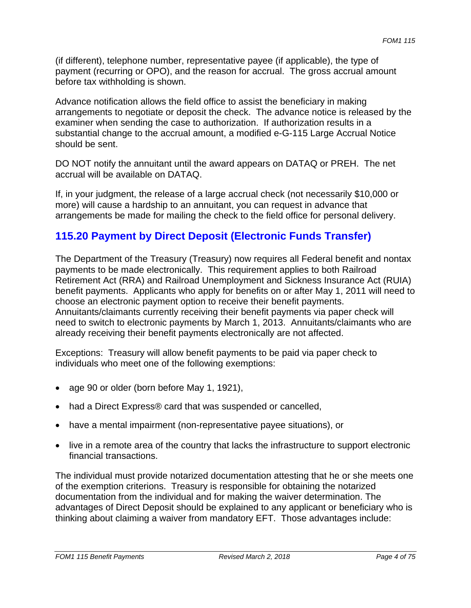(if different), telephone number, representative payee (if applicable), the type of payment (recurring or OPO), and the reason for accrual. The gross accrual amount before tax withholding is shown.

Advance notification allows the field office to assist the beneficiary in making arrangements to negotiate or deposit the check. The advance notice is released by the examiner when sending the case to authorization. If authorization results in a substantial change to the accrual amount, a modified e-G-115 Large Accrual Notice should be sent.

DO NOT notify the annuitant until the award appears on DATAQ or PREH. The net accrual will be available on DATAQ.

If, in your judgment, the release of a large accrual check (not necessarily \$10,000 or more) will cause a hardship to an annuitant, you can request in advance that arrangements be made for mailing the check to the field office for personal delivery.

# **115.20 Payment by Direct Deposit (Electronic Funds Transfer)**

The Department of the Treasury (Treasury) now requires all Federal benefit and nontax payments to be made electronically. This requirement applies to both Railroad Retirement Act (RRA) and Railroad Unemployment and Sickness Insurance Act (RUIA) benefit payments. Applicants who apply for benefits on or after May 1, 2011 will need to choose an electronic payment option to receive their benefit payments. Annuitants/claimants currently receiving their benefit payments via paper check will need to switch to electronic payments by March 1, 2013. Annuitants/claimants who are already receiving their benefit payments electronically are not affected.

Exceptions: Treasury will allow benefit payments to be paid via paper check to individuals who meet one of the following exemptions:

- age 90 or older (born before May 1, 1921),
- had a Direct Express® card that was suspended or cancelled,
- have a mental impairment (non-representative payee situations), or
- live in a remote area of the country that lacks the infrastructure to support electronic financial transactions.

The individual must provide notarized documentation attesting that he or she meets one of the exemption criterions. Treasury is responsible for obtaining the notarized documentation from the individual and for making the waiver determination. The advantages of Direct Deposit should be explained to any applicant or beneficiary who is thinking about claiming a waiver from mandatory EFT. Those advantages include: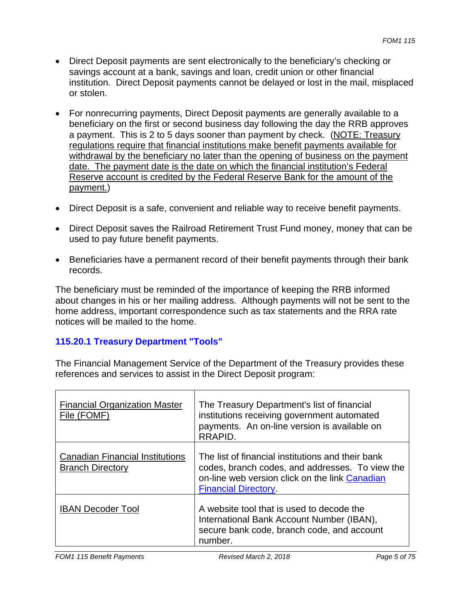- Direct Deposit payments are sent electronically to the beneficiary's checking or savings account at a bank, savings and loan, credit union or other financial institution. Direct Deposit payments cannot be delayed or lost in the mail, misplaced or stolen.
- For nonrecurring payments, Direct Deposit payments are generally available to a beneficiary on the first or second business day following the day the RRB approves a payment. This is 2 to 5 days sooner than payment by check. (NOTE: Treasury regulations require that financial institutions make benefit payments available for withdrawal by the beneficiary no later than the opening of business on the payment date. The payment date is the date on which the financial institution's Federal Reserve account is credited by the Federal Reserve Bank for the amount of the payment.)
- Direct Deposit is a safe, convenient and reliable way to receive benefit payments.
- Direct Deposit saves the Railroad Retirement Trust Fund money, money that can be used to pay future benefit payments.
- Beneficiaries have a permanent record of their benefit payments through their bank records.

The beneficiary must be reminded of the importance of keeping the RRB informed about changes in his or her mailing address. Although payments will not be sent to the home address, important correspondence such as tax statements and the RRA rate notices will be mailed to the home.

## **115.20.1 Treasury Department "Tools"**

The Financial Management Service of the Department of the Treasury provides these references and services to assist in the Direct Deposit program:

| <b>Financial Organization Master</b><br>File (FOMF)               | The Treasury Department's list of financial<br>institutions receiving government automated<br>payments. An on-line version is available on<br>RRAPID.                                 |
|-------------------------------------------------------------------|---------------------------------------------------------------------------------------------------------------------------------------------------------------------------------------|
| <b>Canadian Financial Institutions</b><br><b>Branch Directory</b> | The list of financial institutions and their bank<br>codes, branch codes, and addresses. To view the<br>on-line web version click on the link Canadian<br><b>Financial Directory.</b> |
| <b>IBAN Decoder Tool</b>                                          | A website tool that is used to decode the<br>International Bank Account Number (IBAN),<br>secure bank code, branch code, and account<br>number.                                       |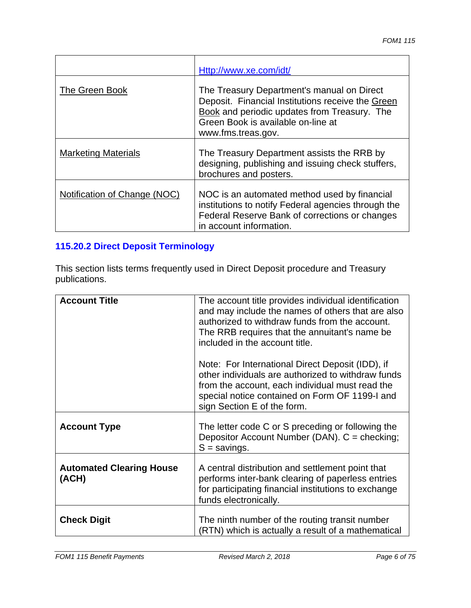|                              | Http://www.xe.com/idt/                                                                                                                                                                                      |
|------------------------------|-------------------------------------------------------------------------------------------------------------------------------------------------------------------------------------------------------------|
| The Green Book               | The Treasury Department's manual on Direct<br>Deposit. Financial Institutions receive the Green<br>Book and periodic updates from Treasury. The<br>Green Book is available on-line at<br>www.fms.treas.gov. |
| <b>Marketing Materials</b>   | The Treasury Department assists the RRB by<br>designing, publishing and issuing check stuffers,<br>brochures and posters.                                                                                   |
| Notification of Change (NOC) | NOC is an automated method used by financial<br>institutions to notify Federal agencies through the<br>Federal Reserve Bank of corrections or changes<br>in account information.                            |

## **115.20.2 Direct Deposit Terminology**

This section lists terms frequently used in Direct Deposit procedure and Treasury publications.

| <b>Account Title</b>                     | The account title provides individual identification<br>and may include the names of others that are also<br>authorized to withdraw funds from the account.<br>The RRB requires that the annuitant's name be                                                                 |
|------------------------------------------|------------------------------------------------------------------------------------------------------------------------------------------------------------------------------------------------------------------------------------------------------------------------------|
|                                          | included in the account title.<br>Note: For International Direct Deposit (IDD), if<br>other individuals are authorized to withdraw funds<br>from the account, each individual must read the<br>special notice contained on Form OF 1199-I and<br>sign Section E of the form. |
| <b>Account Type</b>                      | The letter code C or S preceding or following the<br>Depositor Account Number (DAN). C = checking;<br>$S =$ savings.                                                                                                                                                         |
| <b>Automated Clearing House</b><br>(ACH) | A central distribution and settlement point that<br>performs inter-bank clearing of paperless entries<br>for participating financial institutions to exchange<br>funds electronically.                                                                                       |
| <b>Check Digit</b>                       | The ninth number of the routing transit number<br>(RTN) which is actually a result of a mathematical                                                                                                                                                                         |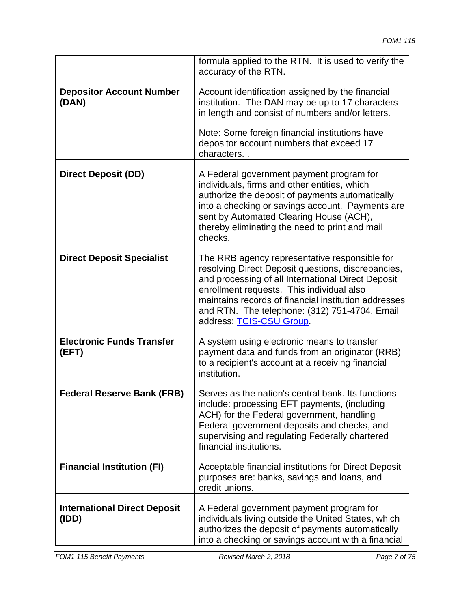|                                              | formula applied to the RTN. It is used to verify the<br>accuracy of the RTN.                                                                                                                                                                                                                                                                |
|----------------------------------------------|---------------------------------------------------------------------------------------------------------------------------------------------------------------------------------------------------------------------------------------------------------------------------------------------------------------------------------------------|
| <b>Depositor Account Number</b><br>(DAN)     | Account identification assigned by the financial<br>institution. The DAN may be up to 17 characters<br>in length and consist of numbers and/or letters.<br>Note: Some foreign financial institutions have<br>depositor account numbers that exceed 17                                                                                       |
|                                              | characters                                                                                                                                                                                                                                                                                                                                  |
| <b>Direct Deposit (DD)</b>                   | A Federal government payment program for<br>individuals, firms and other entities, which<br>authorize the deposit of payments automatically<br>into a checking or savings account. Payments are<br>sent by Automated Clearing House (ACH),<br>thereby eliminating the need to print and mail<br>checks.                                     |
| <b>Direct Deposit Specialist</b>             | The RRB agency representative responsible for<br>resolving Direct Deposit questions, discrepancies,<br>and processing of all International Direct Deposit<br>enrollment requests. This individual also<br>maintains records of financial institution addresses<br>and RTN. The telephone: (312) 751-4704, Email<br>address: TCIS-CSU Group. |
| <b>Electronic Funds Transfer</b><br>(EFT)    | A system using electronic means to transfer<br>payment data and funds from an originator (RRB)<br>to a recipient's account at a receiving financial<br>institution.                                                                                                                                                                         |
| <b>Federal Reserve Bank (FRB)</b>            | Serves as the nation's central bank. Its functions<br>include: processing EFT payments, (including<br>ACH) for the Federal government, handling<br>Federal government deposits and checks, and<br>supervising and regulating Federally chartered<br>financial institutions.                                                                 |
| <b>Financial Institution (FI)</b>            | Acceptable financial institutions for Direct Deposit<br>purposes are: banks, savings and loans, and<br>credit unions.                                                                                                                                                                                                                       |
| <b>International Direct Deposit</b><br>(IDD) | A Federal government payment program for<br>individuals living outside the United States, which<br>authorizes the deposit of payments automatically<br>into a checking or savings account with a financial                                                                                                                                  |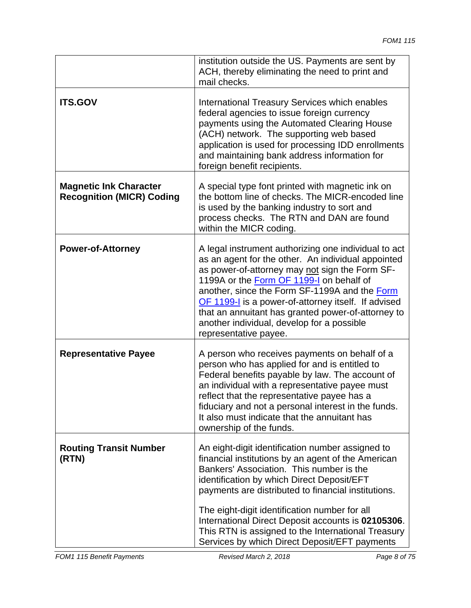|                                                                   | institution outside the US. Payments are sent by<br>ACH, thereby eliminating the need to print and<br>mail checks.                                                                                                                                                                                                                                                                                                                                                    |
|-------------------------------------------------------------------|-----------------------------------------------------------------------------------------------------------------------------------------------------------------------------------------------------------------------------------------------------------------------------------------------------------------------------------------------------------------------------------------------------------------------------------------------------------------------|
| <b>ITS.GOV</b>                                                    | International Treasury Services which enables<br>federal agencies to issue foreign currency<br>payments using the Automated Clearing House<br>(ACH) network. The supporting web based<br>application is used for processing IDD enrollments<br>and maintaining bank address information for<br>foreign benefit recipients.                                                                                                                                            |
| <b>Magnetic Ink Character</b><br><b>Recognition (MICR) Coding</b> | A special type font printed with magnetic ink on<br>the bottom line of checks. The MICR-encoded line<br>is used by the banking industry to sort and<br>process checks. The RTN and DAN are found<br>within the MICR coding.                                                                                                                                                                                                                                           |
| <b>Power-of-Attorney</b>                                          | A legal instrument authorizing one individual to act<br>as an agent for the other. An individual appointed<br>as power-of-attorney may not sign the Form SF-<br>1199A or the Form OF 1199-I on behalf of<br>another, since the Form SF-1199A and the Form<br>OF 1199-I is a power-of-attorney itself. If advised<br>that an annuitant has granted power-of-attorney to<br>another individual, develop for a possible<br>representative payee.                         |
| <b>Representative Payee</b>                                       | A person who receives payments on behalf of a<br>person who has applied for and is entitled to<br>Federal benefits payable by law. The account of<br>an individual with a representative payee must<br>reflect that the representative payee has a<br>fiduciary and not a personal interest in the funds.<br>It also must indicate that the annuitant has<br>ownership of the funds.                                                                                  |
| <b>Routing Transit Number</b><br>(RTN)                            | An eight-digit identification number assigned to<br>financial institutions by an agent of the American<br>Bankers' Association. This number is the<br>identification by which Direct Deposit/EFT<br>payments are distributed to financial institutions.<br>The eight-digit identification number for all<br>International Direct Deposit accounts is 02105306.<br>This RTN is assigned to the International Treasury<br>Services by which Direct Deposit/EFT payments |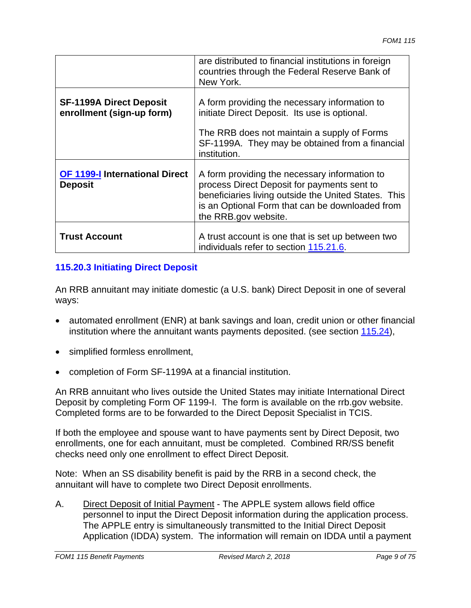|                                                             | are distributed to financial institutions in foreign<br>countries through the Federal Reserve Bank of<br>New York.                                                                                                              |
|-------------------------------------------------------------|---------------------------------------------------------------------------------------------------------------------------------------------------------------------------------------------------------------------------------|
| <b>SF-1199A Direct Deposit</b><br>enrollment (sign-up form) | A form providing the necessary information to<br>initiate Direct Deposit. Its use is optional.<br>The RRB does not maintain a supply of Forms<br>SF-1199A. They may be obtained from a financial<br>institution.                |
| <b>OF 1199-I International Direct</b><br><b>Deposit</b>     | A form providing the necessary information to<br>process Direct Deposit for payments sent to<br>beneficiaries living outside the United States. This<br>is an Optional Form that can be downloaded from<br>the RRB.gov website. |
| <b>Trust Account</b>                                        | A trust account is one that is set up between two<br>individuals refer to section 115.21.6.                                                                                                                                     |

## **115.20.3 Initiating Direct Deposit**

An RRB annuitant may initiate domestic (a U.S. bank) Direct Deposit in one of several ways:

- automated enrollment (ENR) at bank savings and loan, credit union or other financial institution where the annuitant wants payments deposited. (see section 115.24),
- simplified formless enrollment,
- completion of Form SF-1199A at a financial institution.

An RRB annuitant who lives outside the United States may initiate International Direct Deposit by completing Form OF 1199-I. The form is available on the rrb.gov website. Completed forms are to be forwarded to the Direct Deposit Specialist in TCIS.

If both the employee and spouse want to have payments sent by Direct Deposit, two enrollments, one for each annuitant, must be completed. Combined RR/SS benefit checks need only one enrollment to effect Direct Deposit.

Note: When an SS disability benefit is paid by the RRB in a second check, the annuitant will have to complete two Direct Deposit enrollments.

A. Direct Deposit of Initial Payment - The APPLE system allows field office personnel to input the Direct Deposit information during the application process. The APPLE entry is simultaneously transmitted to the Initial Direct Deposit Application (IDDA) system. The information will remain on IDDA until a payment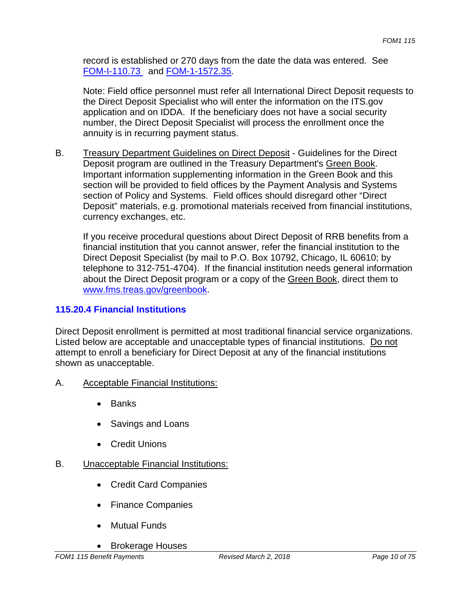record is established or 270 days from the date the data was entered. See FOM-I-110.73 and FOM-1-1572.35.

Note: Field office personnel must refer all International Direct Deposit requests to the Direct Deposit Specialist who will enter the information on the ITS.gov application and on IDDA. If the beneficiary does not have a social security number, the Direct Deposit Specialist will process the enrollment once the annuity is in recurring payment status.

B. Treasury Department Guidelines on Direct Deposit - Guidelines for the Direct Deposit program are outlined in the Treasury Department's Green Book. Important information supplementing information in the Green Book and this section will be provided to field offices by the Payment Analysis and Systems section of Policy and Systems. Field offices should disregard other "Direct Deposit" materials, e.g. promotional materials received from financial institutions, currency exchanges, etc.

If you receive procedural questions about Direct Deposit of RRB benefits from a financial institution that you cannot answer, refer the financial institution to the Direct Deposit Specialist (by mail to P.O. Box 10792, Chicago, IL 60610; by telephone to 312-751-4704). If the financial institution needs general information about the Direct Deposit program or a copy of the Green Book, direct them to www.fms.treas.gov/greenbook.

## **115.20.4 Financial Institutions**

Direct Deposit enrollment is permitted at most traditional financial service organizations. Listed below are acceptable and unacceptable types of financial institutions. Do not attempt to enroll a beneficiary for Direct Deposit at any of the financial institutions shown as unacceptable.

## A. Acceptable Financial Institutions:

- Banks
- Savings and Loans
- Credit Unions

#### B. Unacceptable Financial Institutions:

- Credit Card Companies
- Finance Companies
- Mutual Funds
- Brokerage Houses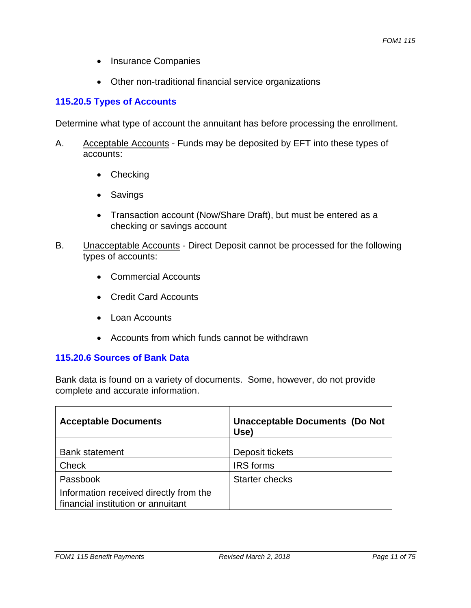- Insurance Companies
- Other non-traditional financial service organizations

### **115.20.5 Types of Accounts**

Determine what type of account the annuitant has before processing the enrollment.

- A. Acceptable Accounts Funds may be deposited by EFT into these types of accounts:
	- Checking
	- Savings
	- Transaction account (Now/Share Draft), but must be entered as a checking or savings account
- B. Unacceptable Accounts Direct Deposit cannot be processed for the following types of accounts:
	- Commercial Accounts
	- Credit Card Accounts
	- Loan Accounts
	- Accounts from which funds cannot be withdrawn

#### **115.20.6 Sources of Bank Data**

Bank data is found on a variety of documents. Some, however, do not provide complete and accurate information.

| <b>Acceptable Documents</b>                                                  | <b>Unacceptable Documents (Do Not</b><br>Use) |
|------------------------------------------------------------------------------|-----------------------------------------------|
|                                                                              |                                               |
| <b>Bank statement</b>                                                        | Deposit tickets                               |
| <b>Check</b>                                                                 | <b>IRS</b> forms                              |
| Passbook                                                                     | <b>Starter checks</b>                         |
| Information received directly from the<br>financial institution or annuitant |                                               |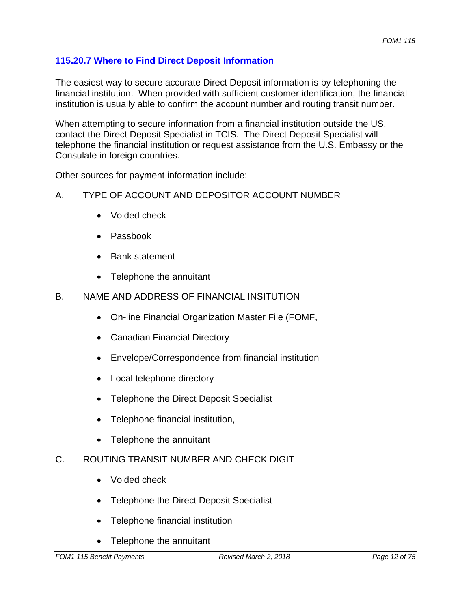## **115.20.7 Where to Find Direct Deposit Information**

The easiest way to secure accurate Direct Deposit information is by telephoning the financial institution. When provided with sufficient customer identification, the financial institution is usually able to confirm the account number and routing transit number.

When attempting to secure information from a financial institution outside the US, contact the Direct Deposit Specialist in TCIS. The Direct Deposit Specialist will telephone the financial institution or request assistance from the U.S. Embassy or the Consulate in foreign countries.

Other sources for payment information include:

#### A. TYPE OF ACCOUNT AND DEPOSITOR ACCOUNT NUMBER

- Voided check
- Passbook
- Bank statement
- Telephone the annuitant

#### B. NAME AND ADDRESS OF FINANCIAL INSITUTION

- On-line Financial Organization Master File (FOMF,
- Canadian Financial Directory
- Envelope/Correspondence from financial institution
- Local telephone directory
- Telephone the Direct Deposit Specialist
- Telephone financial institution,
- Telephone the annuitant

#### C. ROUTING TRANSIT NUMBER AND CHECK DIGIT

- Voided check
- Telephone the Direct Deposit Specialist
- Telephone financial institution
- Telephone the annuitant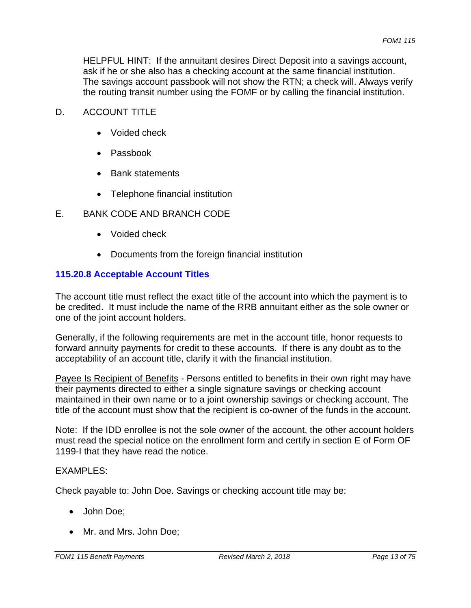HELPFUL HINT: If the annuitant desires Direct Deposit into a savings account, ask if he or she also has a checking account at the same financial institution. The savings account passbook will not show the RTN; a check will. Always verify the routing transit number using the FOMF or by calling the financial institution.

#### D. ACCOUNT TITLE

- Voided check
- Passbook
- Bank statements
- Telephone financial institution

#### E. BANK CODE AND BRANCH CODE

- Voided check
- Documents from the foreign financial institution

#### **115.20.8 Acceptable Account Titles**

The account title must reflect the exact title of the account into which the payment is to be credited. It must include the name of the RRB annuitant either as the sole owner or one of the joint account holders.

Generally, if the following requirements are met in the account title, honor requests to forward annuity payments for credit to these accounts. If there is any doubt as to the acceptability of an account title, clarify it with the financial institution.

Payee Is Recipient of Benefits - Persons entitled to benefits in their own right may have their payments directed to either a single signature savings or checking account maintained in their own name or to a joint ownership savings or checking account. The title of the account must show that the recipient is co-owner of the funds in the account.

Note: If the IDD enrollee is not the sole owner of the account, the other account holders must read the special notice on the enrollment form and certify in section E of Form OF 1199-I that they have read the notice.

#### EXAMPLES:

Check payable to: John Doe. Savings or checking account title may be:

- John Doe;
- Mr. and Mrs. John Doe;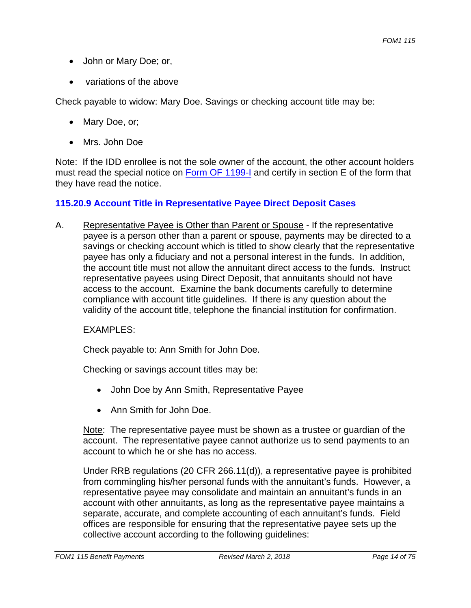- John or Mary Doe; or,
- variations of the above

Check payable to widow: Mary Doe. Savings or checking account title may be:

- Mary Doe, or;
- Mrs. John Doe

Note: If the IDD enrollee is not the sole owner of the account, the other account holders must read the special notice on Form OF 1199-I and certify in section E of the form that they have read the notice.

#### **115.20.9 Account Title in Representative Payee Direct Deposit Cases**

A. Representative Payee is Other than Parent or Spouse - If the representative payee is a person other than a parent or spouse, payments may be directed to a savings or checking account which is titled to show clearly that the representative payee has only a fiduciary and not a personal interest in the funds. In addition, the account title must not allow the annuitant direct access to the funds. Instruct representative payees using Direct Deposit, that annuitants should not have access to the account. Examine the bank documents carefully to determine compliance with account title guidelines. If there is any question about the validity of the account title, telephone the financial institution for confirmation.

**FXAMPLES:** 

Check payable to: Ann Smith for John Doe.

Checking or savings account titles may be:

- John Doe by Ann Smith, Representative Payee
- Ann Smith for John Doe.

Note: The representative payee must be shown as a trustee or guardian of the account. The representative payee cannot authorize us to send payments to an account to which he or she has no access.

Under RRB regulations (20 CFR 266.11(d)), a representative payee is prohibited from commingling his/her personal funds with the annuitant's funds. However, a representative payee may consolidate and maintain an annuitant's funds in an account with other annuitants, as long as the representative payee maintains a separate, accurate, and complete accounting of each annuitant's funds. Field offices are responsible for ensuring that the representative payee sets up the collective account according to the following guidelines: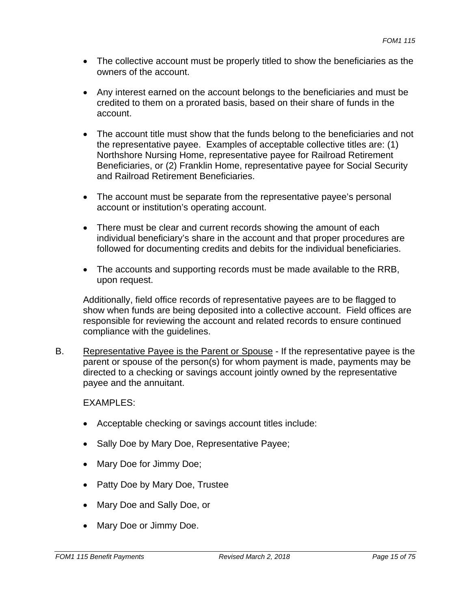- The collective account must be properly titled to show the beneficiaries as the owners of the account.
- Any interest earned on the account belongs to the beneficiaries and must be credited to them on a prorated basis, based on their share of funds in the account.
- The account title must show that the funds belong to the beneficiaries and not the representative payee. Examples of acceptable collective titles are: (1) Northshore Nursing Home, representative payee for Railroad Retirement Beneficiaries, or (2) Franklin Home, representative payee for Social Security and Railroad Retirement Beneficiaries.
- The account must be separate from the representative payee's personal account or institution's operating account.
- There must be clear and current records showing the amount of each individual beneficiary's share in the account and that proper procedures are followed for documenting credits and debits for the individual beneficiaries.
- The accounts and supporting records must be made available to the RRB, upon request.

Additionally, field office records of representative payees are to be flagged to show when funds are being deposited into a collective account. Field offices are responsible for reviewing the account and related records to ensure continued compliance with the guidelines.

B. Representative Payee is the Parent or Spouse - If the representative payee is the parent or spouse of the person(s) for whom payment is made, payments may be directed to a checking or savings account jointly owned by the representative payee and the annuitant.

EXAMPLES:

- Acceptable checking or savings account titles include:
- Sally Doe by Mary Doe, Representative Payee;
- Mary Doe for Jimmy Doe;
- Patty Doe by Mary Doe, Trustee
- Mary Doe and Sally Doe, or
- Mary Doe or Jimmy Doe.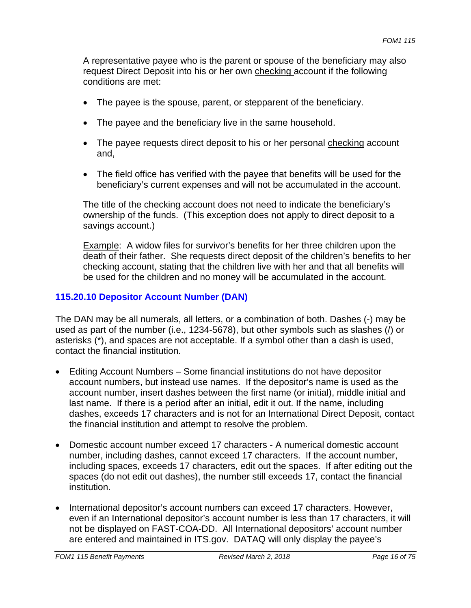A representative payee who is the parent or spouse of the beneficiary may also request Direct Deposit into his or her own checking account if the following conditions are met:

- The payee is the spouse, parent, or stepparent of the beneficiary.
- The payee and the beneficiary live in the same household.
- The payee requests direct deposit to his or her personal checking account and,
- The field office has verified with the payee that benefits will be used for the beneficiary's current expenses and will not be accumulated in the account.

The title of the checking account does not need to indicate the beneficiary's ownership of the funds. (This exception does not apply to direct deposit to a savings account.)

Example: A widow files for survivor's benefits for her three children upon the death of their father. She requests direct deposit of the children's benefits to her checking account, stating that the children live with her and that all benefits will be used for the children and no money will be accumulated in the account.

#### **115.20.10 Depositor Account Number (DAN)**

The DAN may be all numerals, all letters, or a combination of both. Dashes (-) may be used as part of the number (i.e., 1234-5678), but other symbols such as slashes (/) or asterisks (\*), and spaces are not acceptable. If a symbol other than a dash is used, contact the financial institution.

- Editing Account Numbers Some financial institutions do not have depositor account numbers, but instead use names. If the depositor's name is used as the account number, insert dashes between the first name (or initial), middle initial and last name. If there is a period after an initial, edit it out. If the name, including dashes, exceeds 17 characters and is not for an International Direct Deposit, contact the financial institution and attempt to resolve the problem.
- Domestic account number exceed 17 characters A numerical domestic account number, including dashes, cannot exceed 17 characters. If the account number, including spaces, exceeds 17 characters, edit out the spaces. If after editing out the spaces (do not edit out dashes), the number still exceeds 17, contact the financial institution.
- International depositor's account numbers can exceed 17 characters. However, even if an International depositor's account number is less than 17 characters, it will not be displayed on FAST-COA-DD. All International depositors' account number are entered and maintained in ITS.gov. DATAQ will only display the payee's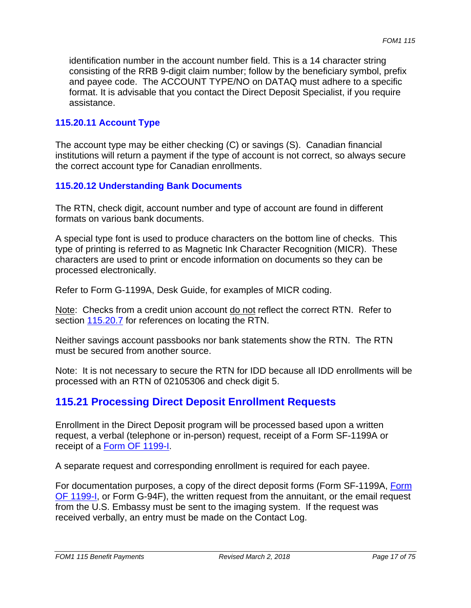identification number in the account number field. This is a 14 character string consisting of the RRB 9-digit claim number; follow by the beneficiary symbol, prefix and payee code. The ACCOUNT TYPE/NO on DATAQ must adhere to a specific format. It is advisable that you contact the Direct Deposit Specialist, if you require assistance.

#### **115.20.11 Account Type**

The account type may be either checking (C) or savings (S). Canadian financial institutions will return a payment if the type of account is not correct, so always secure the correct account type for Canadian enrollments.

#### **115.20.12 Understanding Bank Documents**

The RTN, check digit, account number and type of account are found in different formats on various bank documents.

A special type font is used to produce characters on the bottom line of checks. This type of printing is referred to as Magnetic Ink Character Recognition (MICR). These characters are used to print or encode information on documents so they can be processed electronically.

Refer to Form G-1199A, Desk Guide, for examples of MICR coding.

Note: Checks from a credit union account do not reflect the correct RTN. Refer to section 115.20.7 for references on locating the RTN.

Neither savings account passbooks nor bank statements show the RTN. The RTN must be secured from another source.

Note: It is not necessary to secure the RTN for IDD because all IDD enrollments will be processed with an RTN of 02105306 and check digit 5.

## **115.21 Processing Direct Deposit Enrollment Requests**

Enrollment in the Direct Deposit program will be processed based upon a written request, a verbal (telephone or in-person) request, receipt of a Form SF-1199A or receipt of a Form OF 1199-I.

A separate request and corresponding enrollment is required for each payee.

For documentation purposes, a copy of the direct deposit forms (Form SF-1199A, Form OF 1199-I, or Form G-94F), the written request from the annuitant, or the email request from the U.S. Embassy must be sent to the imaging system. If the request was received verbally, an entry must be made on the Contact Log.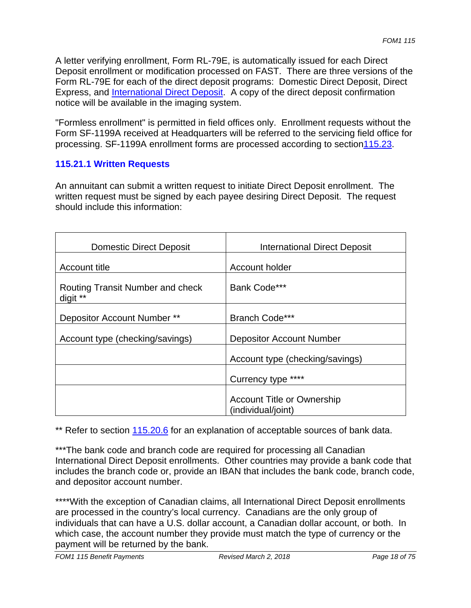A letter verifying enrollment, Form RL-79E, is automatically issued for each Direct Deposit enrollment or modification processed on FAST. There are three versions of the Form RL-79E for each of the direct deposit programs: Domestic Direct Deposit, Direct Express, and International Direct Deposit. A copy of the direct deposit confirmation notice will be available in the imaging system.

"Formless enrollment" is permitted in field offices only. Enrollment requests without the Form SF-1199A received at Headquarters will be referred to the servicing field office for processing. SF-1199A enrollment forms are processed according to section115.23.

#### **115.21.1 Written Requests**

An annuitant can submit a written request to initiate Direct Deposit enrollment. The written request must be signed by each payee desiring Direct Deposit. The request should include this information:

| <b>Domestic Direct Deposit</b>               | <b>International Direct Deposit</b>                     |
|----------------------------------------------|---------------------------------------------------------|
| Account title                                | Account holder                                          |
| Routing Transit Number and check<br>digit ** | Bank Code***                                            |
| Depositor Account Number **                  | Branch Code***                                          |
| Account type (checking/savings)              | <b>Depositor Account Number</b>                         |
|                                              | Account type (checking/savings)                         |
|                                              | Currency type ****                                      |
|                                              | <b>Account Title or Ownership</b><br>(individual/joint) |

\*\* Refer to section 115.20.6 for an explanation of acceptable sources of bank data.

\*\*\*The bank code and branch code are required for processing all Canadian International Direct Deposit enrollments. Other countries may provide a bank code that includes the branch code or, provide an IBAN that includes the bank code, branch code, and depositor account number.

\*\*\*\*With the exception of Canadian claims, all International Direct Deposit enrollments are processed in the country's local currency. Canadians are the only group of individuals that can have a U.S. dollar account, a Canadian dollar account, or both. In which case, the account number they provide must match the type of currency or the payment will be returned by the bank.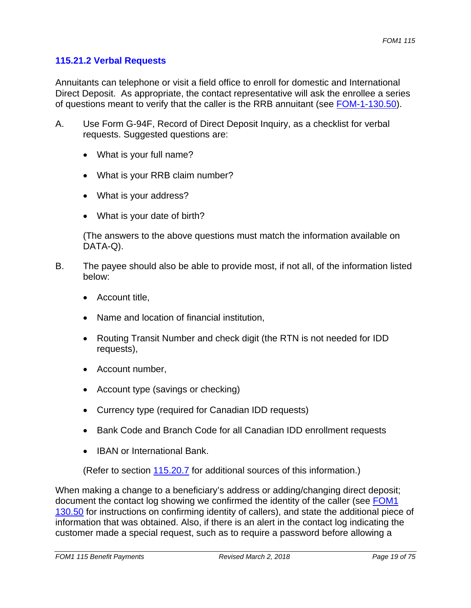## **115.21.2 Verbal Requests**

Annuitants can telephone or visit a field office to enroll for domestic and International Direct Deposit. As appropriate, the contact representative will ask the enrollee a series of questions meant to verify that the caller is the RRB annuitant (see FOM-1-130.50).

- A. Use Form G-94F, Record of Direct Deposit Inquiry, as a checklist for verbal requests. Suggested questions are:
	- What is your full name?
	- What is your RRB claim number?
	- What is your address?
	- What is your date of birth?

(The answers to the above questions must match the information available on DATA-Q).

- B. The payee should also be able to provide most, if not all, of the information listed below:
	- Account title,
	- Name and location of financial institution,
	- Routing Transit Number and check digit (the RTN is not needed for IDD requests),
	- Account number,
	- Account type (savings or checking)
	- Currency type (required for Canadian IDD requests)
	- Bank Code and Branch Code for all Canadian IDD enrollment requests
	- IBAN or International Bank.

(Refer to section 115.20.7 for additional sources of this information.)

When making a change to a beneficiary's address or adding/changing direct deposit; document the contact log showing we confirmed the identity of the caller (see FOM1 130.50 for instructions on confirming identity of callers), and state the additional piece of information that was obtained. Also, if there is an alert in the contact log indicating the customer made a special request, such as to require a password before allowing a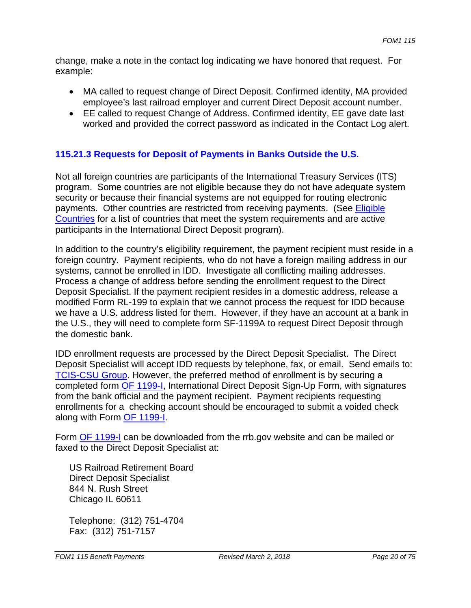change, make a note in the contact log indicating we have honored that request. For example:

- MA called to request change of Direct Deposit. Confirmed identity, MA provided employee's last railroad employer and current Direct Deposit account number.
- EE called to request Change of Address. Confirmed identity, EE gave date last worked and provided the correct password as indicated in the Contact Log alert.

## **115.21.3 Requests for Deposit of Payments in Banks Outside the U.S.**

Not all foreign countries are participants of the International Treasury Services (ITS) program. Some countries are not eligible because they do not have adequate system security or because their financial systems are not equipped for routing electronic payments. Other countries are restricted from receiving payments. (See Eligible Countries for a list of countries that meet the system requirements and are active participants in the International Direct Deposit program).

In addition to the country's eligibility requirement, the payment recipient must reside in a foreign country. Payment recipients, who do not have a foreign mailing address in our systems, cannot be enrolled in IDD. Investigate all conflicting mailing addresses. Process a change of address before sending the enrollment request to the Direct Deposit Specialist. If the payment recipient resides in a domestic address, release a modified Form RL-199 to explain that we cannot process the request for IDD because we have a U.S. address listed for them. However, if they have an account at a bank in the U.S., they will need to complete form SF-1199A to request Direct Deposit through the domestic bank.

IDD enrollment requests are processed by the Direct Deposit Specialist. The Direct Deposit Specialist will accept IDD requests by telephone, fax, or email. Send emails to: TCIS-CSU Group. However, the preferred method of enrollment is by securing a completed form OF 1199-I, International Direct Deposit Sign-Up Form, with signatures from the bank official and the payment recipient. Payment recipients requesting enrollments for a checking account should be encouraged to submit a voided check along with Form OF 1199-I.

Form OF 1199-I can be downloaded from the rrb.gov website and can be mailed or faxed to the Direct Deposit Specialist at:

US Railroad Retirement Board Direct Deposit Specialist 844 N. Rush Street Chicago IL 60611

Telephone: (312) 751-4704 Fax: (312) 751-7157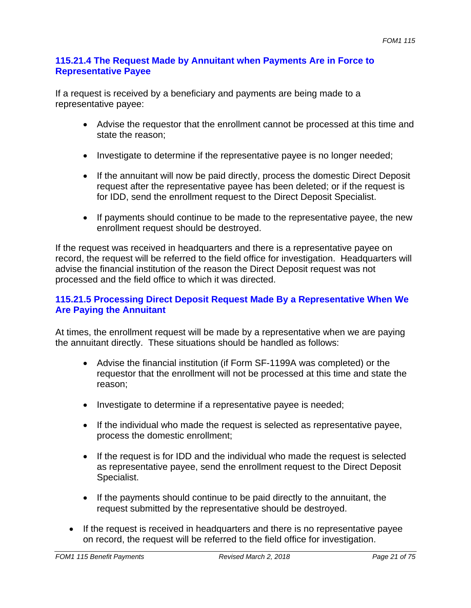#### **115.21.4 The Request Made by Annuitant when Payments Are in Force to Representative Payee**

If a request is received by a beneficiary and payments are being made to a representative payee:

- Advise the requestor that the enrollment cannot be processed at this time and state the reason;
- Investigate to determine if the representative payee is no longer needed;
- If the annuitant will now be paid directly, process the domestic Direct Deposit request after the representative payee has been deleted; or if the request is for IDD, send the enrollment request to the Direct Deposit Specialist.
- If payments should continue to be made to the representative payee, the new enrollment request should be destroyed.

If the request was received in headquarters and there is a representative payee on record, the request will be referred to the field office for investigation. Headquarters will advise the financial institution of the reason the Direct Deposit request was not processed and the field office to which it was directed.

## **115.21.5 Processing Direct Deposit Request Made By a Representative When We Are Paying the Annuitant**

At times, the enrollment request will be made by a representative when we are paying the annuitant directly. These situations should be handled as follows:

- Advise the financial institution (if Form SF-1199A was completed) or the requestor that the enrollment will not be processed at this time and state the reason;
- Investigate to determine if a representative payee is needed;
- If the individual who made the request is selected as representative payee, process the domestic enrollment;
- If the request is for IDD and the individual who made the request is selected as representative payee, send the enrollment request to the Direct Deposit Specialist.
- If the payments should continue to be paid directly to the annuitant, the request submitted by the representative should be destroyed.
- If the request is received in headquarters and there is no representative payee on record, the request will be referred to the field office for investigation.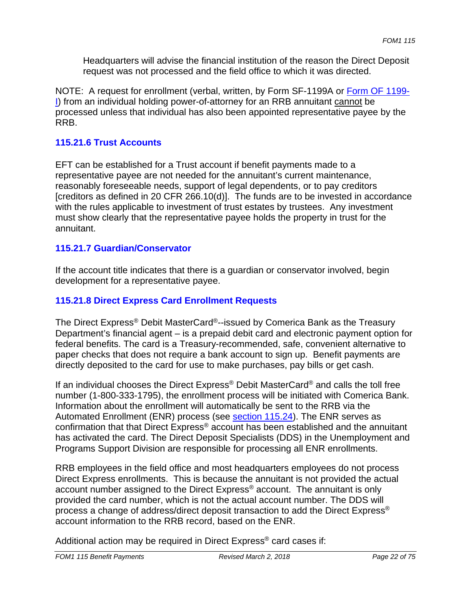Headquarters will advise the financial institution of the reason the Direct Deposit request was not processed and the field office to which it was directed.

NOTE: A request for enrollment (verbal, written, by Form SF-1199A or Form OF 1199 I) from an individual holding power-of-attorney for an RRB annuitant cannot be processed unless that individual has also been appointed representative payee by the RRB.

#### **115.21.6 Trust Accounts**

EFT can be established for a Trust account if benefit payments made to a representative payee are not needed for the annuitant's current maintenance, reasonably foreseeable needs, support of legal dependents, or to pay creditors [creditors as defined in 20 CFR 266.10(d)]. The funds are to be invested in accordance with the rules applicable to investment of trust estates by trustees. Any investment must show clearly that the representative payee holds the property in trust for the annuitant.

#### **115.21.7 Guardian/Conservator**

If the account title indicates that there is a guardian or conservator involved, begin development for a representative payee.

#### **115.21.8 Direct Express Card Enrollment Requests**

The Direct Express® Debit MasterCard®--issued by Comerica Bank as the Treasury Department's financial agent – is a prepaid debit card and electronic payment option for federal benefits. The card is a Treasury-recommended, safe, convenient alternative to paper checks that does not require a bank account to sign up. Benefit payments are directly deposited to the card for use to make purchases, pay bills or get cash.

If an individual chooses the Direct Express<sup>®</sup> Debit MasterCard<sup>®</sup> and calls the toll free number (1-800-333-1795), the enrollment process will be initiated with Comerica Bank. Information about the enrollment will automatically be sent to the RRB via the Automated Enrollment (ENR) process (see section 115.24). The ENR serves as confirmation that that Direct Express® account has been established and the annuitant has activated the card. The Direct Deposit Specialists (DDS) in the Unemployment and Programs Support Division are responsible for processing all ENR enrollments.

RRB employees in the field office and most headquarters employees do not process Direct Express enrollments. This is because the annuitant is not provided the actual account number assigned to the Direct Express® account. The annuitant is only provided the card number, which is not the actual account number. The DDS will process a change of address/direct deposit transaction to add the Direct Express® account information to the RRB record, based on the ENR.

Additional action may be required in Direct Express<sup>®</sup> card cases if: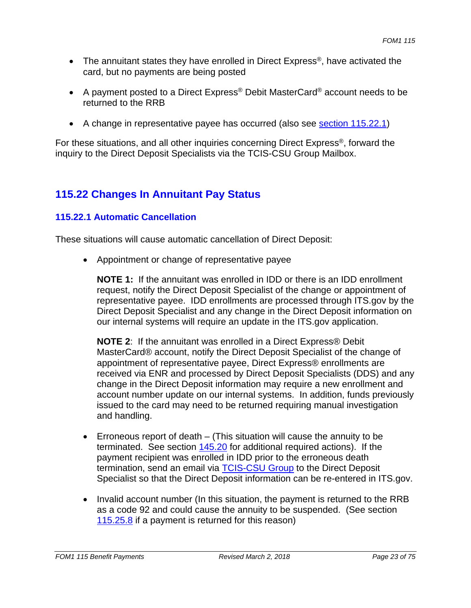- The annuitant states they have enrolled in Direct Express<sup>®</sup>, have activated the card, but no payments are being posted
- A payment posted to a Direct Express<sup>®</sup> Debit MasterCard<sup>®</sup> account needs to be returned to the RRB
- A change in representative payee has occurred (also see section 115.22.1)

For these situations, and all other inquiries concerning Direct Express®, forward the inquiry to the Direct Deposit Specialists via the TCIS-CSU Group Mailbox.

# **115.22 Changes In Annuitant Pay Status**

## **115.22.1 Automatic Cancellation**

These situations will cause automatic cancellation of Direct Deposit:

 Appointment or change of representative payee

**NOTE 1:** If the annuitant was enrolled in IDD or there is an IDD enrollment request, notify the Direct Deposit Specialist of the change or appointment of representative payee. IDD enrollments are processed through ITS.gov by the Direct Deposit Specialist and any change in the Direct Deposit information on our internal systems will require an update in the ITS.gov application.

**NOTE 2**: If the annuitant was enrolled in a Direct Express® Debit MasterCard® account, notify the Direct Deposit Specialist of the change of appointment of representative payee, Direct Express® enrollments are received via ENR and processed by Direct Deposit Specialists (DDS) and any change in the Direct Deposit information may require a new enrollment and account number update on our internal systems. In addition, funds previously issued to the card may need to be returned requiring manual investigation and handling.

- **E**rroneous report of death  $-$  (This situation will cause the annuity to be terminated. See section 145.20 for additional required actions). If the payment recipient was enrolled in IDD prior to the erroneous death termination, send an email via TCIS-CSU Group to the Direct Deposit Specialist so that the Direct Deposit information can be re-entered in ITS.gov.
- Invalid account number (In this situation, the payment is returned to the RRB as a code 92 and could cause the annuity to be suspended. (See section 115.25.8 if a payment is returned for this reason)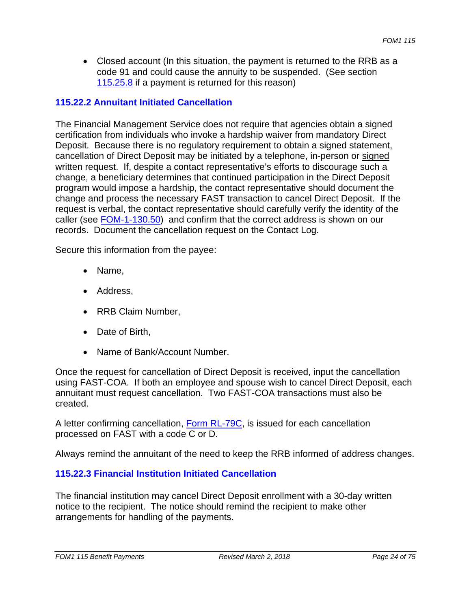Closed account (In this situation, the payment is returned to the RRB as a code 91 and could cause the annuity to be suspended. (See section 115.25.8 if a payment is returned for this reason)

#### **115.22.2 Annuitant Initiated Cancellation**

The Financial Management Service does not require that agencies obtain a signed certification from individuals who invoke a hardship waiver from mandatory Direct Deposit. Because there is no regulatory requirement to obtain a signed statement, cancellation of Direct Deposit may be initiated by a telephone, in-person or signed written request. If, despite a contact representative's efforts to discourage such a change, a beneficiary determines that continued participation in the Direct Deposit program would impose a hardship, the contact representative should document the change and process the necessary FAST transaction to cancel Direct Deposit. If the request is verbal, the contact representative should carefully verify the identity of the caller (see **FOM-1-130.50**) and confirm that the correct address is shown on our records. Document the cancellation request on the Contact Log.

Secure this information from the payee:

- Name,
- Address,
- RRB Claim Number,
- Date of Birth.
- Name of Bank/Account Number.

Once the request for cancellation of Direct Deposit is received, input the cancellation using FAST-COA. If both an employee and spouse wish to cancel Direct Deposit, each annuitant must request cancellation. Two FAST-COA transactions must also be created.

A letter confirming cancellation, Form RL-79C, is issued for each cancellation processed on FAST with a code C or D.

Always remind the annuitant of the need to keep the RRB informed of address changes.

#### **115.22.3 Financial Institution Initiated Cancellation**

The financial institution may cancel Direct Deposit enrollment with a 30-day written notice to the recipient. The notice should remind the recipient to make other arrangements for handling of the payments.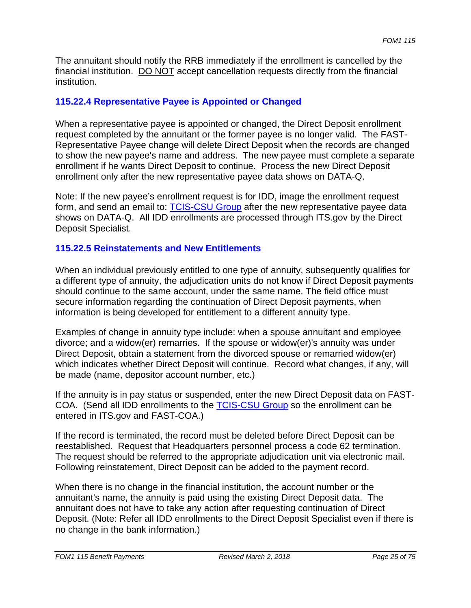The annuitant should notify the RRB immediately if the enrollment is cancelled by the financial institution. DO NOT accept cancellation requests directly from the financial institution.

## **115.22.4 Representative Payee is Appointed or Changed**

When a representative payee is appointed or changed, the Direct Deposit enrollment request completed by the annuitant or the former payee is no longer valid. The FAST-Representative Payee change will delete Direct Deposit when the records are changed to show the new payee's name and address. The new payee must complete a separate enrollment if he wants Direct Deposit to continue. Process the new Direct Deposit enrollment only after the new representative payee data shows on DATA-Q.

Note: If the new payee's enrollment request is for IDD, image the enrollment request form, and send an email to: **TCIS-CSU Group** after the new representative payee data shows on DATA-Q. All IDD enrollments are processed through ITS.gov by the Direct Deposit Specialist.

#### **115.22.5 Reinstatements and New Entitlements**

When an individual previously entitled to one type of annuity, subsequently qualifies for a different type of annuity, the adjudication units do not know if Direct Deposit payments should continue to the same account, under the same name. The field office must secure information regarding the continuation of Direct Deposit payments, when information is being developed for entitlement to a different annuity type.

Examples of change in annuity type include: when a spouse annuitant and employee divorce; and a widow(er) remarries. If the spouse or widow(er)'s annuity was under Direct Deposit, obtain a statement from the divorced spouse or remarried widow(er) which indicates whether Direct Deposit will continue. Record what changes, if any, will be made (name, depositor account number, etc.)

If the annuity is in pay status or suspended, enter the new Direct Deposit data on FAST-COA. (Send all IDD enrollments to the **TCIS-CSU Group** so the enrollment can be entered in ITS.gov and FAST-COA.)

If the record is terminated, the record must be deleted before Direct Deposit can be reestablished. Request that Headquarters personnel process a code 62 termination. The request should be referred to the appropriate adjudication unit via electronic mail. Following reinstatement, Direct Deposit can be added to the payment record.

When there is no change in the financial institution, the account number or the annuitant's name, the annuity is paid using the existing Direct Deposit data. The annuitant does not have to take any action after requesting continuation of Direct Deposit. (Note: Refer all IDD enrollments to the Direct Deposit Specialist even if there is no change in the bank information.)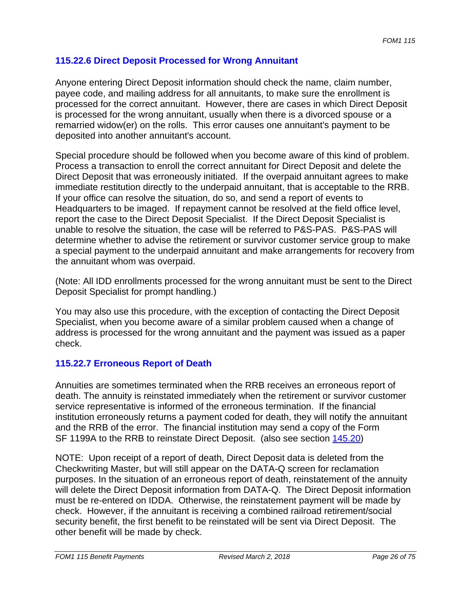## **115.22.6 Direct Deposit Processed for Wrong Annuitant**

Anyone entering Direct Deposit information should check the name, claim number, payee code, and mailing address for all annuitants, to make sure the enrollment is processed for the correct annuitant. However, there are cases in which Direct Deposit is processed for the wrong annuitant, usually when there is a divorced spouse or a remarried widow(er) on the rolls. This error causes one annuitant's payment to be deposited into another annuitant's account.

Special procedure should be followed when you become aware of this kind of problem. Process a transaction to enroll the correct annuitant for Direct Deposit and delete the Direct Deposit that was erroneously initiated. If the overpaid annuitant agrees to make immediate restitution directly to the underpaid annuitant, that is acceptable to the RRB. If your office can resolve the situation, do so, and send a report of events to Headquarters to be imaged. If repayment cannot be resolved at the field office level, report the case to the Direct Deposit Specialist. If the Direct Deposit Specialist is unable to resolve the situation, the case will be referred to P&S-PAS. P&S-PAS will determine whether to advise the retirement or survivor customer service group to make a special payment to the underpaid annuitant and make arrangements for recovery from the annuitant whom was overpaid.

(Note: All IDD enrollments processed for the wrong annuitant must be sent to the Direct Deposit Specialist for prompt handling.)

You may also use this procedure, with the exception of contacting the Direct Deposit Specialist, when you become aware of a similar problem caused when a change of address is processed for the wrong annuitant and the payment was issued as a paper check.

## **115.22.7 Erroneous Report of Death**

Annuities are sometimes terminated when the RRB receives an erroneous report of death. The annuity is reinstated immediately when the retirement or survivor customer service representative is informed of the erroneous termination. If the financial institution erroneously returns a payment coded for death, they will notify the annuitant and the RRB of the error. The financial institution may send a copy of the Form SF 1199A to the RRB to reinstate Direct Deposit. (also see section 145.20)

NOTE: Upon receipt of a report of death, Direct Deposit data is deleted from the Checkwriting Master, but will still appear on the DATA-Q screen for reclamation purposes. In the situation of an erroneous report of death, reinstatement of the annuity will delete the Direct Deposit information from DATA-Q. The Direct Deposit information must be re-entered on IDDA. Otherwise, the reinstatement payment will be made by check. However, if the annuitant is receiving a combined railroad retirement/social security benefit, the first benefit to be reinstated will be sent via Direct Deposit. The other benefit will be made by check.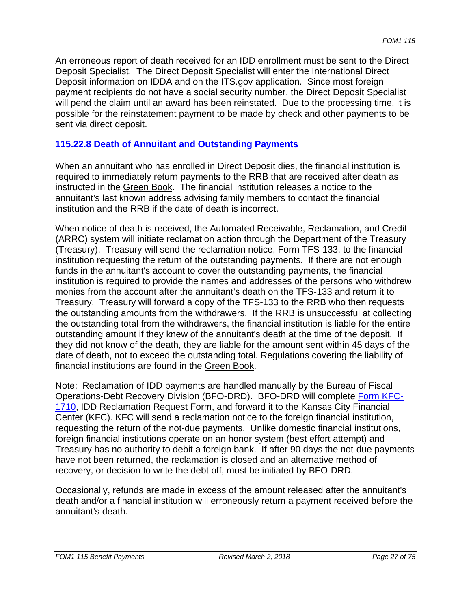An erroneous report of death received for an IDD enrollment must be sent to the Direct Deposit Specialist. The Direct Deposit Specialist will enter the International Direct Deposit information on IDDA and on the ITS.gov application. Since most foreign payment recipients do not have a social security number, the Direct Deposit Specialist will pend the claim until an award has been reinstated. Due to the processing time, it is possible for the reinstatement payment to be made by check and other payments to be sent via direct deposit.

### **115.22.8 Death of Annuitant and Outstanding Payments**

When an annuitant who has enrolled in Direct Deposit dies, the financial institution is required to immediately return payments to the RRB that are received after death as instructed in the Green Book. The financial institution releases a notice to the annuitant's last known address advising family members to contact the financial institution and the RRB if the date of death is incorrect.

When notice of death is received, the Automated Receivable, Reclamation, and Credit (ARRC) system will initiate reclamation action through the Department of the Treasury (Treasury). Treasury will send the reclamation notice, Form TFS-133, to the financial institution requesting the return of the outstanding payments. If there are not enough funds in the annuitant's account to cover the outstanding payments, the financial institution is required to provide the names and addresses of the persons who withdrew monies from the account after the annuitant's death on the TFS-133 and return it to Treasury. Treasury will forward a copy of the TFS-133 to the RRB who then requests the outstanding amounts from the withdrawers. If the RRB is unsuccessful at collecting the outstanding total from the withdrawers, the financial institution is liable for the entire outstanding amount if they knew of the annuitant's death at the time of the deposit. If they did not know of the death, they are liable for the amount sent within 45 days of the date of death, not to exceed the outstanding total. Regulations covering the liability of financial institutions are found in the Green Book.

Note: Reclamation of IDD payments are handled manually by the Bureau of Fiscal Operations-Debt Recovery Division (BFO-DRD). BFO-DRD will complete Form KFC-1710, IDD Reclamation Request Form, and forward it to the Kansas City Financial Center (KFC). KFC will send a reclamation notice to the foreign financial institution, requesting the return of the not-due payments. Unlike domestic financial institutions, foreign financial institutions operate on an honor system (best effort attempt) and Treasury has no authority to debit a foreign bank. If after 90 days the not-due payments have not been returned, the reclamation is closed and an alternative method of recovery, or decision to write the debt off, must be initiated by BFO-DRD.

Occasionally, refunds are made in excess of the amount released after the annuitant's death and/or a financial institution will erroneously return a payment received before the annuitant's death.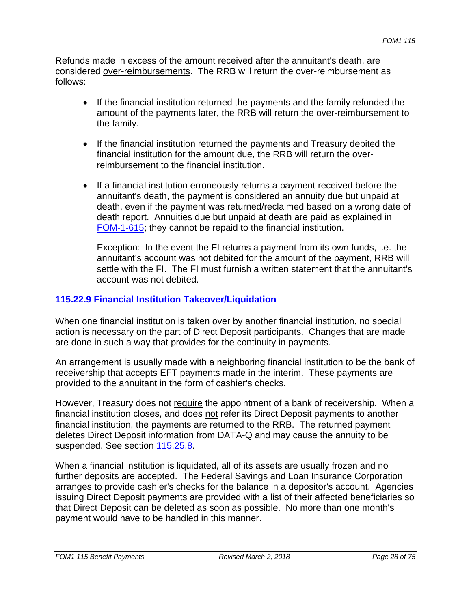Refunds made in excess of the amount received after the annuitant's death, are considered over-reimbursements. The RRB will return the over-reimbursement as follows:

- If the financial institution returned the payments and the family refunded the amount of the payments later, the RRB will return the over-reimbursement to the family.
- If the financial institution returned the payments and Treasury debited the financial institution for the amount due, the RRB will return the overreimbursement to the financial institution.
- If a financial institution erroneously returns a payment received before the annuitant's death, the payment is considered an annuity due but unpaid at death, even if the payment was returned/reclaimed based on a wrong date of death report. Annuities due but unpaid at death are paid as explained in FOM-1-615; they cannot be repaid to the financial institution.

Exception: In the event the FI returns a payment from its own funds, i.e. the annuitant's account was not debited for the amount of the payment, RRB will settle with the FI. The FI must furnish a written statement that the annuitant's account was not debited.

## **115.22.9 Financial Institution Takeover/Liquidation**

When one financial institution is taken over by another financial institution, no special action is necessary on the part of Direct Deposit participants. Changes that are made are done in such a way that provides for the continuity in payments.

An arrangement is usually made with a neighboring financial institution to be the bank of receivership that accepts EFT payments made in the interim. These payments are provided to the annuitant in the form of cashier's checks.

However, Treasury does not require the appointment of a bank of receivership. When a financial institution closes, and does not refer its Direct Deposit payments to another financial institution, the payments are returned to the RRB. The returned payment deletes Direct Deposit information from DATA-Q and may cause the annuity to be suspended. See section 115.25.8.

When a financial institution is liquidated, all of its assets are usually frozen and no further deposits are accepted. The Federal Savings and Loan Insurance Corporation arranges to provide cashier's checks for the balance in a depositor's account. Agencies issuing Direct Deposit payments are provided with a list of their affected beneficiaries so that Direct Deposit can be deleted as soon as possible. No more than one month's payment would have to be handled in this manner.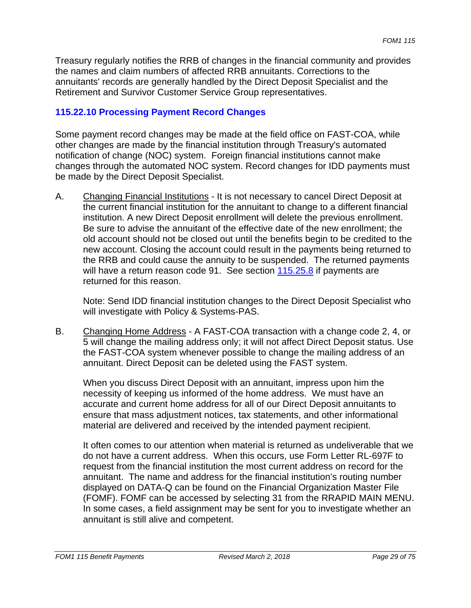Treasury regularly notifies the RRB of changes in the financial community and provides the names and claim numbers of affected RRB annuitants. Corrections to the annuitants' records are generally handled by the Direct Deposit Specialist and the Retirement and Survivor Customer Service Group representatives.

## **115.22.10 Processing Payment Record Changes**

Some payment record changes may be made at the field office on FAST-COA, while other changes are made by the financial institution through Treasury's automated notification of change (NOC) system. Foreign financial institutions cannot make changes through the automated NOC system. Record changes for IDD payments must be made by the Direct Deposit Specialist.

A. Changing Financial Institutions - It is not necessary to cancel Direct Deposit at the current financial institution for the annuitant to change to a different financial institution. A new Direct Deposit enrollment will delete the previous enrollment. Be sure to advise the annuitant of the effective date of the new enrollment; the old account should not be closed out until the benefits begin to be credited to the new account. Closing the account could result in the payments being returned to the RRB and could cause the annuity to be suspended. The returned payments will have a return reason code 91. See section 115.25.8 if payments are returned for this reason.

Note: Send IDD financial institution changes to the Direct Deposit Specialist who will investigate with Policy & Systems-PAS.

B. Changing Home Address - A FAST-COA transaction with a change code 2, 4, or 5 will change the mailing address only; it will not affect Direct Deposit status. Use the FAST-COA system whenever possible to change the mailing address of an annuitant. Direct Deposit can be deleted using the FAST system.

When you discuss Direct Deposit with an annuitant, impress upon him the necessity of keeping us informed of the home address. We must have an accurate and current home address for all of our Direct Deposit annuitants to ensure that mass adjustment notices, tax statements, and other informational material are delivered and received by the intended payment recipient.

It often comes to our attention when material is returned as undeliverable that we do not have a current address. When this occurs, use Form Letter RL-697F to request from the financial institution the most current address on record for the annuitant. The name and address for the financial institution's routing number displayed on DATA-Q can be found on the Financial Organization Master File (FOMF). FOMF can be accessed by selecting 31 from the RRAPID MAIN MENU. In some cases, a field assignment may be sent for you to investigate whether an annuitant is still alive and competent.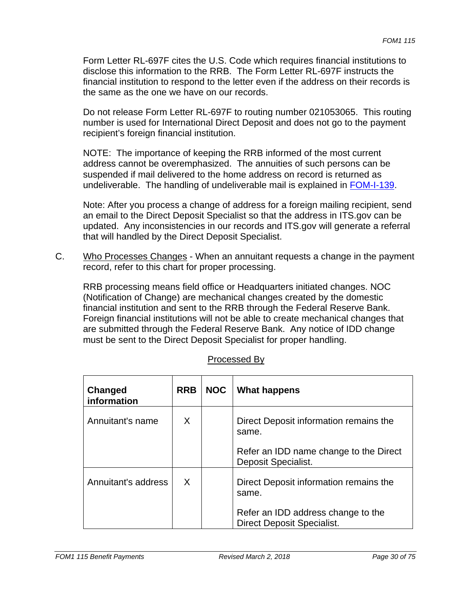Form Letter RL-697F cites the U.S. Code which requires financial institutions to disclose this information to the RRB. The Form Letter RL-697F instructs the financial institution to respond to the letter even if the address on their records is the same as the one we have on our records.

Do not release Form Letter RL-697F to routing number 021053065. This routing number is used for International Direct Deposit and does not go to the payment recipient's foreign financial institution.

NOTE: The importance of keeping the RRB informed of the most current address cannot be overemphasized. The annuities of such persons can be suspended if mail delivered to the home address on record is returned as undeliverable. The handling of undeliverable mail is explained in FOM-I-139.

Note: After you process a change of address for a foreign mailing recipient, send an email to the Direct Deposit Specialist so that the address in ITS.gov can be updated. Any inconsistencies in our records and ITS.gov will generate a referral that will handled by the Direct Deposit Specialist.

C. Who Processes Changes - When an annuitant requests a change in the payment record, refer to this chart for proper processing.

RRB processing means field office or Headquarters initiated changes. NOC (Notification of Change) are mechanical changes created by the domestic financial institution and sent to the RRB through the Federal Reserve Bank. Foreign financial institutions will not be able to create mechanical changes that are submitted through the Federal Reserve Bank. Any notice of IDD change must be sent to the Direct Deposit Specialist for proper handling.

| Changed<br>information | <b>RRB</b> | <b>NOC</b> | <b>What happens</b>                                              |
|------------------------|------------|------------|------------------------------------------------------------------|
| Annuitant's name       | X          |            | Direct Deposit information remains the<br>same.                  |
|                        |            |            | Refer an IDD name change to the Direct<br>Deposit Specialist.    |
| Annuitant's address    | X          |            | Direct Deposit information remains the<br>same.                  |
|                        |            |            | Refer an IDD address change to the<br>Direct Deposit Specialist. |

## Processed By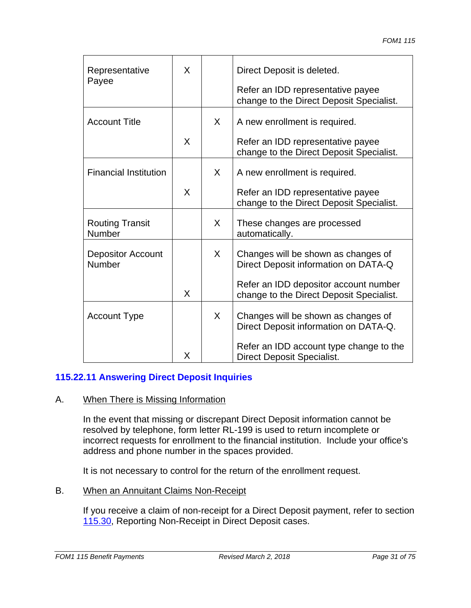| Representative<br>Payee            | X |   | Direct Deposit is deleted.<br>Refer an IDD representative payee<br>change to the Direct Deposit Specialist. |
|------------------------------------|---|---|-------------------------------------------------------------------------------------------------------------|
| <b>Account Title</b>               |   | X | A new enrollment is required.                                                                               |
|                                    | X |   | Refer an IDD representative payee<br>change to the Direct Deposit Specialist.                               |
| <b>Financial Institution</b>       |   | X | A new enrollment is required.                                                                               |
|                                    | X |   | Refer an IDD representative payee<br>change to the Direct Deposit Specialist.                               |
| <b>Routing Transit</b><br>Number   |   | X | These changes are processed<br>automatically.                                                               |
| <b>Depositor Account</b><br>Number |   | X | Changes will be shown as changes of<br>Direct Deposit information on DATA-Q                                 |
|                                    | X |   | Refer an IDD depositor account number<br>change to the Direct Deposit Specialist.                           |
| <b>Account Type</b>                |   | X | Changes will be shown as changes of<br>Direct Deposit information on DATA-Q.                                |
|                                    | X |   | Refer an IDD account type change to the<br><b>Direct Deposit Specialist.</b>                                |

## **115.22.11 Answering Direct Deposit Inquiries**

#### A. When There is Missing Information

In the event that missing or discrepant Direct Deposit information cannot be resolved by telephone, form letter RL-199 is used to return incomplete or incorrect requests for enrollment to the financial institution. Include your office's address and phone number in the spaces provided.

It is not necessary to control for the return of the enrollment request.

#### B. When an Annuitant Claims Non-Receipt

If you receive a claim of non-receipt for a Direct Deposit payment, refer to section 115.30, Reporting Non-Receipt in Direct Deposit cases.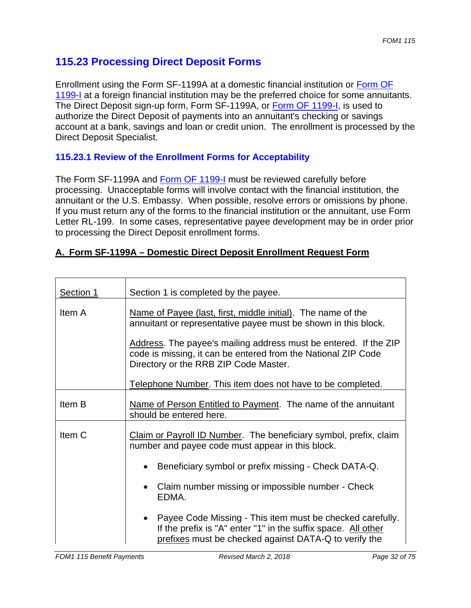# **115.23 Processing Direct Deposit Forms**

Enrollment using the Form SF-1199A at a domestic financial institution or Form OF 1199-I at a foreign financial institution may be the preferred choice for some annuitants. The Direct Deposit sign-up form, Form SF-1199A, or Form OF 1199-I, is used to authorize the Direct Deposit of payments into an annuitant's checking or savings account at a bank, savings and loan or credit union. The enrollment is processed by the Direct Deposit Specialist.

## **115.23.1 Review of the Enrollment Forms for Acceptability**

The Form SF-1199A and Form OF 1199-I must be reviewed carefully before processing. Unacceptable forms will involve contact with the financial institution, the annuitant or the U.S. Embassy. When possible, resolve errors or omissions by phone. If you must return any of the forms to the financial institution or the annuitant, use Form Letter RL-199. In some cases, representative payee development may be in order prior to processing the Direct Deposit enrollment forms.

| A. Form SF-1199A - Domestic Direct Deposit Enrollment Request Form |  |
|--------------------------------------------------------------------|--|
|--------------------------------------------------------------------|--|

| Section 1         | Section 1 is completed by the payee.                                                                                                                                                  |  |  |
|-------------------|---------------------------------------------------------------------------------------------------------------------------------------------------------------------------------------|--|--|
| Item A            | Name of Payee (last, first, middle initial). The name of the<br>annuitant or representative payee must be shown in this block.                                                        |  |  |
|                   | Address. The payee's mailing address must be entered. If the ZIP<br>code is missing, it can be entered from the National ZIP Code<br>Directory or the RRB ZIP Code Master.            |  |  |
|                   | Telephone Number. This item does not have to be completed.                                                                                                                            |  |  |
| Item B            | Name of Person Entitled to Payment. The name of the annuitant<br>should be entered here.                                                                                              |  |  |
| Item <sub>C</sub> | Claim or Payroll ID Number. The beneficiary symbol, prefix, claim<br>number and payee code must appear in this block.                                                                 |  |  |
|                   | Beneficiary symbol or prefix missing - Check DATA-Q.<br>$\bullet$                                                                                                                     |  |  |
|                   | Claim number missing or impossible number - Check<br>$\bullet$<br>EDMA.                                                                                                               |  |  |
|                   | • Payee Code Missing - This item must be checked carefully.<br>If the prefix is "A" enter "1" in the suffix space. All other<br>prefixes must be checked against DATA-Q to verify the |  |  |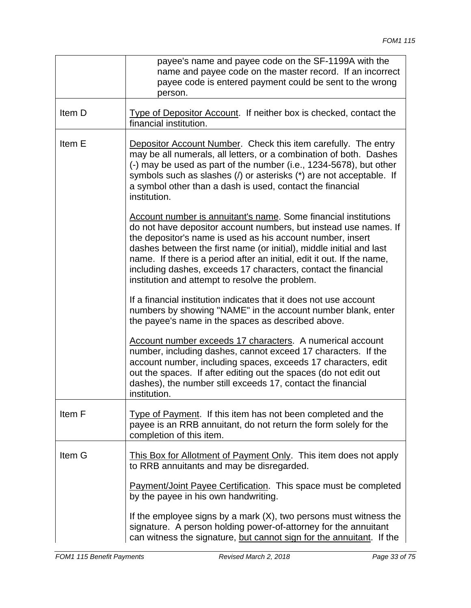|        | payee's name and payee code on the SF-1199A with the<br>name and payee code on the master record. If an incorrect<br>payee code is entered payment could be sent to the wrong<br>person.                                                                                                                                                                                                                                                                                       |
|--------|--------------------------------------------------------------------------------------------------------------------------------------------------------------------------------------------------------------------------------------------------------------------------------------------------------------------------------------------------------------------------------------------------------------------------------------------------------------------------------|
| Item D | Type of Depositor Account. If neither box is checked, contact the<br>financial institution.                                                                                                                                                                                                                                                                                                                                                                                    |
| Item E | <b>Depositor Account Number. Check this item carefully. The entry</b><br>may be all numerals, all letters, or a combination of both. Dashes<br>(-) may be used as part of the number (i.e., 1234-5678), but other<br>symbols such as slashes (/) or asterisks (*) are not acceptable. If<br>a symbol other than a dash is used, contact the financial<br>institution.                                                                                                          |
|        | <b>Account number is annuitant's name. Some financial institutions</b><br>do not have depositor account numbers, but instead use names. If<br>the depositor's name is used as his account number, insert<br>dashes between the first name (or initial), middle initial and last<br>name. If there is a period after an initial, edit it out. If the name,<br>including dashes, exceeds 17 characters, contact the financial<br>institution and attempt to resolve the problem. |
|        | If a financial institution indicates that it does not use account<br>numbers by showing "NAME" in the account number blank, enter<br>the payee's name in the spaces as described above.                                                                                                                                                                                                                                                                                        |
|        | Account number exceeds 17 characters. A numerical account<br>number, including dashes, cannot exceed 17 characters. If the<br>account number, including spaces, exceeds 17 characters, edit<br>out the spaces. If after editing out the spaces (do not edit out<br>dashes), the number still exceeds 17, contact the financial<br>institution.                                                                                                                                 |
| Item F | Type of Payment. If this item has not been completed and the<br>payee is an RRB annuitant, do not return the form solely for the<br>completion of this item.                                                                                                                                                                                                                                                                                                                   |
| Item G | This Box for Allotment of Payment Only. This item does not apply<br>to RRB annuitants and may be disregarded.                                                                                                                                                                                                                                                                                                                                                                  |
|        | <b>Payment/Joint Payee Certification.</b> This space must be completed<br>by the payee in his own handwriting.                                                                                                                                                                                                                                                                                                                                                                 |
|        | If the employee signs by a mark $(X)$ , two persons must witness the<br>signature. A person holding power-of-attorney for the annuitant<br>can witness the signature, but cannot sign for the annuitant. If the                                                                                                                                                                                                                                                                |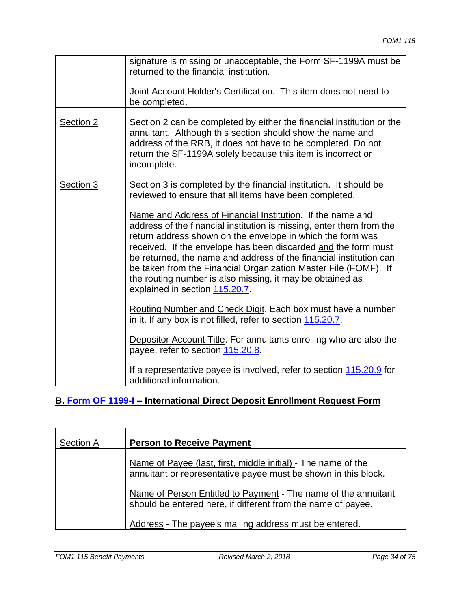|           | signature is missing or unacceptable, the Form SF-1199A must be<br>returned to the financial institution.<br>Joint Account Holder's Certification. This item does not need to<br>be completed.                                                                                                                                                                                                                                                                                                                                                                                                                                            |
|-----------|-------------------------------------------------------------------------------------------------------------------------------------------------------------------------------------------------------------------------------------------------------------------------------------------------------------------------------------------------------------------------------------------------------------------------------------------------------------------------------------------------------------------------------------------------------------------------------------------------------------------------------------------|
| Section 2 | Section 2 can be completed by either the financial institution or the<br>annuitant. Although this section should show the name and<br>address of the RRB, it does not have to be completed. Do not<br>return the SF-1199A solely because this item is incorrect or<br>incomplete.                                                                                                                                                                                                                                                                                                                                                         |
| Section 3 | Section 3 is completed by the financial institution. It should be<br>reviewed to ensure that all items have been completed.<br>Name and Address of Financial Institution. If the name and<br>address of the financial institution is missing, enter them from the<br>return address shown on the envelope in which the form was<br>received. If the envelope has been discarded and the form must<br>be returned, the name and address of the financial institution can<br>be taken from the Financial Organization Master File (FOMF). If<br>the routing number is also missing, it may be obtained as<br>explained in section 115.20.7. |
|           | Routing Number and Check Digit. Each box must have a number<br>in it. If any box is not filled, refer to section 115.20.7.                                                                                                                                                                                                                                                                                                                                                                                                                                                                                                                |
|           | Depositor Account Title. For annuitants enrolling who are also the<br>payee, refer to section 115.20.8.                                                                                                                                                                                                                                                                                                                                                                                                                                                                                                                                   |
|           | If a representative payee is involved, refer to section 115.20.9 for<br>additional information.                                                                                                                                                                                                                                                                                                                                                                                                                                                                                                                                           |

## **B. Form OF 1199-I – International Direct Deposit Enrollment Request Form**

| <b>Section A</b> | <b>Person to Receive Payment</b>                                                                                                |
|------------------|---------------------------------------------------------------------------------------------------------------------------------|
|                  | Name of Payee (last, first, middle initial) - The name of the<br>annuitant or representative payee must be shown in this block. |
|                  | Name of Person Entitled to Payment - The name of the annuitant<br>should be entered here, if different from the name of payee.  |
|                  | Address - The payee's mailing address must be entered.                                                                          |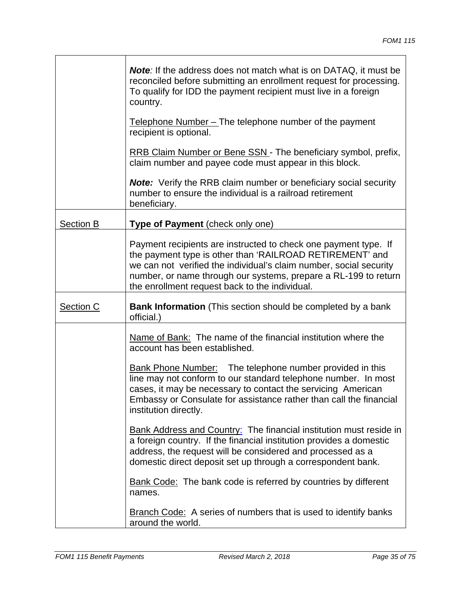|                  | <b>Note:</b> If the address does not match what is on DATAQ, it must be<br>reconciled before submitting an enrollment request for processing.<br>To qualify for IDD the payment recipient must live in a foreign<br>country.                                                                                           |
|------------------|------------------------------------------------------------------------------------------------------------------------------------------------------------------------------------------------------------------------------------------------------------------------------------------------------------------------|
|                  | Telephone Number – The telephone number of the payment<br>recipient is optional.                                                                                                                                                                                                                                       |
|                  | RRB Claim Number or Bene SSN - The beneficiary symbol, prefix,<br>claim number and payee code must appear in this block.                                                                                                                                                                                               |
|                  | <b>Note:</b> Verify the RRB claim number or beneficiary social security<br>number to ensure the individual is a railroad retirement<br>beneficiary.                                                                                                                                                                    |
| <b>Section B</b> | Type of Payment (check only one)                                                                                                                                                                                                                                                                                       |
|                  | Payment recipients are instructed to check one payment type. If<br>the payment type is other than 'RAILROAD RETIREMENT' and<br>we can not verified the individual's claim number, social security<br>number, or name through our systems, prepare a RL-199 to return<br>the enrollment request back to the individual. |
| Section C        | <b>Bank Information</b> (This section should be completed by a bank<br>official.)                                                                                                                                                                                                                                      |
|                  | Name of Bank: The name of the financial institution where the                                                                                                                                                                                                                                                          |
|                  | account has been established.                                                                                                                                                                                                                                                                                          |
|                  | <b>Bank Phone Number:</b> The telephone number provided in this<br>line may not conform to our standard telephone number. In most<br>cases, it may be necessary to contact the servicing American<br>Embassy or Consulate for assistance rather than call the financial<br>institution directly.                       |
|                  | <b>Bank Address and Country:</b> The financial institution must reside in<br>a foreign country. If the financial institution provides a domestic<br>address, the request will be considered and processed as a<br>domestic direct deposit set up through a correspondent bank.                                         |
|                  | <b>Bank Code:</b> The bank code is referred by countries by different<br>names.                                                                                                                                                                                                                                        |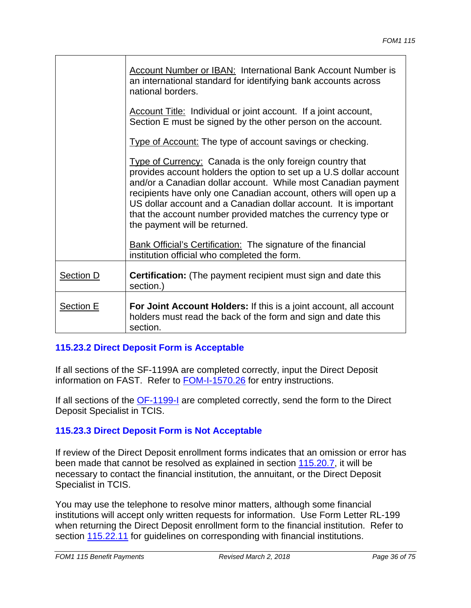|           | <b>Account Number or IBAN: International Bank Account Number is</b><br>an international standard for identifying bank accounts across<br>national borders.                                                                                                                                                                                                                                                                                 |
|-----------|--------------------------------------------------------------------------------------------------------------------------------------------------------------------------------------------------------------------------------------------------------------------------------------------------------------------------------------------------------------------------------------------------------------------------------------------|
|           | <b>Account Title:</b> Individual or joint account. If a joint account,<br>Section E must be signed by the other person on the account.                                                                                                                                                                                                                                                                                                     |
|           | <b>Type of Account:</b> The type of account savings or checking.                                                                                                                                                                                                                                                                                                                                                                           |
|           | Type of Currency: Canada is the only foreign country that<br>provides account holders the option to set up a U.S dollar account<br>and/or a Canadian dollar account. While most Canadian payment<br>recipients have only one Canadian account, others will open up a<br>US dollar account and a Canadian dollar account. It is important<br>that the account number provided matches the currency type or<br>the payment will be returned. |
|           | <b>Bank Official's Certification:</b> The signature of the financial<br>institution official who completed the form.                                                                                                                                                                                                                                                                                                                       |
| Section D | <b>Certification:</b> (The payment recipient must sign and date this<br>section.)                                                                                                                                                                                                                                                                                                                                                          |
| Section E | <b>For Joint Account Holders:</b> If this is a joint account, all account<br>holders must read the back of the form and sign and date this<br>section.                                                                                                                                                                                                                                                                                     |

## **115.23.2 Direct Deposit Form is Acceptable**

If all sections of the SF-1199A are completed correctly, input the Direct Deposit information on FAST. Refer to FOM-I-1570.26 for entry instructions.

If all sections of the **OF-1199-I** are completed correctly, send the form to the Direct Deposit Specialist in TCIS.

## **115.23.3 Direct Deposit Form is Not Acceptable**

If review of the Direct Deposit enrollment forms indicates that an omission or error has been made that cannot be resolved as explained in section 115.20.7, it will be necessary to contact the financial institution, the annuitant, or the Direct Deposit Specialist in TCIS.

You may use the telephone to resolve minor matters, although some financial institutions will accept only written requests for information. Use Form Letter RL-199 when returning the Direct Deposit enrollment form to the financial institution. Refer to section 115.22.11 for guidelines on corresponding with financial institutions.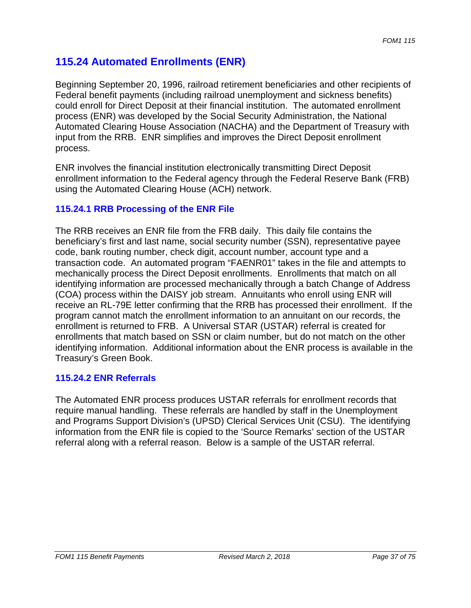# **115.24 Automated Enrollments (ENR)**

Beginning September 20, 1996, railroad retirement beneficiaries and other recipients of Federal benefit payments (including railroad unemployment and sickness benefits) could enroll for Direct Deposit at their financial institution. The automated enrollment process (ENR) was developed by the Social Security Administration, the National Automated Clearing House Association (NACHA) and the Department of Treasury with input from the RRB. ENR simplifies and improves the Direct Deposit enrollment process.

ENR involves the financial institution electronically transmitting Direct Deposit enrollment information to the Federal agency through the Federal Reserve Bank (FRB) using the Automated Clearing House (ACH) network.

# **115.24.1 RRB Processing of the ENR File**

The RRB receives an ENR file from the FRB daily. This daily file contains the beneficiary's first and last name, social security number (SSN), representative payee code, bank routing number, check digit, account number, account type and a transaction code. An automated program "FAENR01" takes in the file and attempts to mechanically process the Direct Deposit enrollments. Enrollments that match on all identifying information are processed mechanically through a batch Change of Address (COA) process within the DAISY job stream. Annuitants who enroll using ENR will receive an RL-79E letter confirming that the RRB has processed their enrollment. If the program cannot match the enrollment information to an annuitant on our records, the enrollment is returned to FRB. A Universal STAR (USTAR) referral is created for enrollments that match based on SSN or claim number, but do not match on the other identifying information. Additional information about the ENR process is available in the Treasury's Green Book.

#### **115.24.2 ENR Referrals**

The Automated ENR process produces USTAR referrals for enrollment records that require manual handling. These referrals are handled by staff in the Unemployment and Programs Support Division's (UPSD) Clerical Services Unit (CSU). The identifying information from the ENR file is copied to the 'Source Remarks' section of the USTAR referral along with a referral reason. Below is a sample of the USTAR referral.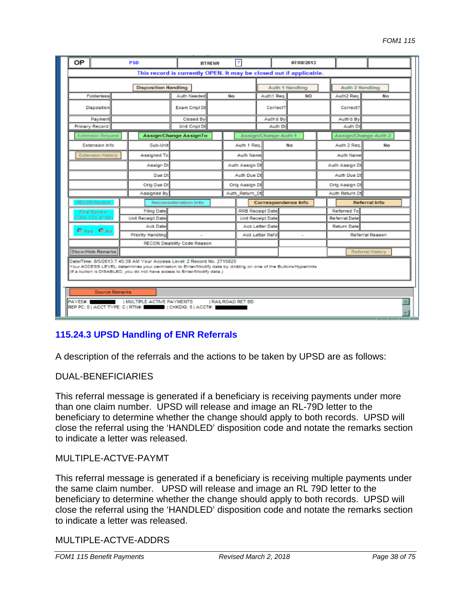| ΟP                                                                                                                                                                                                                                                                   |                          |                | <b>PSD</b>               |                                     | <b>BTRENR</b>           |           | $\overline{?}$           |                  |                          | 07/08/2013             |  |                      |                  |
|----------------------------------------------------------------------------------------------------------------------------------------------------------------------------------------------------------------------------------------------------------------------|--------------------------|----------------|--------------------------|-------------------------------------|-------------------------|-----------|--------------------------|------------------|--------------------------|------------------------|--|----------------------|------------------|
| This record is currently OPEN. It may be closed out if applicable.                                                                                                                                                                                                   |                          |                |                          |                                     |                         |           |                          |                  |                          |                        |  |                      |                  |
| <b>Disposition Handling</b>                                                                                                                                                                                                                                          |                          |                |                          |                                     |                         |           | <b>Auth 1 Handling</b>   |                  |                          | <b>Auth 2 Handling</b> |  |                      |                  |
|                                                                                                                                                                                                                                                                      | Folderless               |                |                          | Auth Needed                         |                         | <b>No</b> |                          | Auth1 Reg.       |                          | NO                     |  | Auth2 Reg.           | No               |
| <b>Disposition</b>                                                                                                                                                                                                                                                   |                          | Exam Cmol Dt   |                          |                                     | Correct?                |           |                          | Correct?         |                          |                        |  |                      |                  |
| Payment                                                                                                                                                                                                                                                              |                          | Closed By      |                          |                                     | Auth'd By               |           |                          | Auth'd By        |                          |                        |  |                      |                  |
|                                                                                                                                                                                                                                                                      | Primary Record           |                |                          | Unit Cmpl Dt                        |                         |           |                          | Auth Dt          |                          |                        |  | Auth Dt              |                  |
|                                                                                                                                                                                                                                                                      | <b>Extension Request</b> |                |                          | Assign/Change AssignTo              |                         |           |                          |                  | Assign/Change Auth 1     |                        |  | Assign/Change Auth 2 |                  |
|                                                                                                                                                                                                                                                                      | <b>Extension Info</b>    |                | Sub-Unit                 |                                     |                         |           | Auth 1 Reg.              |                  | No                       |                        |  | Auth 2 Reg.          | <b>No</b>        |
|                                                                                                                                                                                                                                                                      | <b>Extension History</b> |                | Assigned To              |                                     |                         |           | Auth Name                |                  |                          |                        |  | Auth Name            |                  |
|                                                                                                                                                                                                                                                                      |                          |                | Assign Dt                |                                     |                         |           | Auth Assign Dt           |                  |                          |                        |  | Auth Assign Dt       |                  |
|                                                                                                                                                                                                                                                                      |                          |                | Due Dt                   |                                     |                         |           | Auth Due Dt              |                  |                          |                        |  | Auth Due Dt          |                  |
| Orig Due Dt                                                                                                                                                                                                                                                          |                          |                |                          | Orig Assign Dt                      |                         |           | Orig Assign Dt           |                  |                          |                        |  |                      |                  |
| Assigned By                                                                                                                                                                                                                                                          |                          | Auth_Return_Dt |                          |                                     |                         |           |                          | Auth Return Dt   |                          |                        |  |                      |                  |
|                                                                                                                                                                                                                                                                      | RECON Review             |                |                          | Reconsideration Info                |                         |           |                          |                  | Correspondence Info      |                        |  |                      | Referral Info    |
|                                                                                                                                                                                                                                                                      | Final Review             |                | <b>Filing Date</b>       |                                     | <b>RRB Receipt Date</b> |           |                          |                  |                          | Referred To            |  |                      |                  |
| Click YES or No)                                                                                                                                                                                                                                                     |                          |                | <b>Unit Receipt Date</b> |                                     |                         |           | <b>Unit Receipt Date</b> |                  |                          | <b>Referral Date</b>   |  |                      |                  |
| <b>O</b> Yes O No.                                                                                                                                                                                                                                                   |                          |                | Ack Date                 |                                     |                         |           | <b>Ack Letter Date</b>   |                  | <b>Return Date</b>       |                        |  |                      |                  |
|                                                                                                                                                                                                                                                                      |                          |                | <b>Priority Handling</b> |                                     |                         |           |                          | Ack Letter Rel'd | $\overline{\phantom{a}}$ |                        |  |                      | Referral Reason  |
|                                                                                                                                                                                                                                                                      |                          |                |                          | <b>RECON Disability Code Reason</b> |                         |           |                          |                  |                          |                        |  |                      |                  |
|                                                                                                                                                                                                                                                                      | Show/Hide Remarks        |                |                          |                                     |                         |           |                          |                  |                          |                        |  |                      | Referral History |
| Date/Time: 8/5/2013:7:45:39 AM Your Access Level: 2 Record No. 2715625<br>Your ACCESS LEVEL determines your permission to Enter/Modify data by clicking on one of the Buttons/Hyperlinks.<br>(If a button is DISABLED, you do not have access to Enter/Modify data.) |                          |                |                          |                                     |                         |           |                          |                  |                          |                        |  |                      |                  |
| <b>Source Remarks</b>                                                                                                                                                                                                                                                |                          |                |                          |                                     |                         |           |                          |                  |                          |                        |  |                      |                  |
| <b>PAYEE#:</b><br>I MULTIPLE ACTIVE PAYMENTS<br><b>I RAILROAD RET BD</b><br>REP PC: 0   ACCT TYPE: C   RTN#:     CHKDIG: 5   ACCT#: 1                                                                                                                                |                          |                |                          |                                     |                         |           |                          |                  |                          |                        |  |                      |                  |

# **115.24.3 UPSD Handling of ENR Referrals**

A description of the referrals and the actions to be taken by UPSD are as follows:

#### DUAL-BENEFICIARIES

This referral message is generated if a beneficiary is receiving payments under more than one claim number. UPSD will release and image an RL-79D letter to the beneficiary to determine whether the change should apply to both records. UPSD will close the referral using the 'HANDLED' disposition code and notate the remarks section to indicate a letter was released.

#### MULTIPLE-ACTVE-PAYMT

This referral message is generated if a beneficiary is receiving multiple payments under the same claim number. UPSD will release and image an RL 79D letter to the beneficiary to determine whether the change should apply to both records. UPSD will close the referral using the 'HANDLED' disposition code and notate the remarks section to indicate a letter was released.

#### MULTIPLE-ACTVE-ADDRS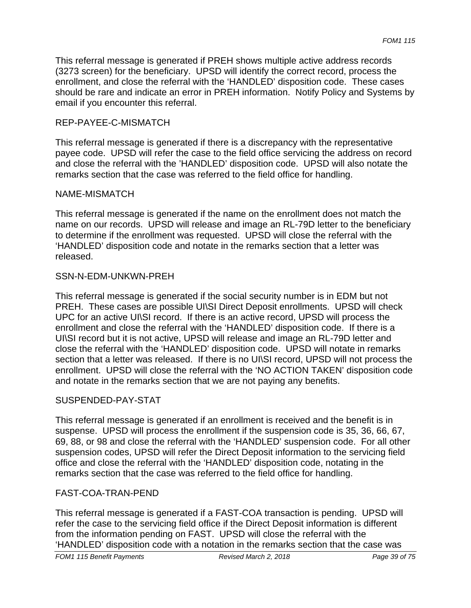email if you encounter this referral.<br>REP-PAYEE-C-MISMATCH This referral message is generated if PREH shows multiple active address records (3273 screen) for the beneficiary. UPSD will identify the correct record, process the enrollment, and close the referral with the 'HANDLED' disposition code. These cases should be rare and indicate an error in PREH information. Notify Policy and Systems by

This referral message is generated if there is a discrepancy with the representative payee code. UPSD will refer the case to the field office servicing the address on record and close the referral with the 'HANDLED' disposition code. UPSD will also notate the remarks section that the case was referred to the field office for handling.

## NAME-MISMATCH

This referral message is generated if the name on the enrollment does not match the name on our records. UPSD will release and image an RL-79D letter to the beneficiary to determine if the enrollment was requested. UPSD will close the referral with the 'HANDLED' disposition code and notate in the remarks section that a letter was released.

## SSN-N-EDM-UNKWN-PREH

This referral message is generated if the social security number is in EDM but not PREH. These cases are possible UI\SI Direct Deposit enrollments. UPSD will check UPC for an active UI\SI record. If there is an active record, UPSD will process the enrollment and close the referral with the 'HANDLED' disposition code. If there is a UI\SI record but it is not active, UPSD will release and image an RL-79D letter and close the referral with the 'HANDLED' disposition code. UPSD will notate in remarks section that a letter was released. If there is no UI\SI record, UPSD will not process the enrollment. UPSD will close the referral with the 'NO ACTION TAKEN' disposition code and notate in the remarks section that we are not paying any benefits.

# SUSPENDED-PAY-STAT

This referral message is generated if an enrollment is received and the benefit is in suspense. UPSD will process the enrollment if the suspension code is 35, 36, 66, 67, 69, 88, or 98 and close the referral with the 'HANDLED' suspension code. For all other suspension codes, UPSD will refer the Direct Deposit information to the servicing field office and close the referral with the 'HANDLED' disposition code, notating in the remarks section that the case was referred to the field office for handling.

# FAST-COA-TRAN-PEND

This referral message is generated if a FAST-COA transaction is pending. UPSD will refer the case to the servicing field office if the Direct Deposit information is different from the information pending on FAST. UPSD will close the referral with the 'HANDLED' disposition code with a notation in the remarks section that the case was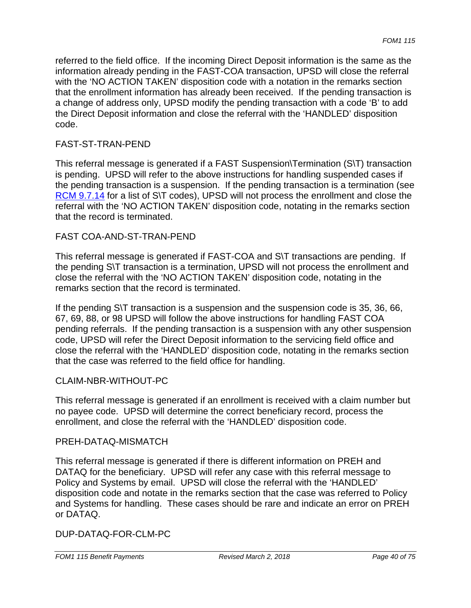referred to the field office. If the incoming Direct Deposit information is the same as the information already pending in the FAST-COA transaction, UPSD will close the referral with the 'NO ACTION TAKEN' disposition code with a notation in the remarks section that the enrollment information has already been received. If the pending transaction is a change of address only, UPSD modify the pending transaction with a code 'B' to add the Direct Deposit information and close the referral with the 'HANDLED' disposition code.

#### FAST-ST-TRAN-PEND

This referral message is generated if a FAST Suspension\Termination (S\T) transaction is pending. UPSD will refer to the above instructions for handling suspended cases if the pending transaction is a suspension. If the pending transaction is a termination (see RCM 9.7.14 for a list of S\T codes), UPSD will not process the enrollment and close the referral with the 'NO ACTION TAKEN' disposition code, notating in the remarks section that the record is terminated.

## FAST COA-AND-ST-TRAN-PEND

This referral message is generated if FAST-COA and S\T transactions are pending. If the pending S\T transaction is a termination, UPSD will not process the enrollment and close the referral with the 'NO ACTION TAKEN' disposition code, notating in the remarks section that the record is terminated.

If the pending S\T transaction is a suspension and the suspension code is 35, 36, 66, 67, 69, 88, or 98 UPSD will follow the above instructions for handling FAST COA pending referrals. If the pending transaction is a suspension with any other suspension code, UPSD will refer the Direct Deposit information to the servicing field office and close the referral with the 'HANDLED' disposition code, notating in the remarks section that the case was referred to the field office for handling.

#### CLAIM-NBR-WITHOUT-PC

This referral message is generated if an enrollment is received with a claim number but no payee code. UPSD will determine the correct beneficiary record, process the enrollment, and close the referral with the 'HANDLED' disposition code.

#### PREH-DATAQ-MISMATCH

This referral message is generated if there is different information on PREH and DATAQ for the beneficiary. UPSD will refer any case with this referral message to Policy and Systems by email. UPSD will close the referral with the 'HANDLED' disposition code and notate in the remarks section that the case was referred to Policy and Systems for handling. These cases should be rare and indicate an error on PREH or DATAQ.

#### DUP-DATAQ-FOR-CLM-PC

 *FOM1 115 Benefit Payments Revised March 2, 2018 Page 40 of 75*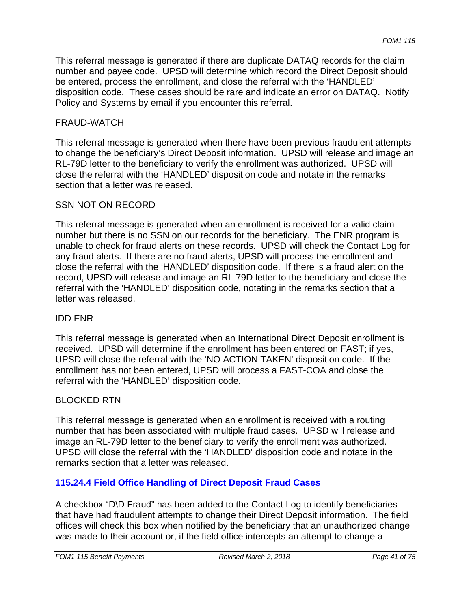This referral message is generated if there are duplicate DATAQ records for the claim number and payee code. UPSD will determine which record the Direct Deposit should be entered, process the enrollment, and close the referral with the 'HANDLED' disposition code. These cases should be rare and indicate an error on DATAQ. Notify Policy and Systems by email if you encounter this referral.

#### FRAUD-WATCH

This referral message is generated when there have been previous fraudulent attempts to change the beneficiary's Direct Deposit information. UPSD will release and image an RL-79D letter to the beneficiary to verify the enrollment was authorized. UPSD will close the referral with the 'HANDLED' disposition code and notate in the remarks section that a letter was released.

#### SSN NOT ON RECORD

This referral message is generated when an enrollment is received for a valid claim number but there is no SSN on our records for the beneficiary. The ENR program is unable to check for fraud alerts on these records. UPSD will check the Contact Log for any fraud alerts. If there are no fraud alerts, UPSD will process the enrollment and close the referral with the 'HANDLED' disposition code. If there is a fraud alert on the record, UPSD will release and image an RL 79D letter to the beneficiary and close the referral with the 'HANDLED' disposition code, notating in the remarks section that a letter was released.

#### IDD ENR

This referral message is generated when an International Direct Deposit enrollment is received. UPSD will determine if the enrollment has been entered on FAST; if yes, UPSD will close the referral with the 'NO ACTION TAKEN' disposition code. If the enrollment has not been entered, UPSD will process a FAST-COA and close the referral with the 'HANDLED' disposition code.

#### BLOCKED RTN

This referral message is generated when an enrollment is received with a routing number that has been associated with multiple fraud cases. UPSD will release and image an RL-79D letter to the beneficiary to verify the enrollment was authorized. UPSD will close the referral with the 'HANDLED' disposition code and notate in the remarks section that a letter was released.

#### **115.24.4 Field Office Handling of Direct Deposit Fraud Cases**

A checkbox "D\D Fraud" has been added to the Contact Log to identify beneficiaries that have had fraudulent attempts to change their Direct Deposit information. The field offices will check this box when notified by the beneficiary that an unauthorized change was made to their account or, if the field office intercepts an attempt to change a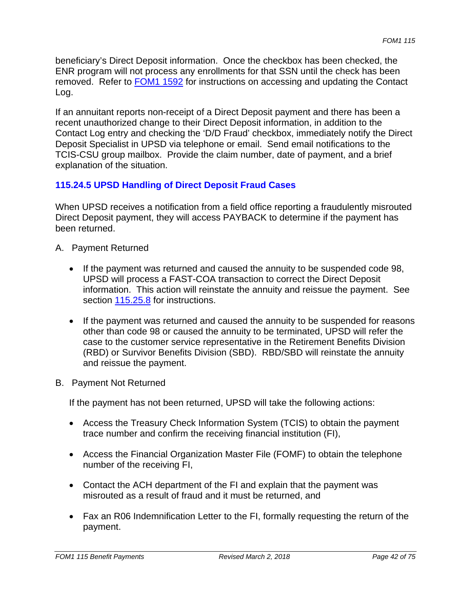beneficiary's Direct Deposit information. Once the checkbox has been checked, the ENR program will not process any enrollments for that SSN until the check has been removed. Refer to FOM1 1592 for instructions on accessing and updating the Contact Log.

If an annuitant reports non-receipt of a Direct Deposit payment and there has been a recent unauthorized change to their Direct Deposit information, in addition to the Contact Log entry and checking the 'D/D Fraud' checkbox, immediately notify the Direct Deposit Specialist in UPSD via telephone or email. Send email notifications to the TCIS-CSU group mailbox. Provide the claim number, date of payment, and a brief explanation of the situation.

# **115.24.5 UPSD Handling of Direct Deposit Fraud Cases**

When UPSD receives a notification from a field office reporting a fraudulently misrouted Direct Deposit payment, they will access PAYBACK to determine if the payment has been returned.

- A. Payment Returned
	- If the payment was returned and caused the annuity to be suspended code 98, UPSD will process a FAST-COA transaction to correct the Direct Deposit information. This action will reinstate the annuity and reissue the payment. See section 115.25.8 for instructions.
	- If the payment was returned and caused the annuity to be suspended for reasons other than code 98 or caused the annuity to be terminated, UPSD will refer the case to the customer service representative in the Retirement Benefits Division (RBD) or Survivor Benefits Division (SBD). RBD/SBD will reinstate the annuity and reissue the payment.
- B. Payment Not Returned

If the payment has not been returned, UPSD will take the following actions:

- Access the Treasury Check Information System (TCIS) to obtain the payment trace number and confirm the receiving financial institution (FI),
- Access the Financial Organization Master File (FOMF) to obtain the telephone number of the receiving FI,
- Contact the ACH department of the FI and explain that the payment was misrouted as a result of fraud and it must be returned, and
- Fax an R06 Indemnification Letter to the FI, formally requesting the return of the payment.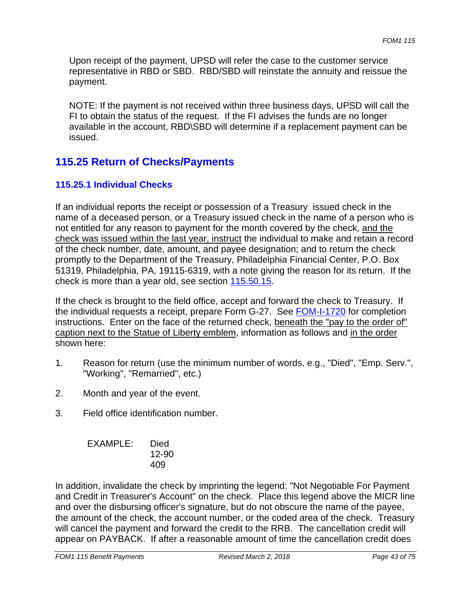Upon receipt of the payment, UPSD will refer the case to the customer service representative in RBD or SBD. RBD/SBD will reinstate the annuity and reissue the payment.

NOTE: If the payment is not received within three business days, UPSD will call the FI to obtain the status of the request. If the FI advises the funds are no longer available in the account, RBD\SBD will determine if a replacement payment can be issued.

# **115.25 Return of Checks/Payments**

# **115.25.1 Individual Checks**

If an individual reports the receipt or possession of a Treasury issued check in the name of a deceased person, or a Treasury issued check in the name of a person who is not entitled for any reason to payment for the month covered by the check, and the check was issued within the last year, instruct the individual to make and retain a record of the check number, date, amount, and payee designation; and to return the check promptly to the Department of the Treasury, Philadelphia Financial Center, P.O. Box 51319, Philadelphia, PA, 19115-6319, with a note giving the reason for its return. If the check is more than a year old, see section 115.50.15.

If the check is brought to the field office, accept and forward the check to Treasury. If the individual requests a receipt, prepare Form G-27. See FOM-I-1720 for completion instructions. Enter on the face of the returned check, beneath the "pay to the order of" caption next to the Statue of Liberty emblem, information as follows and in the order shown here:

- 1. Reason for return (use the minimum number of words, e.g., "Died", "Emp. Serv.", "Working", "Remarried", etc.)
- 2. Month and year of the event.
- 3. Field office identification number.

| EXAMPLE: | Died      |
|----------|-----------|
|          | $12 - 90$ |
|          | 409       |

In addition, invalidate the check by imprinting the legend: "Not Negotiable For Payment and Credit in Treasurer's Account" on the check. Place this legend above the MICR line and over the disbursing officer's signature, but do not obscure the name of the payee, the amount of the check, the account number, or the coded area of the check. Treasury will cancel the payment and forward the credit to the RRB. The cancellation credit will appear on PAYBACK. If after a reasonable amount of time the cancellation credit does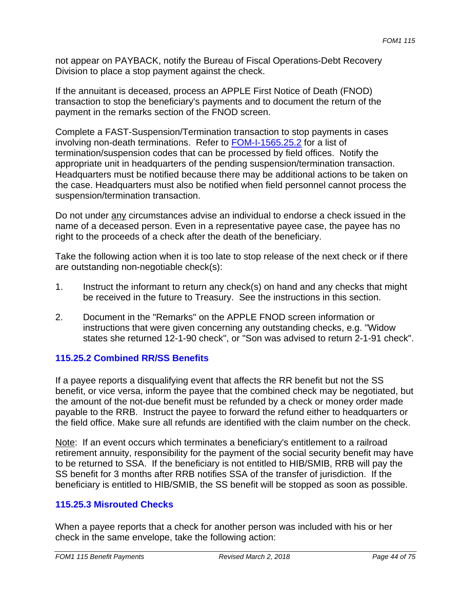not appear on PAYBACK, notify the Bureau of Fiscal Operations-Debt Recovery Division to place a stop payment against the check.

If the annuitant is deceased, process an APPLE First Notice of Death (FNOD) transaction to stop the beneficiary's payments and to document the return of the payment in the remarks section of the FNOD screen.

Complete a FAST-Suspension/Termination transaction to stop payments in cases involving non-death terminations. Refer to **FOM-I-1565.25.2** for a list of termination/suspension codes that can be processed by field offices. Notify the appropriate unit in headquarters of the pending suspension/termination transaction. Headquarters must be notified because there may be additional actions to be taken on the case. Headquarters must also be notified when field personnel cannot process the suspension/termination transaction.

Do not under any circumstances advise an individual to endorse a check issued in the name of a deceased person. Even in a representative payee case, the payee has no right to the proceeds of a check after the death of the beneficiary.

Take the following action when it is too late to stop release of the next check or if there are outstanding non-negotiable check(s):

- 1. Instruct the informant to return any check(s) on hand and any checks that might be received in the future to Treasury. See the instructions in this section.
- 2. Document in the "Remarks" on the APPLE FNOD screen information or instructions that were given concerning any outstanding checks, e.g. "Widow states she returned 12-1-90 check", or "Son was advised to return 2-1-91 check".

# **115.25.2 Combined RR/SS Benefits**

If a payee reports a disqualifying event that affects the RR benefit but not the SS benefit, or vice versa, inform the payee that the combined check may be negotiated, but the amount of the not-due benefit must be refunded by a check or money order made payable to the RRB. Instruct the payee to forward the refund either to headquarters or the field office. Make sure all refunds are identified with the claim number on the check.

Note: If an event occurs which terminates a beneficiary's entitlement to a railroad retirement annuity, responsibility for the payment of the social security benefit may have to be returned to SSA. If the beneficiary is not entitled to HIB/SMIB, RRB will pay the SS benefit for 3 months after RRB notifies SSA of the transfer of jurisdiction. If the beneficiary is entitled to HIB/SMIB, the SS benefit will be stopped as soon as possible.

# **115.25.3 Misrouted Checks**

When a payee reports that a check for another person was included with his or her check in the same envelope, take the following action: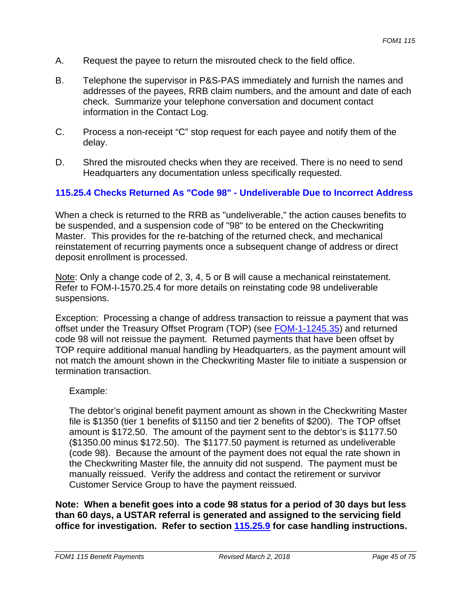- A. Request the payee to return the misrouted check to the field office.
- B. Telephone the supervisor in P&S-PAS immediately and furnish the names and addresses of the payees, RRB claim numbers, and the amount and date of each check. Summarize your telephone conversation and document contact information in the Contact Log.
- C. Process a non-receipt "C" stop request for each payee and notify them of the delay.
- D. Shred the misrouted checks when they are received. There is no need to send Headquarters any documentation unless specifically requested.

## **115.25.4 Checks Returned As "Code 98" - Undeliverable Due to Incorrect Address**

When a check is returned to the RRB as "undeliverable," the action causes benefits to be suspended, and a suspension code of "98" to be entered on the Checkwriting Master. This provides for the re-batching of the returned check, and mechanical reinstatement of recurring payments once a subsequent change of address or direct deposit enrollment is processed.

Note: Only a change code of 2, 3, 4, 5 or B will cause a mechanical reinstatement. Refer to FOM-I-1570.25.4 for more details on reinstating code 98 undeliverable suspensions.

Exception: Processing a change of address transaction to reissue a payment that was offset under the Treasury Offset Program (TOP) (see FOM-1-1245.35) and returned code 98 will not reissue the payment. Returned payments that have been offset by TOP require additional manual handling by Headquarters, as the payment amount will not match the amount shown in the Checkwriting Master file to initiate a suspension or termination transaction.

#### Example:

The debtor's original benefit payment amount as shown in the Checkwriting Master file is \$1350 (tier 1 benefits of \$1150 and tier 2 benefits of \$200). The TOP offset amount is \$172.50. The amount of the payment sent to the debtor's is \$1177.50 (\$1350.00 minus \$172.50). The \$1177.50 payment is returned as undeliverable (code 98). Because the amount of the payment does not equal the rate shown in the Checkwriting Master file, the annuity did not suspend. The payment must be manually reissued. Verify the address and contact the retirement or survivor Customer Service Group to have the payment reissued.

**Note: When a benefit goes into a code 98 status for a period of 30 days but less than 60 days, a USTAR referral is generated and assigned to the servicing field office for investigation. Refer to section 115.25.9 for case handling instructions.**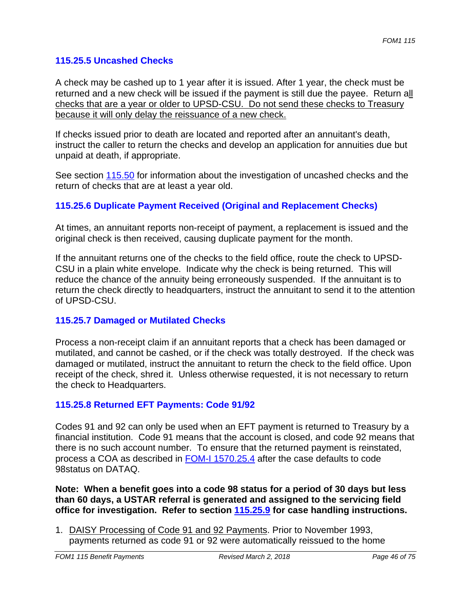## **115.25.5 Uncashed Checks**

A check may be cashed up to 1 year after it is issued. After 1 year, the check must be returned and a new check will be issued if the payment is still due the payee. Return all checks that are a year or older to UPSD-CSU. Do not send these checks to Treasury because it will only delay the reissuance of a new check.

If checks issued prior to death are located and reported after an annuitant's death, instruct the caller to return the checks and develop an application for annuities due but unpaid at death, if appropriate.

See section 115.50 for information about the investigation of uncashed checks and the return of checks that are at least a year old.

# **115.25.6 Duplicate Payment Received (Original and Replacement Checks)**

At times, an annuitant reports non-receipt of payment, a replacement is issued and the original check is then received, causing duplicate payment for the month.

If the annuitant returns one of the checks to the field office, route the check to UPSD-CSU in a plain white envelope. Indicate why the check is being returned. This will reduce the chance of the annuity being erroneously suspended. If the annuitant is to return the check directly to headquarters, instruct the annuitant to send it to the attention of UPSD-CSU.

#### **115.25.7 Damaged or Mutilated Checks**

Process a non-receipt claim if an annuitant reports that a check has been damaged or mutilated, and cannot be cashed, or if the check was totally destroyed. If the check was damaged or mutilated, instruct the annuitant to return the check to the field office. Upon receipt of the check, shred it. Unless otherwise requested, it is not necessary to return the check to Headquarters.

#### **115.25.8 Returned EFT Payments: Code 91/92**

Codes 91 and 92 can only be used when an EFT payment is returned to Treasury by a financial institution. Code 91 means that the account is closed, and code 92 means that there is no such account number. To ensure that the returned payment is reinstated, process a COA as described in FOM-I 1570.25.4 after the case defaults to code 98status on DATAQ.

**Note: When a benefit goes into a code 98 status for a period of 30 days but less than 60 days, a USTAR referral is generated and assigned to the servicing field office for investigation. Refer to section 115.25.9 for case handling instructions.** 

1. DAISY Processing of Code 91 and 92 Payments. Prior to November 1993, payments returned as code 91 or 92 were automatically reissued to the home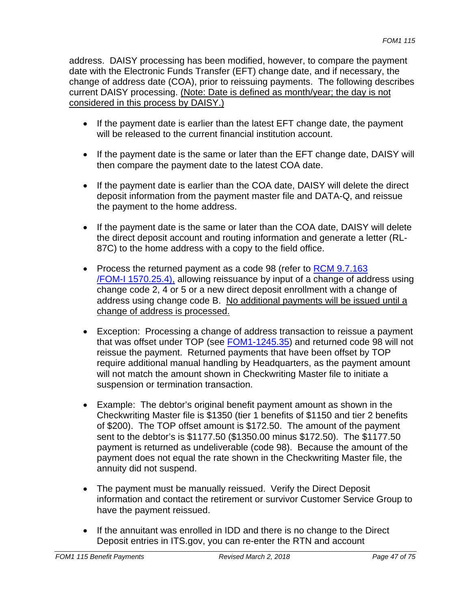address. DAISY processing has been modified, however, to compare the payment date with the Electronic Funds Transfer (EFT) change date, and if necessary, the change of address date (COA), prior to reissuing payments. The following describes current DAISY processing. (Note: Date is defined as month/year; the day is not considered in this process by DAISY.)

- If the payment date is earlier than the latest EFT change date, the payment will be released to the current financial institution account.
- If the payment date is the same or later than the EFT change date, DAISY will then compare the payment date to the latest COA date.
- If the payment date is earlier than the COA date, DAISY will delete the direct deposit information from the payment master file and DATA-Q, and reissue the payment to the home address.
- If the payment date is the same or later than the COA date, DAISY will delete the direct deposit account and routing information and generate a letter (RL-87C) to the home address with a copy to the field office.
- Process the returned payment as a code 98 (refer to RCM 9.7.163) /FOM-I 1570.25.4), allowing reissuance by input of a change of address using change code 2, 4 or 5 or a new direct deposit enrollment with a change of address using change code B. No additional payments will be issued until a change of address is processed.
- Exception: Processing a change of address transaction to reissue a payment that was offset under TOP (see FOM1-1245.35) and returned code 98 will not reissue the payment. Returned payments that have been offset by TOP require additional manual handling by Headquarters, as the payment amount will not match the amount shown in Checkwriting Master file to initiate a suspension or termination transaction.
- Example: The debtor's original benefit payment amount as shown in the Checkwriting Master file is \$1350 (tier 1 benefits of \$1150 and tier 2 benefits of \$200). The TOP offset amount is \$172.50. The amount of the payment sent to the debtor's is \$1177.50 (\$1350.00 minus \$172.50). The \$1177.50 payment is returned as undeliverable (code 98). Because the amount of the payment does not equal the rate shown in the Checkwriting Master file, the annuity did not suspend.
- The payment must be manually reissued. Verify the Direct Deposit information and contact the retirement or survivor Customer Service Group to have the payment reissued.
- If the annuitant was enrolled in IDD and there is no change to the Direct Deposit entries in ITS.gov, you can re-enter the RTN and account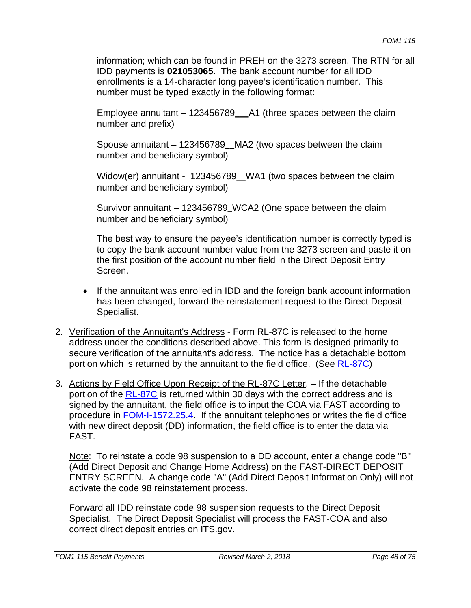information; which can be found in PREH on the 3273 screen. The RTN for all IDD payments is **021053065**. The bank account number for all IDD enrollments is a 14-character long payee's identification number. This number must be typed exactly in the following format:

Employee annuitant – 123456789\_\_\_A1 (three spaces between the claim number and prefix)

Spouse annuitant – 123456789\_\_MA2 (two spaces between the claim number and beneficiary symbol)

Widow(er) annuitant - 123456789\_\_WA1 (two spaces between the claim number and beneficiary symbol)

Survivor annuitant – 123456789\_WCA2 (One space between the claim number and beneficiary symbol)

The best way to ensure the payee's identification number is correctly typed is to copy the bank account number value from the 3273 screen and paste it on the first position of the account number field in the Direct Deposit Entry Screen.

- If the annuitant was enrolled in IDD and the foreign bank account information has been changed, forward the reinstatement request to the Direct Deposit Specialist.
- 2. Verification of the Annuitant's Address Form RL-87C is released to the home address under the conditions described above. This form is designed primarily to secure verification of the annuitant's address. The notice has a detachable bottom portion which is returned by the annuitant to the field office. (See RL-87C)
- 3. Actions by Field Office Upon Receipt of the RL-87C Letter. If the detachable portion of the RL-87C is returned within 30 days with the correct address and is signed by the annuitant, the field office is to input the COA via FAST according to procedure in FOM-I-1572.25.4. If the annuitant telephones or writes the field office with new direct deposit (DD) information, the field office is to enter the data via FAST.

Note: To reinstate a code 98 suspension to a DD account, enter a change code "B" (Add Direct Deposit and Change Home Address) on the FAST-DIRECT DEPOSIT ENTRY SCREEN. A change code "A" (Add Direct Deposit Information Only) will not activate the code 98 reinstatement process.

Forward all IDD reinstate code 98 suspension requests to the Direct Deposit Specialist. The Direct Deposit Specialist will process the FAST-COA and also correct direct deposit entries on ITS.gov.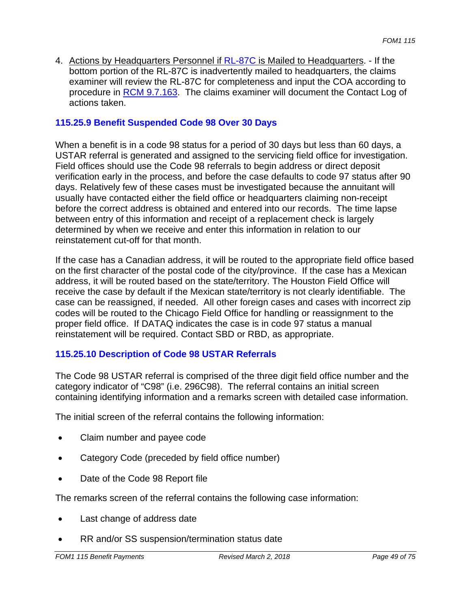4. Actions by Headquarters Personnel if RL-87C is Mailed to Headquarters. - If the bottom portion of the RL-87C is inadvertently mailed to headquarters, the claims examiner will review the RL-87C for completeness and input the COA according to procedure in RCM 9.7.163. The claims examiner will document the Contact Log of actions taken.

# **115.25.9 Benefit Suspended Code 98 Over 30 Days**

When a benefit is in a code 98 status for a period of 30 days but less than 60 days, a USTAR referral is generated and assigned to the servicing field office for investigation. Field offices should use the Code 98 referrals to begin address or direct deposit verification early in the process, and before the case defaults to code 97 status after 90 days. Relatively few of these cases must be investigated because the annuitant will usually have contacted either the field office or headquarters claiming non-receipt before the correct address is obtained and entered into our records. The time lapse between entry of this information and receipt of a replacement check is largely determined by when we receive and enter this information in relation to our reinstatement cut-off for that month.

If the case has a Canadian address, it will be routed to the appropriate field office based on the first character of the postal code of the city/province. If the case has a Mexican address, it will be routed based on the state/territory. The Houston Field Office will receive the case by default if the Mexican state/territory is not clearly identifiable. The case can be reassigned, if needed. All other foreign cases and cases with incorrect zip codes will be routed to the Chicago Field Office for handling or reassignment to the proper field office. If DATAQ indicates the case is in code 97 status a manual reinstatement will be required. Contact SBD or RBD, as appropriate.

# **115.25.10 Description of Code 98 USTAR Referrals**

The Code 98 USTAR referral is comprised of the three digit field office number and the category indicator of "C98" (i.e. 296C98). The referral contains an initial screen containing identifying information and a remarks screen with detailed case information.

The initial screen of the referral contains the following information:

- Claim number and payee code
- Category Code (preceded by field office number)
- Date of the Code 98 Report file

The remarks screen of the referral contains the following case information:

- Last change of address date
- RR and/or SS suspension/termination status date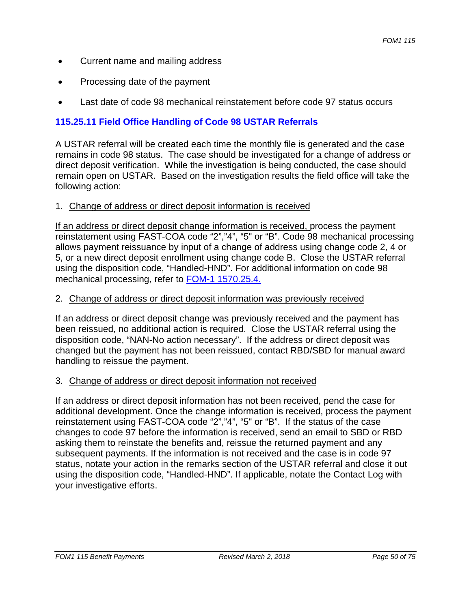- Current name and mailing address
- Processing date of the payment
- Last date of code 98 mechanical reinstatement before code 97 status occurs

# **115.25.11 Field Office Handling of Code 98 USTAR Referrals**

A USTAR referral will be created each time the monthly file is generated and the case remains in code 98 status. The case should be investigated for a change of address or direct deposit verification. While the investigation is being conducted, the case should remain open on USTAR. Based on the investigation results the field office will take the following action:

## 1. Change of address or direct deposit information is received

If an address or direct deposit change information is received, process the payment reinstatement using FAST-COA code "2","4", "5" or "B". Code 98 mechanical processing allows payment reissuance by input of a change of address using change code 2, 4 or 5, or a new direct deposit enrollment using change code B. Close the USTAR referral using the disposition code, "Handled-HND". For additional information on code 98 mechanical processing, refer to FOM-1 1570.25.4.

## 2. Change of address or direct deposit information was previously received

If an address or direct deposit change was previously received and the payment has been reissued, no additional action is required. Close the USTAR referral using the disposition code, "NAN-No action necessary". If the address or direct deposit was changed but the payment has not been reissued, contact RBD/SBD for manual award handling to reissue the payment.

#### 3. Change of address or direct deposit information not received

If an address or direct deposit information has not been received, pend the case for additional development. Once the change information is received, process the payment reinstatement using FAST-COA code "2","4", "5" or "B". If the status of the case changes to code 97 before the information is received, send an email to SBD or RBD asking them to reinstate the benefits and, reissue the returned payment and any subsequent payments. If the information is not received and the case is in code 97 status, notate your action in the remarks section of the USTAR referral and close it out using the disposition code, "Handled-HND". If applicable, notate the Contact Log with your investigative efforts.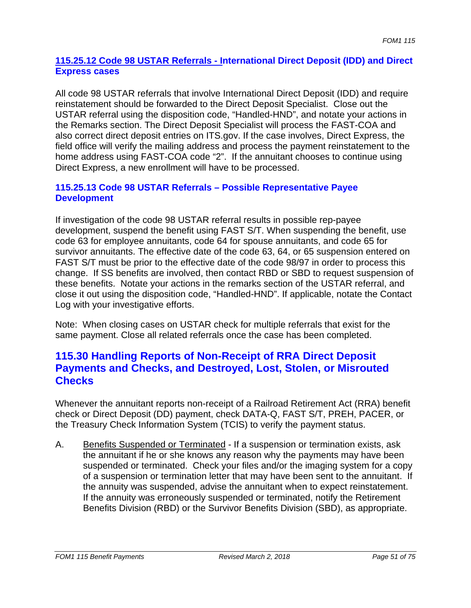### **115.25.12 Code 98 USTAR Referrals - International Direct Deposit (IDD) and Direct Express cases**

All code 98 USTAR referrals that involve International Direct Deposit (IDD) and require reinstatement should be forwarded to the Direct Deposit Specialist. Close out the USTAR referral using the disposition code, "Handled-HND", and notate your actions in the Remarks section. The Direct Deposit Specialist will process the FAST-COA and also correct direct deposit entries on ITS.gov. If the case involves, Direct Express, the field office will verify the mailing address and process the payment reinstatement to the home address using FAST-COA code "2". If the annuitant chooses to continue using Direct Express, a new enrollment will have to be processed.

## **115.25.13 Code 98 USTAR Referrals – Possible Representative Payee Development**

If investigation of the code 98 USTAR referral results in possible rep-payee development, suspend the benefit using FAST S/T. When suspending the benefit, use code 63 for employee annuitants, code 64 for spouse annuitants, and code 65 for survivor annuitants. The effective date of the code 63, 64, or 65 suspension entered on FAST S/T must be prior to the effective date of the code 98/97 in order to process this change. If SS benefits are involved, then contact RBD or SBD to request suspension of these benefits. Notate your actions in the remarks section of the USTAR referral, and close it out using the disposition code, "Handled-HND". If applicable, notate the Contact Log with your investigative efforts.

Note: When closing cases on USTAR check for multiple referrals that exist for the same payment. Close all related referrals once the case has been completed.

# **115.30 Handling Reports of Non-Receipt of RRA Direct Deposit Payments and Checks, and Destroyed, Lost, Stolen, or Misrouted Checks**

Whenever the annuitant reports non-receipt of a Railroad Retirement Act (RRA) benefit check or Direct Deposit (DD) payment, check DATA-Q, FAST S/T, PREH, PACER, or the Treasury Check Information System (TCIS) to verify the payment status.

A. Benefits Suspended or Terminated - If a suspension or termination exists, ask the annuitant if he or she knows any reason why the payments may have been suspended or terminated. Check your files and/or the imaging system for a copy of a suspension or termination letter that may have been sent to the annuitant. If the annuity was suspended, advise the annuitant when to expect reinstatement. If the annuity was erroneously suspended or terminated, notify the Retirement Benefits Division (RBD) or the Survivor Benefits Division (SBD), as appropriate.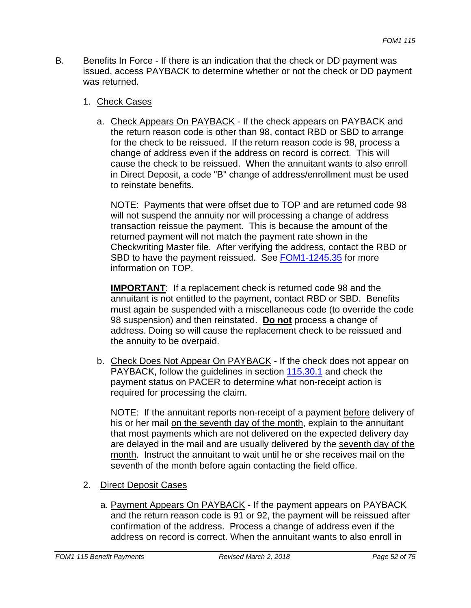B. Benefits In Force - If there is an indication that the check or DD payment was issued, access PAYBACK to determine whether or not the check or DD payment was returned.

#### 1. Check Cases

a. Check Appears On PAYBACK - If the check appears on PAYBACK and the return reason code is other than 98, contact RBD or SBD to arrange for the check to be reissued. If the return reason code is 98, process a change of address even if the address on record is correct. This will cause the check to be reissued. When the annuitant wants to also enroll in Direct Deposit, a code "B" change of address/enrollment must be used to reinstate benefits.

NOTE: Payments that were offset due to TOP and are returned code 98 will not suspend the annuity nor will processing a change of address transaction reissue the payment. This is because the amount of the returned payment will not match the payment rate shown in the Checkwriting Master file. After verifying the address, contact the RBD or SBD to have the payment reissued. See FOM1-1245.35 for more information on TOP.

**IMPORTANT**: If a replacement check is returned code 98 and the annuitant is not entitled to the payment, contact RBD or SBD. Benefits must again be suspended with a miscellaneous code (to override the code 98 suspension) and then reinstated. **Do not** process a change of address. Doing so will cause the replacement check to be reissued and the annuity to be overpaid.

b. Check Does Not Appear On PAYBACK - If the check does not appear on PAYBACK, follow the guidelines in section 115.30.1 and check the payment status on PACER to determine what non-receipt action is required for processing the claim.

NOTE: If the annuitant reports non-receipt of a payment before delivery of his or her mail on the seventh day of the month, explain to the annuitant that most payments which are not delivered on the expected delivery day are delayed in the mail and are usually delivered by the seventh day of the month. Instruct the annuitant to wait until he or she receives mail on the seventh of the month before again contacting the field office.

- 2. Direct Deposit Cases
	- a. Payment Appears On PAYBACK If the payment appears on PAYBACK and the return reason code is 91 or 92, the payment will be reissued after confirmation of the address. Process a change of address even if the address on record is correct. When the annuitant wants to also enroll in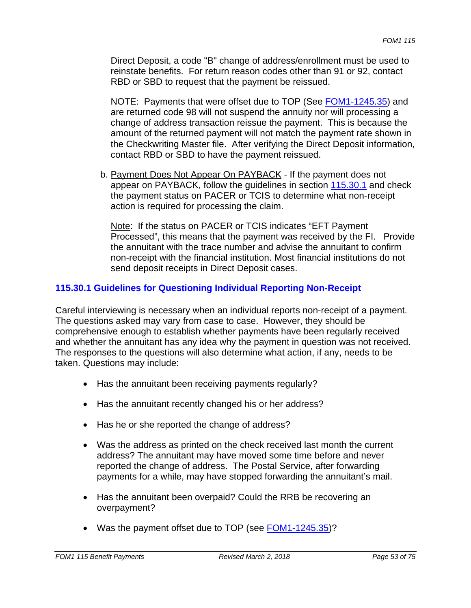Direct Deposit, a code "B" change of address/enrollment must be used to reinstate benefits. For return reason codes other than 91 or 92, contact RBD or SBD to request that the payment be reissued.

NOTE: Payments that were offset due to TOP (See FOM1-1245.35) and are returned code 98 will not suspend the annuity nor will processing a change of address transaction reissue the payment. This is because the amount of the returned payment will not match the payment rate shown in the Checkwriting Master file. After verifying the Direct Deposit information, contact RBD or SBD to have the payment reissued.

b. Payment Does Not Appear On PAYBACK - If the payment does not appear on PAYBACK, follow the guidelines in section 115.30.1 and check the payment status on PACER or TCIS to determine what non-receipt action is required for processing the claim.

Note: If the status on PACER or TCIS indicates "EFT Payment Processed", this means that the payment was received by the FI. Provide the annuitant with the trace number and advise the annuitant to confirm non-receipt with the financial institution. Most financial institutions do not send deposit receipts in Direct Deposit cases.

# **115.30.1 Guidelines for Questioning Individual Reporting Non-Receipt**

Careful interviewing is necessary when an individual reports non-receipt of a payment. The questions asked may vary from case to case. However, they should be comprehensive enough to establish whether payments have been regularly received and whether the annuitant has any idea why the payment in question was not received. The responses to the questions will also determine what action, if any, needs to be taken. Questions may include:

- Has the annuitant been receiving payments regularly?
- Has the annuitant recently changed his or her address?
- Has he or she reported the change of address?
- Was the address as printed on the check received last month the current address? The annuitant may have moved some time before and never reported the change of address. The Postal Service, after forwarding payments for a while, may have stopped forwarding the annuitant's mail.
- Has the annuitant been overpaid? Could the RRB be recovering an overpayment?
- Was the payment offset due to TOP (see FOM1-1245.35)?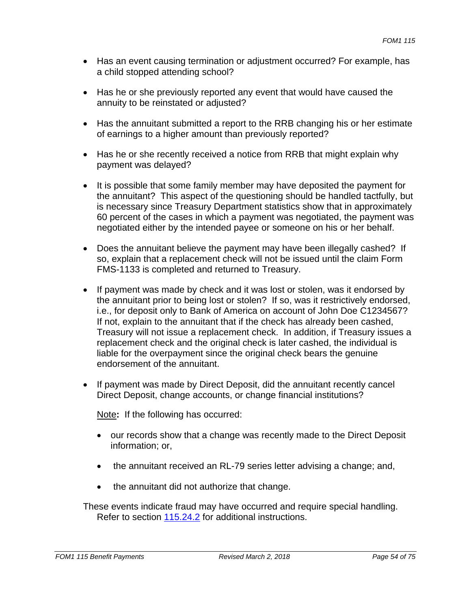- Has an event causing termination or adjustment occurred? For example, has a child stopped attending school?
- Has he or she previously reported any event that would have caused the annuity to be reinstated or adjusted?
- Has the annuitant submitted a report to the RRB changing his or her estimate of earnings to a higher amount than previously reported?
- Has he or she recently received a notice from RRB that might explain why payment was delayed?
- It is possible that some family member may have deposited the payment for the annuitant? This aspect of the questioning should be handled tactfully, but is necessary since Treasury Department statistics show that in approximately 60 percent of the cases in which a payment was negotiated, the payment was negotiated either by the intended payee or someone on his or her behalf.
- Does the annuitant believe the payment may have been illegally cashed? If so, explain that a replacement check will not be issued until the claim Form FMS-1133 is completed and returned to Treasury.
- If payment was made by check and it was lost or stolen, was it endorsed by the annuitant prior to being lost or stolen? If so, was it restrictively endorsed, i.e., for deposit only to Bank of America on account of John Doe C1234567? If not, explain to the annuitant that if the check has already been cashed, Treasury will not issue a replacement check. In addition, if Treasury issues a replacement check and the original check is later cashed, the individual is liable for the overpayment since the original check bears the genuine endorsement of the annuitant.
- If payment was made by Direct Deposit, did the annuitant recently cancel Direct Deposit, change accounts, or change financial institutions?

Note**:** If the following has occurred:

- our records show that a change was recently made to the Direct Deposit information; or,
- the annuitant received an RL-79 series letter advising a change; and,
- the annuitant did not authorize that change.

These events indicate fraud may have occurred and require special handling. Refer to section 115.24.2 for additional instructions.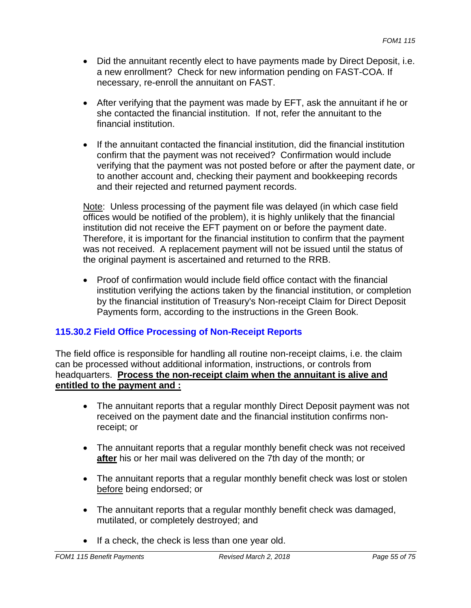- Did the annuitant recently elect to have payments made by Direct Deposit, i.e. a new enrollment? Check for new information pending on FAST-COA. If necessary, re-enroll the annuitant on FAST.
- After verifying that the payment was made by EFT, ask the annuitant if he or she contacted the financial institution. If not, refer the annuitant to the financial institution.
- If the annuitant contacted the financial institution, did the financial institution confirm that the payment was not received? Confirmation would include verifying that the payment was not posted before or after the payment date, or to another account and, checking their payment and bookkeeping records and their rejected and returned payment records.

Note: Unless processing of the payment file was delayed (in which case field offices would be notified of the problem), it is highly unlikely that the financial institution did not receive the EFT payment on or before the payment date. Therefore, it is important for the financial institution to confirm that the payment was not received. A replacement payment will not be issued until the status of the original payment is ascertained and returned to the RRB.

• Proof of confirmation would include field office contact with the financial institution verifying the actions taken by the financial institution, or completion by the financial institution of Treasury's Non-receipt Claim for Direct Deposit Payments form, according to the instructions in the Green Book.

# **115.30.2 Field Office Processing of Non-Receipt Reports**

The field office is responsible for handling all routine non-receipt claims, i.e. the claim can be processed without additional information, instructions, or controls from headquarters. **Process the non-receipt claim when the annuitant is alive and entitled to the payment and :** 

- The annuitant reports that a regular monthly Direct Deposit payment was not received on the payment date and the financial institution confirms nonreceipt; or
- The annuitant reports that a regular monthly benefit check was not received **after** his or her mail was delivered on the 7th day of the month; or
- The annuitant reports that a regular monthly benefit check was lost or stolen before being endorsed; or
- The annuitant reports that a regular monthly benefit check was damaged, mutilated, or completely destroyed; and
- If a check, the check is less than one year old.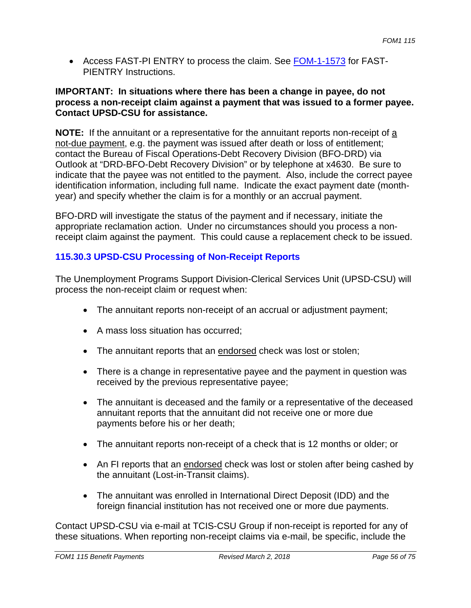Access FAST-PI ENTRY to process the claim. See FOM-1-1573 for FAST-PIENTRY Instructions.

#### **IMPORTANT: In situations where there has been a change in payee, do not process a non-receipt claim against a payment that was issued to a former payee. Contact UPSD-CSU for assistance.**

**NOTE:** If the annuitant or a representative for the annuitant reports non-receipt of a not-due payment, e.g. the payment was issued after death or loss of entitlement; contact the Bureau of Fiscal Operations-Debt Recovery Division (BFO-DRD) via Outlook at "DRD-BFO-Debt Recovery Division" or by telephone at x4630. Be sure to indicate that the payee was not entitled to the payment. Also, include the correct payee identification information, including full name. Indicate the exact payment date (monthyear) and specify whether the claim is for a monthly or an accrual payment.

BFO-DRD will investigate the status of the payment and if necessary, initiate the appropriate reclamation action. Under no circumstances should you process a nonreceipt claim against the payment. This could cause a replacement check to be issued.

# **115.30.3 UPSD-CSU Processing of Non-Receipt Reports**

The Unemployment Programs Support Division-Clerical Services Unit (UPSD-CSU) will process the non-receipt claim or request when:

- The annuitant reports non-receipt of an accrual or adjustment payment;
- A mass loss situation has occurred;
- The annuitant reports that an endorsed check was lost or stolen;
- There is a change in representative payee and the payment in question was received by the previous representative payee;
- The annuitant is deceased and the family or a representative of the deceased annuitant reports that the annuitant did not receive one or more due payments before his or her death;
- The annuitant reports non-receipt of a check that is 12 months or older; or
- An FI reports that an endorsed check was lost or stolen after being cashed by the annuitant (Lost-in-Transit claims).
- The annuitant was enrolled in International Direct Deposit (IDD) and the foreign financial institution has not received one or more due payments.

Contact UPSD-CSU via e-mail at TCIS-CSU Group if non-receipt is reported for any of these situations. When reporting non-receipt claims via e-mail, be specific, include the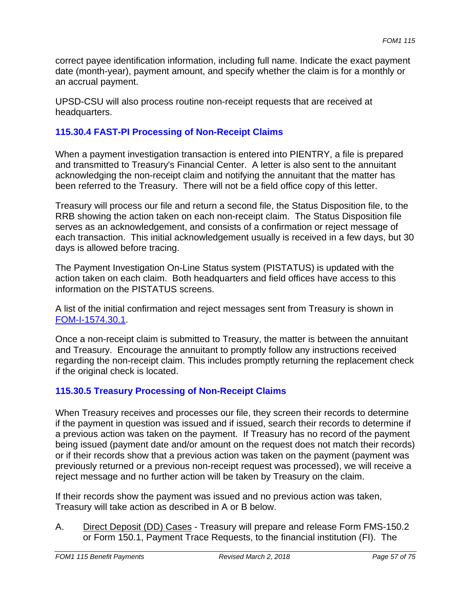correct payee identification information, including full name. Indicate the exact payment date (month-year), payment amount, and specify whether the claim is for a monthly or an accrual payment.

UPSD-CSU will also process routine non-receipt requests that are received at headquarters.

# **115.30.4 FAST-PI Processing of Non-Receipt Claims**

When a payment investigation transaction is entered into PIENTRY, a file is prepared and transmitted to Treasury's Financial Center. A letter is also sent to the annuitant acknowledging the non-receipt claim and notifying the annuitant that the matter has been referred to the Treasury. There will not be a field office copy of this letter.

Treasury will process our file and return a second file, the Status Disposition file, to the RRB showing the action taken on each non-receipt claim. The Status Disposition file serves as an acknowledgement, and consists of a confirmation or reject message of each transaction. This initial acknowledgement usually is received in a few days, but 30 days is allowed before tracing.

The Payment Investigation On-Line Status system (PISTATUS) is updated with the action taken on each claim. Both headquarters and field offices have access to this information on the PISTATUS screens.

A list of the initial confirmation and reject messages sent from Treasury is shown in FOM-I-1574.30.1.

Once a non-receipt claim is submitted to Treasury, the matter is between the annuitant and Treasury. Encourage the annuitant to promptly follow any instructions received regarding the non-receipt claim. This includes promptly returning the replacement check if the original check is located.

# **115.30.5 Treasury Processing of Non-Receipt Claims**

When Treasury receives and processes our file, they screen their records to determine if the payment in question was issued and if issued, search their records to determine if a previous action was taken on the payment. If Treasury has no record of the payment being issued (payment date and/or amount on the request does not match their records) or if their records show that a previous action was taken on the payment (payment was previously returned or a previous non-receipt request was processed), we will receive a reject message and no further action will be taken by Treasury on the claim.

If their records show the payment was issued and no previous action was taken, Treasury will take action as described in A or B below.

A. Direct Deposit (DD) Cases - Treasury will prepare and release Form FMS-150.2 or Form 150.1, Payment Trace Requests, to the financial institution (FI). The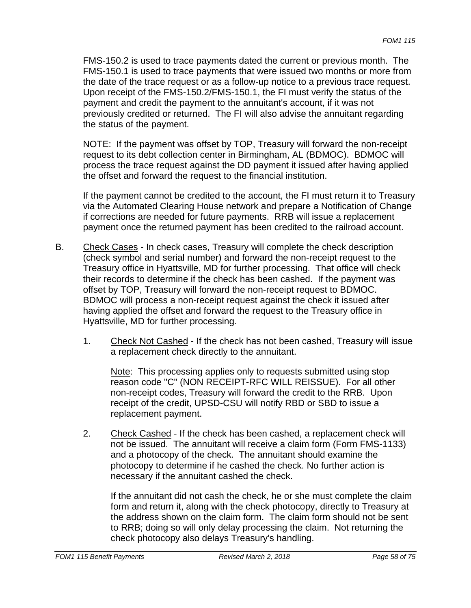FMS-150.2 is used to trace payments dated the current or previous month. The FMS-150.1 is used to trace payments that were issued two months or more from the date of the trace request or as a follow-up notice to a previous trace request. Upon receipt of the FMS-150.2/FMS-150.1, the FI must verify the status of the payment and credit the payment to the annuitant's account, if it was not previously credited or returned. The FI will also advise the annuitant regarding the status of the payment.

NOTE: If the payment was offset by TOP, Treasury will forward the non-receipt request to its debt collection center in Birmingham, AL (BDMOC). BDMOC will process the trace request against the DD payment it issued after having applied the offset and forward the request to the financial institution.

If the payment cannot be credited to the account, the FI must return it to Treasury via the Automated Clearing House network and prepare a Notification of Change if corrections are needed for future payments. RRB will issue a replacement payment once the returned payment has been credited to the railroad account.

- B. Check Cases In check cases, Treasury will complete the check description (check symbol and serial number) and forward the non-receipt request to the Treasury office in Hyattsville, MD for further processing. That office will check their records to determine if the check has been cashed. If the payment was offset by TOP, Treasury will forward the non-receipt request to BDMOC. BDMOC will process a non-receipt request against the check it issued after having applied the offset and forward the request to the Treasury office in Hyattsville, MD for further processing.
	- 1. Check Not Cashed If the check has not been cashed, Treasury will issue a replacement check directly to the annuitant.

Note: This processing applies only to requests submitted using stop reason code "C" (NON RECEIPT-RFC WILL REISSUE). For all other non-receipt codes, Treasury will forward the credit to the RRB. Upon receipt of the credit, UPSD-CSU will notify RBD or SBD to issue a replacement payment.

2. Check Cashed - If the check has been cashed, a replacement check will not be issued. The annuitant will receive a claim form (Form FMS-1133) and a photocopy of the check. The annuitant should examine the photocopy to determine if he cashed the check. No further action is necessary if the annuitant cashed the check.

If the annuitant did not cash the check, he or she must complete the claim form and return it, along with the check photocopy, directly to Treasury at the address shown on the claim form. The claim form should not be sent to RRB; doing so will only delay processing the claim. Not returning the check photocopy also delays Treasury's handling.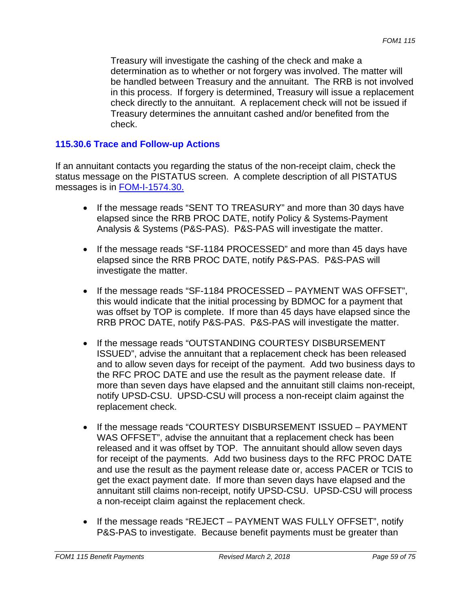Treasury will investigate the cashing of the check and make a determination as to whether or not forgery was involved. The matter will be handled between Treasury and the annuitant. The RRB is not involved in this process. If forgery is determined, Treasury will issue a replacement check directly to the annuitant. A replacement check will not be issued if Treasury determines the annuitant cashed and/or benefited from the check.

#### **115.30.6 Trace and Follow-up Actions**

If an annuitant contacts you regarding the status of the non-receipt claim, check the status message on the PISTATUS screen. A complete description of all PISTATUS messages is in FOM-I-1574.30.

- If the message reads "SENT TO TREASURY" and more than 30 days have elapsed since the RRB PROC DATE, notify Policy & Systems-Payment Analysis & Systems (P&S-PAS). P&S-PAS will investigate the matter.
- If the message reads "SF-1184 PROCESSED" and more than 45 days have elapsed since the RRB PROC DATE, notify P&S-PAS. P&S-PAS will investigate the matter.
- If the message reads "SF-1184 PROCESSED PAYMENT WAS OFFSET", this would indicate that the initial processing by BDMOC for a payment that was offset by TOP is complete. If more than 45 days have elapsed since the RRB PROC DATE, notify P&S-PAS. P&S-PAS will investigate the matter.
- If the message reads "OUTSTANDING COURTESY DISBURSEMENT ISSUED", advise the annuitant that a replacement check has been released and to allow seven days for receipt of the payment. Add two business days to the RFC PROC DATE and use the result as the payment release date. If more than seven days have elapsed and the annuitant still claims non-receipt, notify UPSD-CSU. UPSD-CSU will process a non-receipt claim against the replacement check.
- If the message reads "COURTESY DISBURSEMENT ISSUED PAYMENT WAS OFFSET", advise the annuitant that a replacement check has been released and it was offset by TOP. The annuitant should allow seven days for receipt of the payments. Add two business days to the RFC PROC DATE and use the result as the payment release date or, access PACER or TCIS to get the exact payment date. If more than seven days have elapsed and the annuitant still claims non-receipt, notify UPSD-CSU. UPSD-CSU will process a non-receipt claim against the replacement check.
- If the message reads "REJECT PAYMENT WAS FULLY OFFSET", notify P&S-PAS to investigate. Because benefit payments must be greater than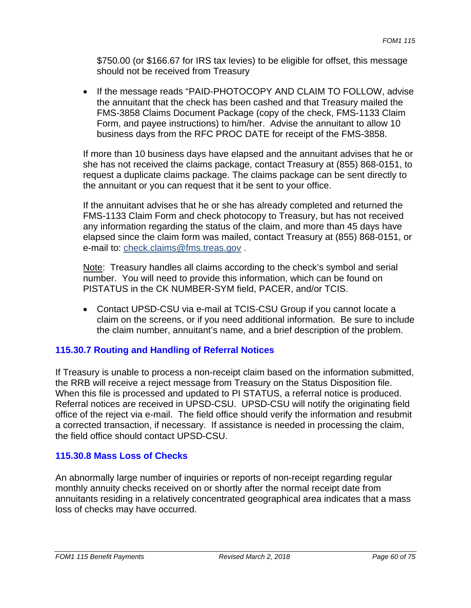\$750.00 (or \$166.67 for IRS tax levies) to be eligible for offset, this message should not be received from Treasury

• If the message reads "PAID-PHOTOCOPY AND CLAIM TO FOLLOW, advise the annuitant that the check has been cashed and that Treasury mailed the FMS-3858 Claims Document Package (copy of the check, FMS-1133 Claim Form, and payee instructions) to him/her. Advise the annuitant to allow 10 business days from the RFC PROC DATE for receipt of the FMS-3858.

If more than 10 business days have elapsed and the annuitant advises that he or she has not received the claims package, contact Treasury at (855) 868-0151, to request a duplicate claims package. The claims package can be sent directly to the annuitant or you can request that it be sent to your office.

If the annuitant advises that he or she has already completed and returned the FMS-1133 Claim Form and check photocopy to Treasury, but has not received any information regarding the status of the claim, and more than 45 days have elapsed since the claim form was mailed, contact Treasury at (855) 868-0151, or e-mail to: check.claims@fms.treas.gov .

Note: Treasury handles all claims according to the check's symbol and serial number. You will need to provide this information, which can be found on PISTATUS in the CK NUMBER-SYM field, PACER, and/or TCIS.

 Contact UPSD-CSU via e-mail at TCIS-CSU Group if you cannot locate a claim on the screens, or if you need additional information. Be sure to include the claim number, annuitant's name, and a brief description of the problem.

# **115.30.7 Routing and Handling of Referral Notices**

If Treasury is unable to process a non-receipt claim based on the information submitted, the RRB will receive a reject message from Treasury on the Status Disposition file. When this file is processed and updated to PI STATUS, a referral notice is produced. Referral notices are received in UPSD-CSU. UPSD-CSU will notify the originating field office of the reject via e-mail. The field office should verify the information and resubmit a corrected transaction, if necessary. If assistance is needed in processing the claim, the field office should contact UPSD-CSU.

#### **115.30.8 Mass Loss of Checks**

An abnormally large number of inquiries or reports of non-receipt regarding regular monthly annuity checks received on or shortly after the normal receipt date from annuitants residing in a relatively concentrated geographical area indicates that a mass loss of checks may have occurred.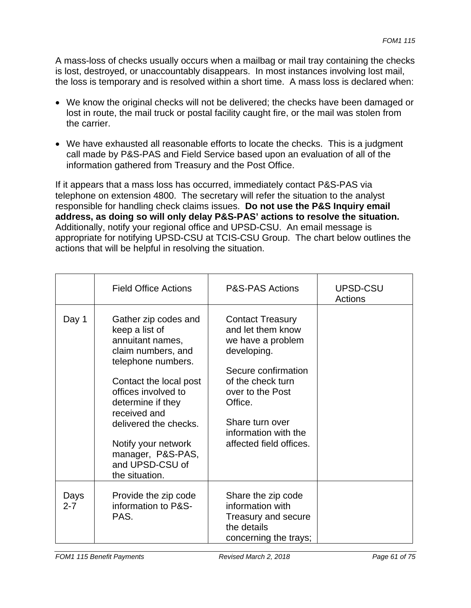A mass-loss of checks usually occurs when a mailbag or mail tray containing the checks is lost, destroyed, or unaccountably disappears. In most instances involving lost mail, the loss is temporary and is resolved within a short time. A mass loss is declared when:

- We know the original checks will not be delivered; the checks have been damaged or lost in route, the mail truck or postal facility caught fire, or the mail was stolen from the carrier.
- We have exhausted all reasonable efforts to locate the checks. This is a judgment call made by P&S-PAS and Field Service based upon an evaluation of all of the information gathered from Treasury and the Post Office.

If it appears that a mass loss has occurred, immediately contact P&S-PAS via telephone on extension 4800. The secretary will refer the situation to the analyst responsible for handling check claims issues. **Do not use the P&S Inquiry email address, as doing so will only delay P&S-PAS' actions to resolve the situation.**  Additionally, notify your regional office and UPSD-CSU. An email message is appropriate for notifying UPSD-CSU at TCIS-CSU Group. The chart below outlines the actions that will be helpful in resolving the situation.

|                 | <b>Field Office Actions</b>                                                                                                                                                                                                                                                                            | <b>P&amp;S-PAS Actions</b>                                                                                                                                                                                                        | UPSD-CSU<br>Actions |
|-----------------|--------------------------------------------------------------------------------------------------------------------------------------------------------------------------------------------------------------------------------------------------------------------------------------------------------|-----------------------------------------------------------------------------------------------------------------------------------------------------------------------------------------------------------------------------------|---------------------|
| Day 1           | Gather zip codes and<br>keep a list of<br>annuitant names,<br>claim numbers, and<br>telephone numbers.<br>Contact the local post<br>offices involved to<br>determine if they<br>received and<br>delivered the checks.<br>Notify your network<br>manager, P&S-PAS,<br>and UPSD-CSU of<br>the situation. | <b>Contact Treasury</b><br>and let them know<br>we have a problem<br>developing.<br>Secure confirmation<br>of the check turn<br>over to the Post<br>Office.<br>Share turn over<br>information with the<br>affected field offices. |                     |
| Days<br>$2 - 7$ | Provide the zip code<br>information to P&S-<br>PAS.                                                                                                                                                                                                                                                    | Share the zip code<br>information with<br>Treasury and secure<br>the details<br>concerning the trays;                                                                                                                             |                     |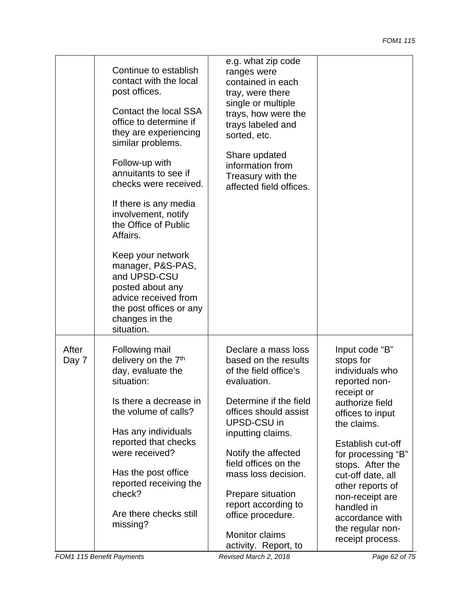|                | Continue to establish<br>contact with the local<br>post offices.<br>Contact the local SSA<br>office to determine if<br>they are experiencing<br>similar problems.<br>Follow-up with<br>annuitants to see if<br>checks were received.<br>If there is any media<br>involvement, notify<br>the Office of Public<br>Affairs.<br>Keep your network<br>manager, P&S-PAS,<br>and UPSD-CSU<br>posted about any<br>advice received from<br>the post offices or any<br>changes in the<br>situation. | e.g. what zip code<br>ranges were<br>contained in each<br>tray, were there<br>single or multiple<br>trays, how were the<br>trays labeled and<br>sorted, etc.<br>Share updated<br>information from<br>Treasury with the<br>affected field offices.                                                                                                           |                                                                                                                                                                                                                                                                                                                                         |
|----------------|-------------------------------------------------------------------------------------------------------------------------------------------------------------------------------------------------------------------------------------------------------------------------------------------------------------------------------------------------------------------------------------------------------------------------------------------------------------------------------------------|-------------------------------------------------------------------------------------------------------------------------------------------------------------------------------------------------------------------------------------------------------------------------------------------------------------------------------------------------------------|-----------------------------------------------------------------------------------------------------------------------------------------------------------------------------------------------------------------------------------------------------------------------------------------------------------------------------------------|
| After<br>Day 7 | Following mail<br>delivery on the 7 <sup>th</sup><br>day, evaluate the<br>situation:<br>Is there a decrease in<br>the volume of calls?<br>Has any individuals<br>reported that checks<br>were received?<br>Has the post office<br>reported receiving the<br>check?<br>Are there checks still<br>missing?                                                                                                                                                                                  | Declare a mass loss<br>based on the results<br>of the field office's<br>evaluation.<br>Determine if the field<br>offices should assist<br>UPSD-CSU in<br>inputting claims.<br>Notify the affected<br>field offices on the<br>mass loss decision.<br>Prepare situation<br>report according to<br>office procedure.<br>Monitor claims<br>activity. Report, to | Input code "B"<br>stops for<br>individuals who<br>reported non-<br>receipt or<br>authorize field<br>offices to input<br>the claims.<br>Establish cut-off<br>for processing "B"<br>stops. After the<br>cut-off date, all<br>other reports of<br>non-receipt are<br>handled in<br>accordance with<br>the regular non-<br>receipt process. |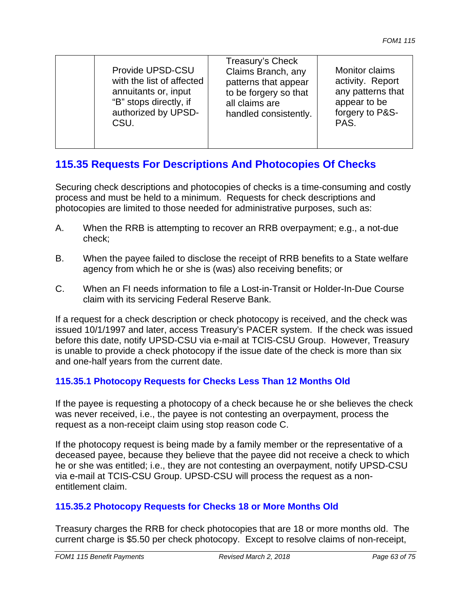| Provide UPSD-CSU          | Treasury's Check      | Monitor claims    |
|---------------------------|-----------------------|-------------------|
| with the list of affected | Claims Branch, any    | activity. Report  |
| annuitants or, input      | patterns that appear  | any patterns that |
| "B" stops directly, if    | to be forgery so that | appear to be      |
| authorized by UPSD-       | all claims are        | forgery to P&S-   |
| CSU.                      | handled consistently. | PAS.              |

# **115.35 Requests For Descriptions And Photocopies Of Checks**

Securing check descriptions and photocopies of checks is a time-consuming and costly process and must be held to a minimum. Requests for check descriptions and photocopies are limited to those needed for administrative purposes, such as:

- A. When the RRB is attempting to recover an RRB overpayment; e.g., a not-due check;
- B. When the payee failed to disclose the receipt of RRB benefits to a State welfare agency from which he or she is (was) also receiving benefits; or
- C. When an FI needs information to file a Lost-in-Transit or Holder-In-Due Course claim with its servicing Federal Reserve Bank.

If a request for a check description or check photocopy is received, and the check was issued 10/1/1997 and later, access Treasury's PACER system. If the check was issued before this date, notify UPSD-CSU via e-mail at TCIS-CSU Group. However, Treasury is unable to provide a check photocopy if the issue date of the check is more than six and one-half years from the current date.

# **115.35.1 Photocopy Requests for Checks Less Than 12 Months Old**

If the payee is requesting a photocopy of a check because he or she believes the check was never received, i.e., the payee is not contesting an overpayment, process the request as a non-receipt claim using stop reason code C.

If the photocopy request is being made by a family member or the representative of a deceased payee, because they believe that the payee did not receive a check to which he or she was entitled; i.e., they are not contesting an overpayment, notify UPSD-CSU via e-mail at TCIS-CSU Group. UPSD-CSU will process the request as a nonentitlement claim.

# **115.35.2 Photocopy Requests for Checks 18 or More Months Old**

Treasury charges the RRB for check photocopies that are 18 or more months old. The current charge is \$5.50 per check photocopy. Except to resolve claims of non-receipt,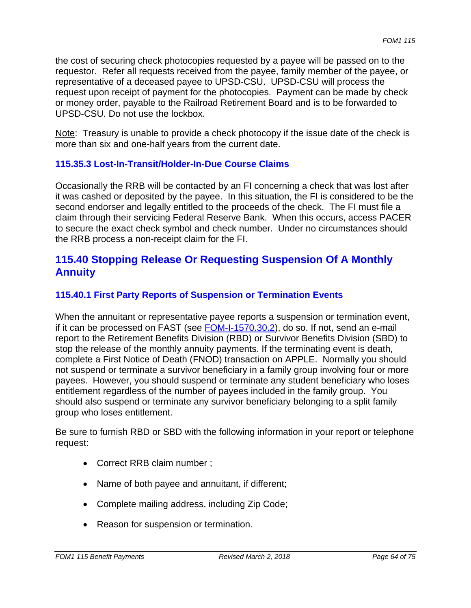the cost of securing check photocopies requested by a payee will be passed on to the requestor. Refer all requests received from the payee, family member of the payee, or representative of a deceased payee to UPSD-CSU. UPSD-CSU will process the request upon receipt of payment for the photocopies. Payment can be made by check or money order, payable to the Railroad Retirement Board and is to be forwarded to UPSD-CSU. Do not use the lockbox.

Note: Treasury is unable to provide a check photocopy if the issue date of the check is more than six and one-half years from the current date.

## **115.35.3 Lost-In-Transit/Holder-In-Due Course Claims**

Occasionally the RRB will be contacted by an FI concerning a check that was lost after it was cashed or deposited by the payee. In this situation, the FI is considered to be the second endorser and legally entitled to the proceeds of the check. The FI must file a claim through their servicing Federal Reserve Bank. When this occurs, access PACER to secure the exact check symbol and check number. Under no circumstances should the RRB process a non-receipt claim for the FI.

# **115.40 Stopping Release Or Requesting Suspension Of A Monthly Annuity**

## **115.40.1 First Party Reports of Suspension or Termination Events**

When the annuitant or representative payee reports a suspension or termination event, if it can be processed on FAST (see FOM-I-1570.30.2), do so. If not, send an e-mail report to the Retirement Benefits Division (RBD) or Survivor Benefits Division (SBD) to stop the release of the monthly annuity payments. If the terminating event is death, complete a First Notice of Death (FNOD) transaction on APPLE. Normally you should not suspend or terminate a survivor beneficiary in a family group involving four or more payees. However, you should suspend or terminate any student beneficiary who loses entitlement regardless of the number of payees included in the family group. You should also suspend or terminate any survivor beneficiary belonging to a split family group who loses entitlement.

Be sure to furnish RBD or SBD with the following information in your report or telephone request:

- Correct RRB claim number ;
- Name of both payee and annuitant, if different;
- Complete mailing address, including Zip Code;
- Reason for suspension or termination.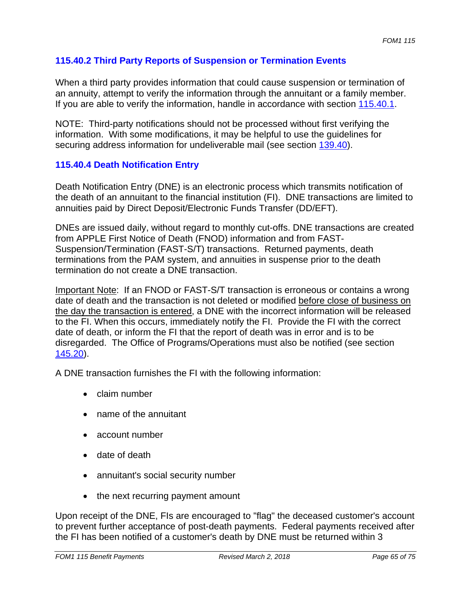# **115.40.2 Third Party Reports of Suspension or Termination Events**

When a third party provides information that could cause suspension or termination of an annuity, attempt to verify the information through the annuitant or a family member. If you are able to verify the information, handle in accordance with section 115.40.1.

NOTE: Third-party notifications should not be processed without first verifying the information. With some modifications, it may be helpful to use the guidelines for securing address information for undeliverable mail (see section 139.40).

#### **115.40.4 Death Notification Entry**

Death Notification Entry (DNE) is an electronic process which transmits notification of the death of an annuitant to the financial institution (FI). DNE transactions are limited to annuities paid by Direct Deposit/Electronic Funds Transfer (DD/EFT).

DNEs are issued daily, without regard to monthly cut-offs. DNE transactions are created from APPLE First Notice of Death (FNOD) information and from FAST-Suspension/Termination (FAST-S/T) transactions. Returned payments, death terminations from the PAM system, and annuities in suspense prior to the death termination do not create a DNE transaction.

Important Note: If an FNOD or FAST-S/T transaction is erroneous or contains a wrong date of death and the transaction is not deleted or modified before close of business on the day the transaction is entered, a DNE with the incorrect information will be released to the FI. When this occurs, immediately notify the FI. Provide the FI with the correct date of death, or inform the FI that the report of death was in error and is to be disregarded. The Office of Programs/Operations must also be notified (see section 145.20).

A DNE transaction furnishes the FI with the following information:

- claim number
- name of the annuitant
- account number
- date of death
- annuitant's social security number
- the next recurring payment amount

Upon receipt of the DNE, FIs are encouraged to "flag" the deceased customer's account to prevent further acceptance of post-death payments. Federal payments received after the FI has been notified of a customer's death by DNE must be returned within 3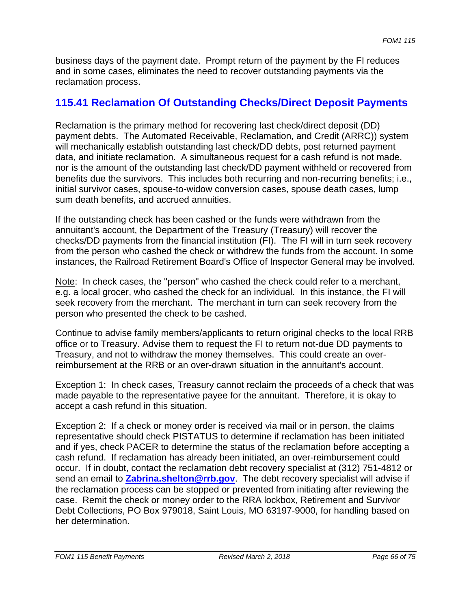business days of the payment date. Prompt return of the payment by the FI reduces and in some cases, eliminates the need to recover outstanding payments via the reclamation process.

# **115.41 Reclamation Of Outstanding Checks/Direct Deposit Payments**

Reclamation is the primary method for recovering last check/direct deposit (DD) payment debts. The Automated Receivable, Reclamation, and Credit (ARRC)) system will mechanically establish outstanding last check/DD debts, post returned payment data, and initiate reclamation. A simultaneous request for a cash refund is not made, nor is the amount of the outstanding last check/DD payment withheld or recovered from benefits due the survivors. This includes both recurring and non-recurring benefits; i.e., initial survivor cases, spouse-to-widow conversion cases, spouse death cases, lump sum death benefits, and accrued annuities.

If the outstanding check has been cashed or the funds were withdrawn from the annuitant's account, the Department of the Treasury (Treasury) will recover the checks/DD payments from the financial institution (FI). The FI will in turn seek recovery from the person who cashed the check or withdrew the funds from the account. In some instances, the Railroad Retirement Board's Office of Inspector General may be involved.

Note: In check cases, the "person" who cashed the check could refer to a merchant, e.g. a local grocer, who cashed the check for an individual. In this instance, the FI will seek recovery from the merchant. The merchant in turn can seek recovery from the person who presented the check to be cashed.

Continue to advise family members/applicants to return original checks to the local RRB office or to Treasury. Advise them to request the FI to return not-due DD payments to Treasury, and not to withdraw the money themselves. This could create an overreimbursement at the RRB or an over-drawn situation in the annuitant's account.

Exception 1: In check cases, Treasury cannot reclaim the proceeds of a check that was made payable to the representative payee for the annuitant. Therefore, it is okay to accept a cash refund in this situation.

Exception 2: If a check or money order is received via mail or in person, the claims representative should check PISTATUS to determine if reclamation has been initiated and if yes, check PACER to determine the status of the reclamation before accepting a cash refund. If reclamation has already been initiated, an over-reimbursement could occur. If in doubt, contact the reclamation debt recovery specialist at (312) 751-4812 or send an email to **Zabrina.shelton@rrb.gov**. The debt recovery specialist will advise if the reclamation process can be stopped or prevented from initiating after reviewing the case. Remit the check or money order to the RRA lockbox, Retirement and Survivor Debt Collections, PO Box 979018, Saint Louis, MO 63197-9000, for handling based on her determination.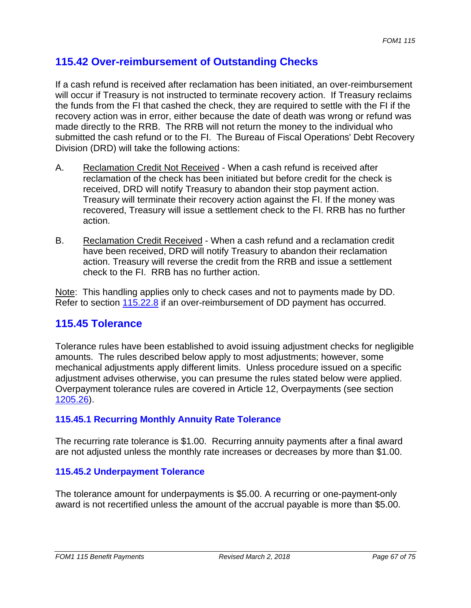# **115.42 Over-reimbursement of Outstanding Checks**

If a cash refund is received after reclamation has been initiated, an over-reimbursement will occur if Treasury is not instructed to terminate recovery action. If Treasury reclaims the funds from the FI that cashed the check, they are required to settle with the FI if the recovery action was in error, either because the date of death was wrong or refund was made directly to the RRB. The RRB will not return the money to the individual who submitted the cash refund or to the FI. The Bureau of Fiscal Operations' Debt Recovery Division (DRD) will take the following actions:

- A. Reclamation Credit Not Received When a cash refund is received after reclamation of the check has been initiated but before credit for the check is received, DRD will notify Treasury to abandon their stop payment action. Treasury will terminate their recovery action against the FI. If the money was recovered, Treasury will issue a settlement check to the FI. RRB has no further action.
- B. Reclamation Credit Received When a cash refund and a reclamation credit have been received, DRD will notify Treasury to abandon their reclamation action. Treasury will reverse the credit from the RRB and issue a settlement check to the FI. RRB has no further action.

Note: This handling applies only to check cases and not to payments made by DD. Refer to section 115.22.8 if an over-reimbursement of DD payment has occurred.

# **115.45 Tolerance**

Tolerance rules have been established to avoid issuing adjustment checks for negligible amounts. The rules described below apply to most adjustments; however, some mechanical adjustments apply different limits. Unless procedure issued on a specific adjustment advises otherwise, you can presume the rules stated below were applied. Overpayment tolerance rules are covered in Article 12, Overpayments (see section 1205.26).

# **115.45.1 Recurring Monthly Annuity Rate Tolerance**

The recurring rate tolerance is \$1.00. Recurring annuity payments after a final award are not adjusted unless the monthly rate increases or decreases by more than \$1.00.

# **115.45.2 Underpayment Tolerance**

The tolerance amount for underpayments is \$5.00. A recurring or one-payment-only award is not recertified unless the amount of the accrual payable is more than \$5.00.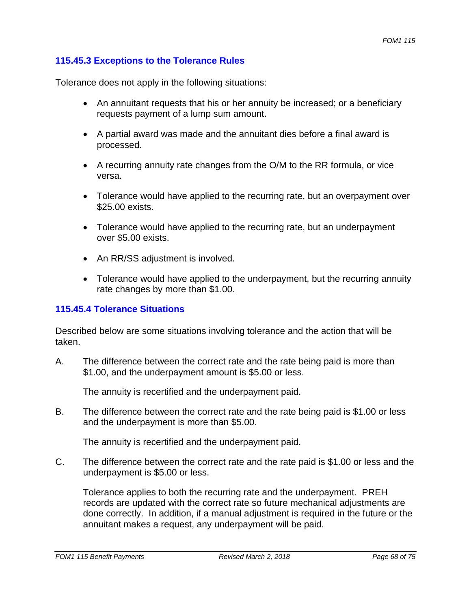### **115.45.3 Exceptions to the Tolerance Rules**

Tolerance does not apply in the following situations:

- An annuitant requests that his or her annuity be increased; or a beneficiary requests payment of a lump sum amount.
- A partial award was made and the annuitant dies before a final award is processed.
- A recurring annuity rate changes from the O/M to the RR formula, or vice versa.
- Tolerance would have applied to the recurring rate, but an overpayment over \$25.00 exists.
- Tolerance would have applied to the recurring rate, but an underpayment over \$5.00 exists.
- An RR/SS adjustment is involved.
- Tolerance would have applied to the underpayment, but the recurring annuity rate changes by more than \$1.00.

#### **115.45.4 Tolerance Situations**

Described below are some situations involving tolerance and the action that will be taken.

A. The difference between the correct rate and the rate being paid is more than \$1.00, and the underpayment amount is \$5.00 or less.

The annuity is recertified and the underpayment paid.

B. The difference between the correct rate and the rate being paid is \$1.00 or less and the underpayment is more than \$5.00.

The annuity is recertified and the underpayment paid.

C. The difference between the correct rate and the rate paid is \$1.00 or less and the underpayment is \$5.00 or less.

Tolerance applies to both the recurring rate and the underpayment. PREH records are updated with the correct rate so future mechanical adjustments are done correctly. In addition, if a manual adjustment is required in the future or the annuitant makes a request, any underpayment will be paid.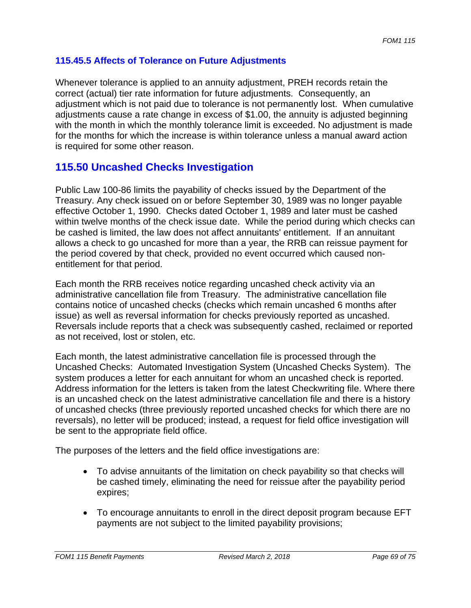# **115.45.5 Affects of Tolerance on Future Adjustments**

Whenever tolerance is applied to an annuity adjustment, PREH records retain the correct (actual) tier rate information for future adjustments. Consequently, an adjustment which is not paid due to tolerance is not permanently lost. When cumulative adjustments cause a rate change in excess of \$1.00, the annuity is adjusted beginning with the month in which the monthly tolerance limit is exceeded. No adjustment is made for the months for which the increase is within tolerance unless a manual award action is required for some other reason.

# **115.50 Uncashed Checks Investigation**

Public Law 100-86 limits the payability of checks issued by the Department of the Treasury. Any check issued on or before September 30, 1989 was no longer payable effective October 1, 1990. Checks dated October 1, 1989 and later must be cashed within twelve months of the check issue date. While the period during which checks can be cashed is limited, the law does not affect annuitants' entitlement. If an annuitant allows a check to go uncashed for more than a year, the RRB can reissue payment for the period covered by that check, provided no event occurred which caused nonentitlement for that period.

Each month the RRB receives notice regarding uncashed check activity via an administrative cancellation file from Treasury. The administrative cancellation file contains notice of uncashed checks (checks which remain uncashed 6 months after issue) as well as reversal information for checks previously reported as uncashed. Reversals include reports that a check was subsequently cashed, reclaimed or reported as not received, lost or stolen, etc.

Each month, the latest administrative cancellation file is processed through the Uncashed Checks: Automated Investigation System (Uncashed Checks System). The system produces a letter for each annuitant for whom an uncashed check is reported. Address information for the letters is taken from the latest Checkwriting file. Where there is an uncashed check on the latest administrative cancellation file and there is a history of uncashed checks (three previously reported uncashed checks for which there are no reversals), no letter will be produced; instead, a request for field office investigation will be sent to the appropriate field office.

The purposes of the letters and the field office investigations are:

- To advise annuitants of the limitation on check payability so that checks will be cashed timely, eliminating the need for reissue after the payability period expires;
- To encourage annuitants to enroll in the direct deposit program because EFT payments are not subject to the limited payability provisions;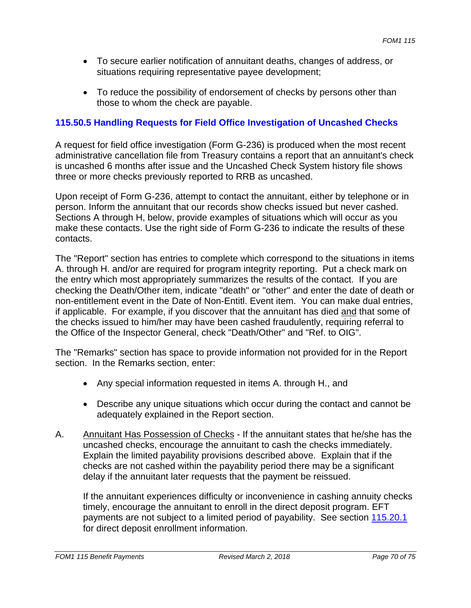- To secure earlier notification of annuitant deaths, changes of address, or situations requiring representative payee development;
- To reduce the possibility of endorsement of checks by persons other than those to whom the check are payable.

# **115.50.5 Handling Requests for Field Office Investigation of Uncashed Checks**

A request for field office investigation (Form G-236) is produced when the most recent administrative cancellation file from Treasury contains a report that an annuitant's check is uncashed 6 months after issue and the Uncashed Check System history file shows three or more checks previously reported to RRB as uncashed.

Upon receipt of Form G-236, attempt to contact the annuitant, either by telephone or in person. Inform the annuitant that our records show checks issued but never cashed. Sections A through H, below, provide examples of situations which will occur as you make these contacts. Use the right side of Form G-236 to indicate the results of these contacts.

The "Report" section has entries to complete which correspond to the situations in items A. through H. and/or are required for program integrity reporting. Put a check mark on the entry which most appropriately summarizes the results of the contact. If you are checking the Death/Other item, indicate "death" or "other" and enter the date of death or non-entitlement event in the Date of Non-Entitl. Event item. You can make dual entries, if applicable. For example, if you discover that the annuitant has died and that some of the checks issued to him/her may have been cashed fraudulently, requiring referral to the Office of the Inspector General, check "Death/Other" and "Ref. to OIG".

The "Remarks" section has space to provide information not provided for in the Report section. In the Remarks section, enter:

- Any special information requested in items A. through H., and
- Describe any unique situations which occur during the contact and cannot be adequately explained in the Report section.
- A. Annuitant Has Possession of Checks If the annuitant states that he/she has the uncashed checks, encourage the annuitant to cash the checks immediately. Explain the limited payability provisions described above. Explain that if the checks are not cashed within the payability period there may be a significant delay if the annuitant later requests that the payment be reissued.

If the annuitant experiences difficulty or inconvenience in cashing annuity checks timely, encourage the annuitant to enroll in the direct deposit program. EFT payments are not subject to a limited period of payability. See section 115.20.1 for direct deposit enrollment information.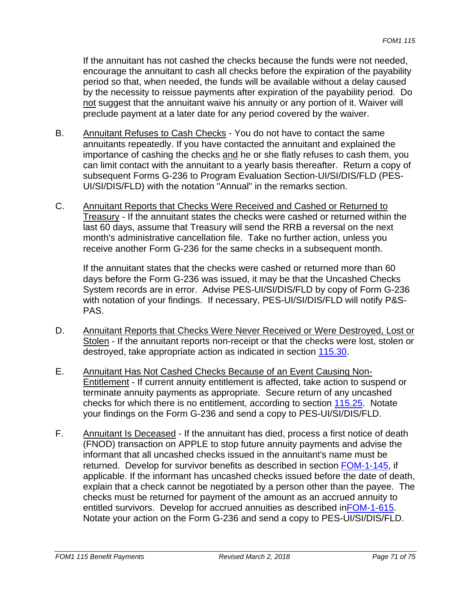If the annuitant has not cashed the checks because the funds were not needed, encourage the annuitant to cash all checks before the expiration of the payability period so that, when needed, the funds will be available without a delay caused by the necessity to reissue payments after expiration of the payability period. Do not suggest that the annuitant waive his annuity or any portion of it. Waiver will preclude payment at a later date for any period covered by the waiver.

- B. Annuitant Refuses to Cash Checks You do not have to contact the same annuitants repeatedly. If you have contacted the annuitant and explained the importance of cashing the checks and he or she flatly refuses to cash them, you can limit contact with the annuitant to a yearly basis thereafter. Return a copy of subsequent Forms G-236 to Program Evaluation Section-UI/SI/DIS/FLD (PES-UI/SI/DIS/FLD) with the notation "Annual" in the remarks section.
- C. Annuitant Reports that Checks Were Received and Cashed or Returned to Treasury - If the annuitant states the checks were cashed or returned within the last 60 days, assume that Treasury will send the RRB a reversal on the next month's administrative cancellation file. Take no further action, unless you receive another Form G-236 for the same checks in a subsequent month.

If the annuitant states that the checks were cashed or returned more than 60 days before the Form G-236 was issued, it may be that the Uncashed Checks System records are in error. Advise PES-UI/SI/DIS/FLD by copy of Form G-236 with notation of your findings. If necessary, PES-UI/SI/DIS/FLD will notify P&S-PAS.

- D. Annuitant Reports that Checks Were Never Received or Were Destroyed, Lost or Stolen - If the annuitant reports non-receipt or that the checks were lost, stolen or destroyed, take appropriate action as indicated in section 115.30.
- E. Annuitant Has Not Cashed Checks Because of an Event Causing Non-Entitlement - If current annuity entitlement is affected, take action to suspend or terminate annuity payments as appropriate. Secure return of any uncashed checks for which there is no entitlement, according to section 115.25. Notate your findings on the Form G-236 and send a copy to PES-UI/SI/DIS/FLD.
- F. Annuitant Is Deceased If the annuitant has died, process a first notice of death (FNOD) transaction on APPLE to stop future annuity payments and advise the informant that all uncashed checks issued in the annuitant's name must be returned. Develop for survivor benefits as described in section FOM-1-145, if applicable. If the informant has uncashed checks issued before the date of death, explain that a check cannot be negotiated by a person other than the payee. The checks must be returned for payment of the amount as an accrued annuity to entitled survivors. Develop for accrued annuities as described inFOM-1-615. Notate your action on the Form G-236 and send a copy to PES-UI/SI/DIS/FLD.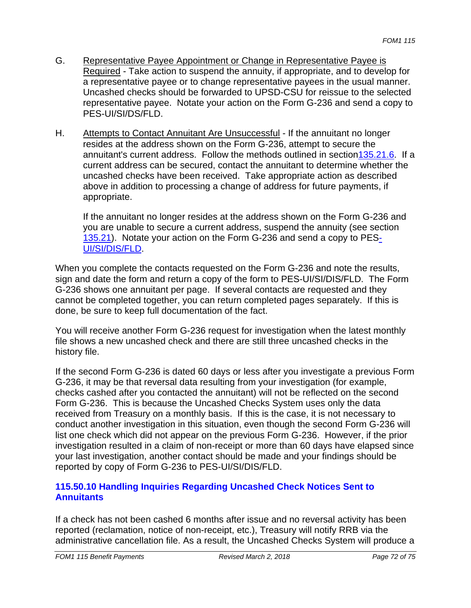- G. Representative Payee Appointment or Change in Representative Payee is Required - Take action to suspend the annuity, if appropriate, and to develop for a representative payee or to change representative payees in the usual manner. Uncashed checks should be forwarded to UPSD-CSU for reissue to the selected representative payee. Notate your action on the Form G-236 and send a copy to PES-UI/SI/DS/FLD.
- H. Attempts to Contact Annuitant Are Unsuccessful If the annuitant no longer resides at the address shown on the Form G-236, attempt to secure the annuitant's current address. Follow the methods outlined in section135.21.6. If a current address can be secured, contact the annuitant to determine whether the uncashed checks have been received. Take appropriate action as described above in addition to processing a change of address for future payments, if appropriate.

If the annuitant no longer resides at the address shown on the Form G-236 and you are unable to secure a current address, suspend the annuity (see section 135.21). Notate your action on the Form G-236 and send a copy to PES-UI/SI/DIS/FLD.

When you complete the contacts requested on the Form G-236 and note the results, sign and date the form and return a copy of the form to PES-UI/SI/DIS/FLD. The Form G-236 shows one annuitant per page. If several contacts are requested and they cannot be completed together, you can return completed pages separately. If this is done, be sure to keep full documentation of the fact.

You will receive another Form G-236 request for investigation when the latest monthly file shows a new uncashed check and there are still three uncashed checks in the history file.

If the second Form G-236 is dated 60 days or less after you investigate a previous Form G-236, it may be that reversal data resulting from your investigation (for example, checks cashed after you contacted the annuitant) will not be reflected on the second Form G-236. This is because the Uncashed Checks System uses only the data received from Treasury on a monthly basis. If this is the case, it is not necessary to conduct another investigation in this situation, even though the second Form G-236 will list one check which did not appear on the previous Form G-236. However, if the prior investigation resulted in a claim of non-receipt or more than 60 days have elapsed since your last investigation, another contact should be made and your findings should be reported by copy of Form G-236 to PES-UI/SI/DIS/FLD.

## **115.50.10 Handling Inquiries Regarding Uncashed Check Notices Sent to Annuitants**

If a check has not been cashed 6 months after issue and no reversal activity has been reported (reclamation, notice of non-receipt, etc.), Treasury will notify RRB via the administrative cancellation file. As a result, the Uncashed Checks System will produce a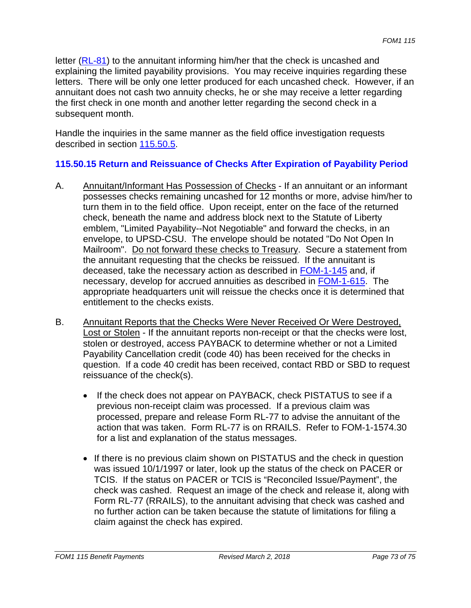letter (RL-81) to the annuitant informing him/her that the check is uncashed and explaining the limited payability provisions. You may receive inquiries regarding these letters. There will be only one letter produced for each uncashed check. However, if an annuitant does not cash two annuity checks, he or she may receive a letter regarding the first check in one month and another letter regarding the second check in a subsequent month.

Handle the inquiries in the same manner as the field office investigation requests described in section 115.50.5.

## **115.50.15 Return and Reissuance of Checks After Expiration of Payability Period**

- A. Annuitant/Informant Has Possession of Checks If an annuitant or an informant possesses checks remaining uncashed for 12 months or more, advise him/her to turn them in to the field office. Upon receipt, enter on the face of the returned check, beneath the name and address block next to the Statute of Liberty emblem, "Limited Payability--Not Negotiable" and forward the checks, in an envelope, to UPSD-CSU. The envelope should be notated "Do Not Open In Mailroom". Do not forward these checks to Treasury. Secure a statement from the annuitant requesting that the checks be reissued. If the annuitant is deceased, take the necessary action as described in FOM-1-145 and, if necessary, develop for accrued annuities as described in FOM-1-615. The appropriate headquarters unit will reissue the checks once it is determined that entitlement to the checks exists.
- B. Annuitant Reports that the Checks Were Never Received Or Were Destroyed, Lost or Stolen - If the annuitant reports non-receipt or that the checks were lost, stolen or destroyed, access PAYBACK to determine whether or not a Limited Payability Cancellation credit (code 40) has been received for the checks in question. If a code 40 credit has been received, contact RBD or SBD to request reissuance of the check(s).
	- If the check does not appear on PAYBACK, check PISTATUS to see if a previous non-receipt claim was processed. If a previous claim was processed, prepare and release Form RL-77 to advise the annuitant of the action that was taken. Form RL-77 is on RRAILS. Refer to FOM-1-1574.30 for a list and explanation of the status messages.
	- If there is no previous claim shown on PISTATUS and the check in question was issued 10/1/1997 or later, look up the status of the check on PACER or TCIS. If the status on PACER or TCIS is "Reconciled Issue/Payment", the check was cashed. Request an image of the check and release it, along with Form RL-77 (RRAILS), to the annuitant advising that check was cashed and no further action can be taken because the statute of limitations for filing a claim against the check has expired.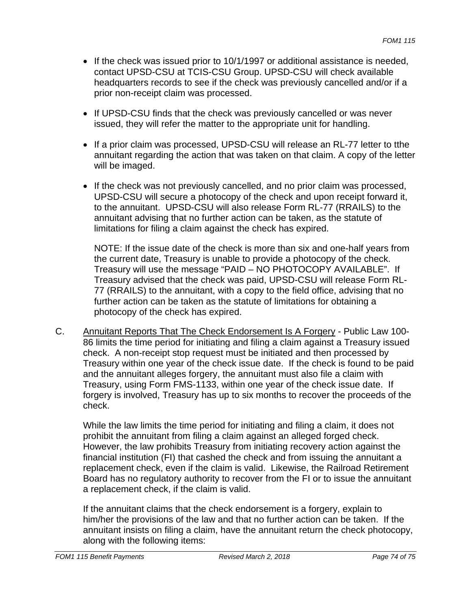- If the check was issued prior to 10/1/1997 or additional assistance is needed, contact UPSD-CSU at TCIS-CSU Group. UPSD-CSU will check available headquarters records to see if the check was previously cancelled and/or if a prior non-receipt claim was processed.
- If UPSD-CSU finds that the check was previously cancelled or was never issued, they will refer the matter to the appropriate unit for handling.
- If a prior claim was processed, UPSD-CSU will release an RL-77 letter to tthe annuitant regarding the action that was taken on that claim. A copy of the letter will be imaged.
- If the check was not previously cancelled, and no prior claim was processed, UPSD-CSU will secure a photocopy of the check and upon receipt forward it, to the annuitant. UPSD-CSU will also release Form RL-77 (RRAILS) to the annuitant advising that no further action can be taken, as the statute of limitations for filing a claim against the check has expired.

NOTE: If the issue date of the check is more than six and one-half years from the current date, Treasury is unable to provide a photocopy of the check. Treasury will use the message "PAID – NO PHOTOCOPY AVAILABLE". If Treasury advised that the check was paid, UPSD-CSU will release Form RL-77 (RRAILS) to the annuitant, with a copy to the field office, advising that no further action can be taken as the statute of limitations for obtaining a photocopy of the check has expired.

C. Annuitant Reports That The Check Endorsement Is A Forgery - Public Law 100 86 limits the time period for initiating and filing a claim against a Treasury issued check. A non-receipt stop request must be initiated and then processed by Treasury within one year of the check issue date. If the check is found to be paid and the annuitant alleges forgery, the annuitant must also file a claim with Treasury, using Form FMS-1133, within one year of the check issue date. If forgery is involved, Treasury has up to six months to recover the proceeds of the check.

While the law limits the time period for initiating and filing a claim, it does not prohibit the annuitant from filing a claim against an alleged forged check. However, the law prohibits Treasury from initiating recovery action against the financial institution (FI) that cashed the check and from issuing the annuitant a replacement check, even if the claim is valid. Likewise, the Railroad Retirement Board has no regulatory authority to recover from the FI or to issue the annuitant a replacement check, if the claim is valid.

If the annuitant claims that the check endorsement is a forgery, explain to him/her the provisions of the law and that no further action can be taken. If the annuitant insists on filing a claim, have the annuitant return the check photocopy, along with the following items: